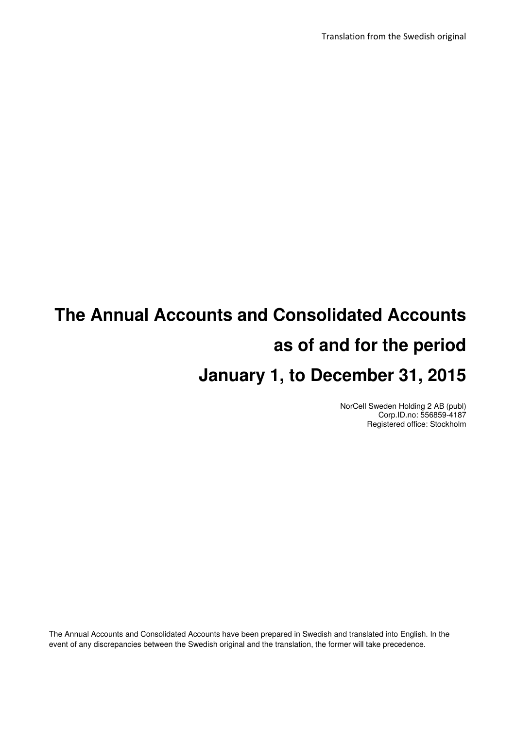Translation from the Swedish original

# **The Annual Accounts and Consolidated Accounts as of and for the period January 1, to December 31, 2015**

NorCell Sweden Holding 2 AB (publ) Corp.ID.no: 556859-4187 Registered office: Stockholm

The Annual Accounts and Consolidated Accounts have been prepared in Swedish and translated into English. In the event of any discrepancies between the Swedish original and the translation, the former will take precedence.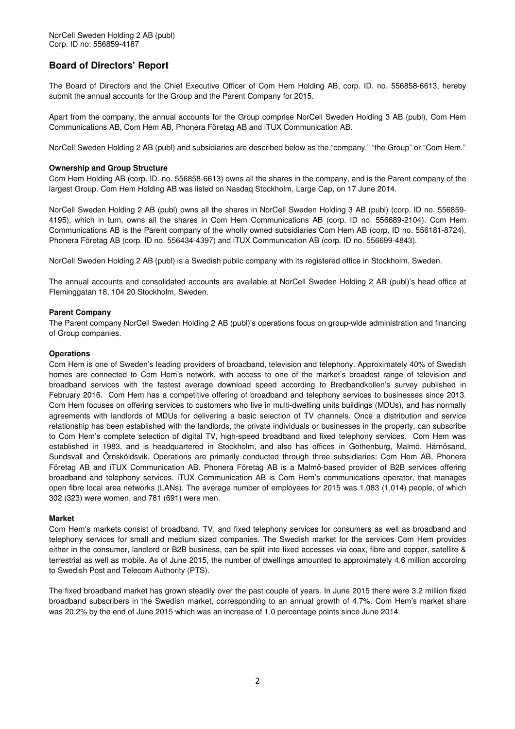### **Board of Directors' Report**

The Board of Directors and the Chief Executive Officer of Com Hem Holding AB, corp. ID. no. 556858-6613, hereby submit the annual accounts for the Group and the Parent Company for 2015.

Apart from the company, the annual accounts for the Group comprise NorCell Sweden Holding 3 AB (publ), Com Hem Communications AB, Com Hem AB, Phonera Företag AB and iTUX Communication AB.

NorCell Sweden Holding 2 AB (publ) and subsidiaries are described below as the "company," "the Group" or "Com Hem."

### **Ownership and Group Structure**

Com Hem Holding AB (corp. ID. no. 556858-6613) owns all the shares in the company, and is the Parent company of the largest Group. Com Hem Holding AB was listed on Nasdaq Stockholm, Large Cap, on 17 June 2014.

NorCell Sweden Holding 2 AB (publ) owns all the shares in NorCell Sweden Holding 3 AB (publ) (corp. ID no. 556859- 4195), which in turn, owns all the shares in Com Hem Communications AB (corp. ID no. 556689-2104). Com Hem Communications AB is the Parent company of the wholly owned subsidiaries Com Hem AB (corp. ID no. 556181-8724), Phonera Företag AB (corp. ID no. 556434-4397) and iTUX Communication AB (corp. ID no. 556699-4843).

NorCell Sweden Holding 2 AB (publ) is a Swedish public company with its registered office in Stockholm, Sweden.

The annual accounts and consolidated accounts are available at NorCell Sweden Holding 2 AB (publ)'s head office at Fleminggatan 18, 104 20 Stockholm, Sweden.

### **Parent Company**

The Parent company NorCell Sweden Holding 2 AB (publ)'s operations focus on group-wide administration and financing of Group companies.

#### **Operations**

Com Hem is one of Sweden's leading providers of broadband, television and telephony. Approximately 40% of Swedish homes are connected to Com Hem's network, with access to one of the market's broadest range of television and broadband services with the fastest average download speed according to Bredbandkollen's survey published in February 2016. Com Hem has a competitive offering of broadband and telephony services to businesses since 2013. Com Hem focuses on offering services to customers who live in multi-dwelling units buildings (MDUs), and has normally agreements with landlords of MDUs for delivering a basic selection of TV channels. Once a distribution and service relationship has been established with the landlords, the private individuals or businesses in the property, can subscribe to Com Hem's complete selection of digital TV, high-speed broadband and fixed telephony services. Com Hem was established in 1983, and is headquartered in Stockholm, and also has offices in Gothenburg, Malmö, Härnösand, Sundsvall and Örnsköldsvik. Operations are primarily conducted through three subsidiaries: Com Hem AB, Phonera Företag AB and iTUX Communication AB. Phonera Företag AB is a Malmö-based provider of B2B services offering broadband and telephony services. iTUX Communication AB is Com Hem's communications operator, that manages open fibre local area networks (LANs). The average number of employees for 2015 was 1,083 (1,014) people, of which 302 (323) were women, and 781 (691) were men.

#### **Market**

Com Hem's markets consist of broadband, TV, and fixed telephony services for consumers as well as broadband and telephony services for small and medium sized companies. The Swedish market for the services Com Hem provides either in the consumer, landlord or B2B business, can be split into fixed accesses via coax, fibre and copper, satellite & terrestrial as well as mobile. As of June 2015, the number of dwellings amounted to approximately 4.6 million according to Swedish Post and Telecom Authority (PTS).

The fixed broadband market has grown steadily over the past couple of years. In June 2015 there were 3.2 million fixed broadband subscribers in the Swedish market, corresponding to an annual growth of 4.7%. Com Hem's market share was 20.2% by the end of June 2015 which was an increase of 1.0 percentage points since June 2014.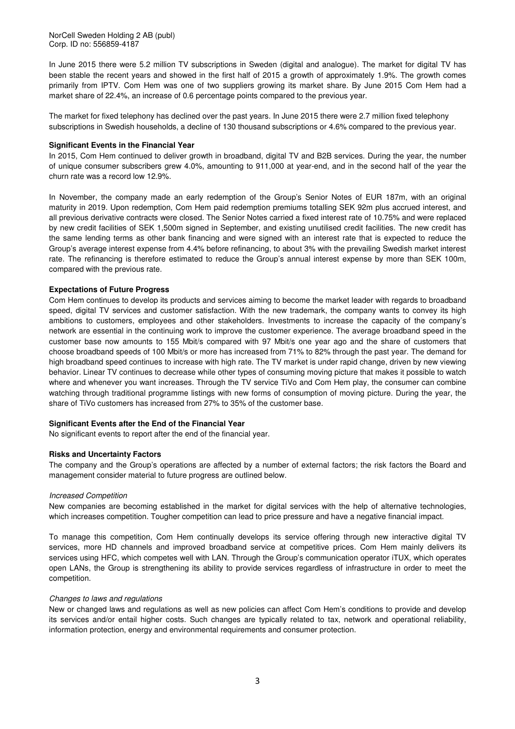NorCell Sweden Holding 2 AB (publ) Corp. ID no: 556859-4187

In June 2015 there were 5.2 million TV subscriptions in Sweden (digital and analogue). The market for digital TV has been stable the recent years and showed in the first half of 2015 a growth of approximately 1.9%. The growth comes primarily from IPTV. Com Hem was one of two suppliers growing its market share. By June 2015 Com Hem had a market share of 22.4%, an increase of 0.6 percentage points compared to the previous year.

The market for fixed telephony has declined over the past years. In June 2015 there were 2.7 million fixed telephony subscriptions in Swedish households, a decline of 130 thousand subscriptions or 4.6% compared to the previous year.

### **Significant Events in the Financial Year**

In 2015, Com Hem continued to deliver growth in broadband, digital TV and B2B services. During the year, the number of unique consumer subscribers grew 4.0%, amounting to 911,000 at year-end, and in the second half of the year the churn rate was a record low 12.9%.

In November, the company made an early redemption of the Group's Senior Notes of EUR 187m, with an original maturity in 2019. Upon redemption, Com Hem paid redemption premiums totalling SEK 92m plus accrued interest, and all previous derivative contracts were closed. The Senior Notes carried a fixed interest rate of 10.75% and were replaced by new credit facilities of SEK 1,500m signed in September, and existing unutilised credit facilities. The new credit has the same lending terms as other bank financing and were signed with an interest rate that is expected to reduce the Group's average interest expense from 4.4% before refinancing, to about 3% with the prevailing Swedish market interest rate. The refinancing is therefore estimated to reduce the Group's annual interest expense by more than SEK 100m, compared with the previous rate.

### **Expectations of Future Progress**

Com Hem continues to develop its products and services aiming to become the market leader with regards to broadband speed, digital TV services and customer satisfaction. With the new trademark, the company wants to convey its high ambitions to customers, employees and other stakeholders. Investments to increase the capacity of the company's network are essential in the continuing work to improve the customer experience. The average broadband speed in the customer base now amounts to 155 Mbit/s compared with 97 Mbit/s one year ago and the share of customers that choose broadband speeds of 100 Mbit/s or more has increased from 71% to 82% through the past year. The demand for high broadband speed continues to increase with high rate. The TV market is under rapid change, driven by new viewing behavior. Linear TV continues to decrease while other types of consuming moving picture that makes it possible to watch where and whenever you want increases. Through the TV service TiVo and Com Hem play, the consumer can combine watching through traditional programme listings with new forms of consumption of moving picture. During the year, the share of TiVo customers has increased from 27% to 35% of the customer base.

#### **Significant Events after the End of the Financial Year**

No significant events to report after the end of the financial year.

#### **Risks and Uncertainty Factors**

The company and the Group's operations are affected by a number of external factors; the risk factors the Board and management consider material to future progress are outlined below.

#### Increased Competition

New companies are becoming established in the market for digital services with the help of alternative technologies, which increases competition. Tougher competition can lead to price pressure and have a negative financial impact.

To manage this competition, Com Hem continually develops its service offering through new interactive digital TV services, more HD channels and improved broadband service at competitive prices. Com Hem mainly delivers its services using HFC, which competes well with LAN. Through the Group's communication operator iTUX, which operates open LANs, the Group is strengthening its ability to provide services regardless of infrastructure in order to meet the competition.

#### Changes to laws and regulations

New or changed laws and regulations as well as new policies can affect Com Hem's conditions to provide and develop its services and/or entail higher costs. Such changes are typically related to tax, network and operational reliability, information protection, energy and environmental requirements and consumer protection.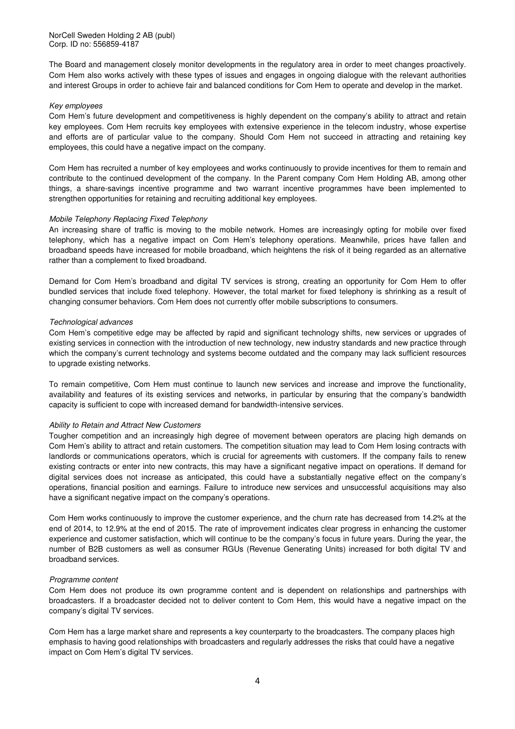The Board and management closely monitor developments in the regulatory area in order to meet changes proactively. Com Hem also works actively with these types of issues and engages in ongoing dialogue with the relevant authorities and interest Groups in order to achieve fair and balanced conditions for Com Hem to operate and develop in the market.

### Key employees

Com Hem's future development and competitiveness is highly dependent on the company's ability to attract and retain key employees. Com Hem recruits key employees with extensive experience in the telecom industry, whose expertise and efforts are of particular value to the company. Should Com Hem not succeed in attracting and retaining key employees, this could have a negative impact on the company.

Com Hem has recruited a number of key employees and works continuously to provide incentives for them to remain and contribute to the continued development of the company. In the Parent company Com Hem Holding AB, among other things, a share-savings incentive programme and two warrant incentive programmes have been implemented to strengthen opportunities for retaining and recruiting additional key employees.

### Mobile Telephony Replacing Fixed Telephony

An increasing share of traffic is moving to the mobile network. Homes are increasingly opting for mobile over fixed telephony, which has a negative impact on Com Hem's telephony operations. Meanwhile, prices have fallen and broadband speeds have increased for mobile broadband, which heightens the risk of it being regarded as an alternative rather than a complement to fixed broadband.

Demand for Com Hem's broadband and digital TV services is strong, creating an opportunity for Com Hem to offer bundled services that include fixed telephony. However, the total market for fixed telephony is shrinking as a result of changing consumer behaviors. Com Hem does not currently offer mobile subscriptions to consumers.

### Technological advances

Com Hem's competitive edge may be affected by rapid and significant technology shifts, new services or upgrades of existing services in connection with the introduction of new technology, new industry standards and new practice through which the company's current technology and systems become outdated and the company may lack sufficient resources to upgrade existing networks.

To remain competitive, Com Hem must continue to launch new services and increase and improve the functionality, availability and features of its existing services and networks, in particular by ensuring that the company's bandwidth capacity is sufficient to cope with increased demand for bandwidth-intensive services.

### Ability to Retain and Attract New Customers

Tougher competition and an increasingly high degree of movement between operators are placing high demands on Com Hem's ability to attract and retain customers. The competition situation may lead to Com Hem losing contracts with landlords or communications operators, which is crucial for agreements with customers. If the company fails to renew existing contracts or enter into new contracts, this may have a significant negative impact on operations. If demand for digital services does not increase as anticipated, this could have a substantially negative effect on the company's operations, financial position and earnings. Failure to introduce new services and unsuccessful acquisitions may also have a significant negative impact on the company's operations.

Com Hem works continuously to improve the customer experience, and the churn rate has decreased from 14.2% at the end of 2014, to 12.9% at the end of 2015. The rate of improvement indicates clear progress in enhancing the customer experience and customer satisfaction, which will continue to be the company's focus in future years. During the year, the number of B2B customers as well as consumer RGUs (Revenue Generating Units) increased for both digital TV and broadband services.

#### Programme content

Com Hem does not produce its own programme content and is dependent on relationships and partnerships with broadcasters. If a broadcaster decided not to deliver content to Com Hem, this would have a negative impact on the company's digital TV services.

Com Hem has a large market share and represents a key counterparty to the broadcasters. The company places high emphasis to having good relationships with broadcasters and regularly addresses the risks that could have a negative impact on Com Hem's digital TV services.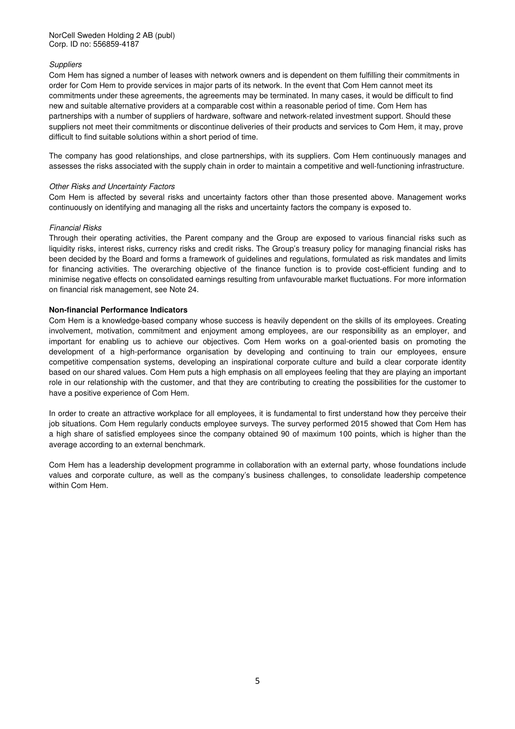### **Suppliers**

Com Hem has signed a number of leases with network owners and is dependent on them fulfilling their commitments in order for Com Hem to provide services in major parts of its network. In the event that Com Hem cannot meet its commitments under these agreements, the agreements may be terminated. In many cases, it would be difficult to find new and suitable alternative providers at a comparable cost within a reasonable period of time. Com Hem has partnerships with a number of suppliers of hardware, software and network-related investment support. Should these suppliers not meet their commitments or discontinue deliveries of their products and services to Com Hem, it may, prove difficult to find suitable solutions within a short period of time.

The company has good relationships, and close partnerships, with its suppliers. Com Hem continuously manages and assesses the risks associated with the supply chain in order to maintain a competitive and well-functioning infrastructure.

### Other Risks and Uncertainty Factors

Com Hem is affected by several risks and uncertainty factors other than those presented above. Management works continuously on identifying and managing all the risks and uncertainty factors the company is exposed to.

### Financial Risks

Through their operating activities, the Parent company and the Group are exposed to various financial risks such as liquidity risks, interest risks, currency risks and credit risks. The Group's treasury policy for managing financial risks has been decided by the Board and forms a framework of guidelines and regulations, formulated as risk mandates and limits for financing activities. The overarching objective of the finance function is to provide cost-efficient funding and to minimise negative effects on consolidated earnings resulting from unfavourable market fluctuations. For more information on financial risk management, see Note 24.

### **Non-financial Performance Indicators**

Com Hem is a knowledge-based company whose success is heavily dependent on the skills of its employees. Creating involvement, motivation, commitment and enjoyment among employees, are our responsibility as an employer, and important for enabling us to achieve our objectives. Com Hem works on a goal-oriented basis on promoting the development of a high-performance organisation by developing and continuing to train our employees, ensure competitive compensation systems, developing an inspirational corporate culture and build a clear corporate identity based on our shared values. Com Hem puts a high emphasis on all employees feeling that they are playing an important role in our relationship with the customer, and that they are contributing to creating the possibilities for the customer to have a positive experience of Com Hem.

In order to create an attractive workplace for all employees, it is fundamental to first understand how they perceive their job situations. Com Hem regularly conducts employee surveys. The survey performed 2015 showed that Com Hem has a high share of satisfied employees since the company obtained 90 of maximum 100 points, which is higher than the average according to an external benchmark.

Com Hem has a leadership development programme in collaboration with an external party, whose foundations include values and corporate culture, as well as the company's business challenges, to consolidate leadership competence within Com Hem.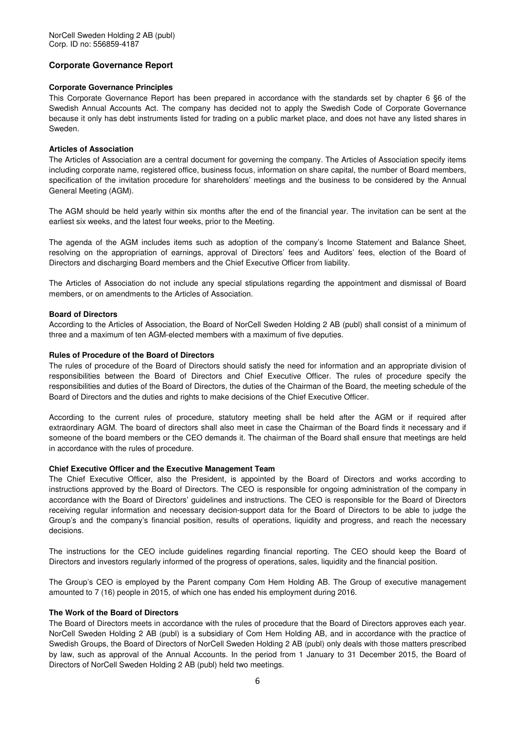### **Corporate Governance Report**

### **Corporate Governance Principles**

This Corporate Governance Report has been prepared in accordance with the standards set by chapter 6 §6 of the Swedish Annual Accounts Act. The company has decided not to apply the Swedish Code of Corporate Governance because it only has debt instruments listed for trading on a public market place, and does not have any listed shares in Sweden.

### **Articles of Association**

The Articles of Association are a central document for governing the company. The Articles of Association specify items including corporate name, registered office, business focus, information on share capital, the number of Board members, specification of the invitation procedure for shareholders' meetings and the business to be considered by the Annual General Meeting (AGM).

The AGM should be held yearly within six months after the end of the financial year. The invitation can be sent at the earliest six weeks, and the latest four weeks, prior to the Meeting.

The agenda of the AGM includes items such as adoption of the company's Income Statement and Balance Sheet, resolving on the appropriation of earnings, approval of Directors' fees and Auditors' fees, election of the Board of Directors and discharging Board members and the Chief Executive Officer from liability.

The Articles of Association do not include any special stipulations regarding the appointment and dismissal of Board members, or on amendments to the Articles of Association.

### **Board of Directors**

According to the Articles of Association, the Board of NorCell Sweden Holding 2 AB (publ) shall consist of a minimum of three and a maximum of ten AGM-elected members with a maximum of five deputies.

### **Rules of Procedure of the Board of Directors**

The rules of procedure of the Board of Directors should satisfy the need for information and an appropriate division of responsibilities between the Board of Directors and Chief Executive Officer. The rules of procedure specify the responsibilities and duties of the Board of Directors, the duties of the Chairman of the Board, the meeting schedule of the Board of Directors and the duties and rights to make decisions of the Chief Executive Officer.

According to the current rules of procedure, statutory meeting shall be held after the AGM or if required after extraordinary AGM. The board of directors shall also meet in case the Chairman of the Board finds it necessary and if someone of the board members or the CEO demands it. The chairman of the Board shall ensure that meetings are held in accordance with the rules of procedure.

### **Chief Executive Officer and the Executive Management Team**

The Chief Executive Officer, also the President, is appointed by the Board of Directors and works according to instructions approved by the Board of Directors. The CEO is responsible for ongoing administration of the company in accordance with the Board of Directors' guidelines and instructions. The CEO is responsible for the Board of Directors receiving regular information and necessary decision-support data for the Board of Directors to be able to judge the Group's and the company's financial position, results of operations, liquidity and progress, and reach the necessary decisions.

The instructions for the CEO include guidelines regarding financial reporting. The CEO should keep the Board of Directors and investors regularly informed of the progress of operations, sales, liquidity and the financial position.

The Group's CEO is employed by the Parent company Com Hem Holding AB. The Group of executive management amounted to 7 (16) people in 2015, of which one has ended his employment during 2016.

### **The Work of the Board of Directors**

The Board of Directors meets in accordance with the rules of procedure that the Board of Directors approves each year. NorCell Sweden Holding 2 AB (publ) is a subsidiary of Com Hem Holding AB, and in accordance with the practice of Swedish Groups, the Board of Directors of NorCell Sweden Holding 2 AB (publ) only deals with those matters prescribed by law, such as approval of the Annual Accounts. In the period from 1 January to 31 December 2015, the Board of Directors of NorCell Sweden Holding 2 AB (publ) held two meetings.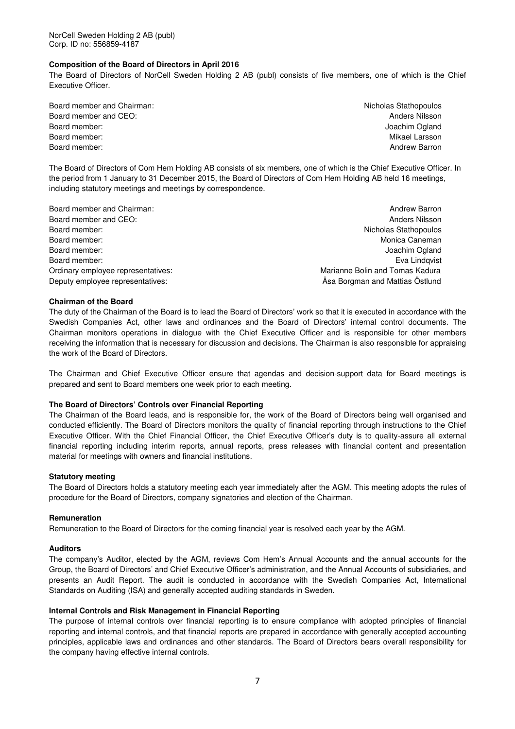### **Composition of the Board of Directors in April 2016**

The Board of Directors of NorCell Sweden Holding 2 AB (publ) consists of five members, one of which is the Chief Executive Officer.

- Board member and Chairman: Nicholas Stathopoulos and Chairman: Nicholas Stathopoulos Board member and CEO: Anders Nilsson and CEO: Anders Nilsson and CEO: Anders Nilsson and CEO: Anders Nilsson and CEO: Anders Nilsson and CEO: Anders Nilsson and CEO: Anders Nilsson and CEO: Anders Nilsson and CEO: Anders N Board member: Joachim Ogland and The Board members and the United States of the United States of the United States of the United States of the United States of the United States of the United States of the United States of Board member: Nikael Larsson Nikael Larsson Nikael Larsson Nikael Larsson Nikael Larsson Nikael Larsson Nikael Larsson Nikael Larsson Nikael Larsson Nikael Larsson Nikael Larsson Nikael Larsson Nikael Larsson Nikael Larsso Board member: Andrew Barron and the Board members of the Board members of the Board members of the Board members of the Board members of the Board members of the Board members of the Board members of the Board members of t
	-

The Board of Directors of Com Hem Holding AB consists of six members, one of which is the Chief Executive Officer. In the period from 1 January to 31 December 2015, the Board of Directors of Com Hem Holding AB held 16 meetings, including statutory meetings and meetings by correspondence.

- Board member and CEO: Anders Nilsson and CEO: Anders Nilsson and CEO: Anders Nilsson and CEO: Anders Nilsson and CEO: Anders Nilsson and CEO: Anders Nilsson and CEO: Anders Nilsson and CEO: Anders Nilsson and CEO: Anders N Board member: Nicholas Stathopoulos Board member: North Monica Caneman and Society and Society and Society and Society and Monica Caneman and Monica Caneman and Society and Society and Society and Society and Society and Society and Society and Society and S Board member: Joachim Ogland and The Board member: Joachim Ogland and The Board member: Joachim Ogland and The Board members of the Board members of the Board members of the Board members of the Board members of the Board Board member: Eva Lindqvist Contract Contract Contract Contract Contract Contract Contract Contract Contract Contract Contract Contract Contract Contract Contract Contract Contract Contract Contract Contract Contract Contr Ordinary employee representatives: Marianne Bolin and Tomas Kadura Deputy employee representatives: Åsa Borgman and Mattias Östlund
- Board member and Chairman: Andrew Barron and Chairman: Andrew Barron and The Board member and Chairman: Andrew Barron

### **Chairman of the Board**

The duty of the Chairman of the Board is to lead the Board of Directors' work so that it is executed in accordance with the Swedish Companies Act, other laws and ordinances and the Board of Directors' internal control documents. The Chairman monitors operations in dialogue with the Chief Executive Officer and is responsible for other members receiving the information that is necessary for discussion and decisions. The Chairman is also responsible for appraising the work of the Board of Directors.

The Chairman and Chief Executive Officer ensure that agendas and decision-support data for Board meetings is prepared and sent to Board members one week prior to each meeting.

#### **The Board of Directors' Controls over Financial Reporting**

The Chairman of the Board leads, and is responsible for, the work of the Board of Directors being well organised and conducted efficiently. The Board of Directors monitors the quality of financial reporting through instructions to the Chief Executive Officer. With the Chief Financial Officer, the Chief Executive Officer's duty is to quality-assure all external financial reporting including interim reports, annual reports, press releases with financial content and presentation material for meetings with owners and financial institutions.

#### **Statutory meeting**

The Board of Directors holds a statutory meeting each year immediately after the AGM. This meeting adopts the rules of procedure for the Board of Directors, company signatories and election of the Chairman.

### **Remuneration**

Remuneration to the Board of Directors for the coming financial year is resolved each year by the AGM.

#### **Auditors**

The company's Auditor, elected by the AGM, reviews Com Hem's Annual Accounts and the annual accounts for the Group, the Board of Directors' and Chief Executive Officer's administration, and the Annual Accounts of subsidiaries, and presents an Audit Report. The audit is conducted in accordance with the Swedish Companies Act, International Standards on Auditing (ISA) and generally accepted auditing standards in Sweden.

#### **Internal Controls and Risk Management in Financial Reporting**

The purpose of internal controls over financial reporting is to ensure compliance with adopted principles of financial reporting and internal controls, and that financial reports are prepared in accordance with generally accepted accounting principles, applicable laws and ordinances and other standards. The Board of Directors bears overall responsibility for the company having effective internal controls.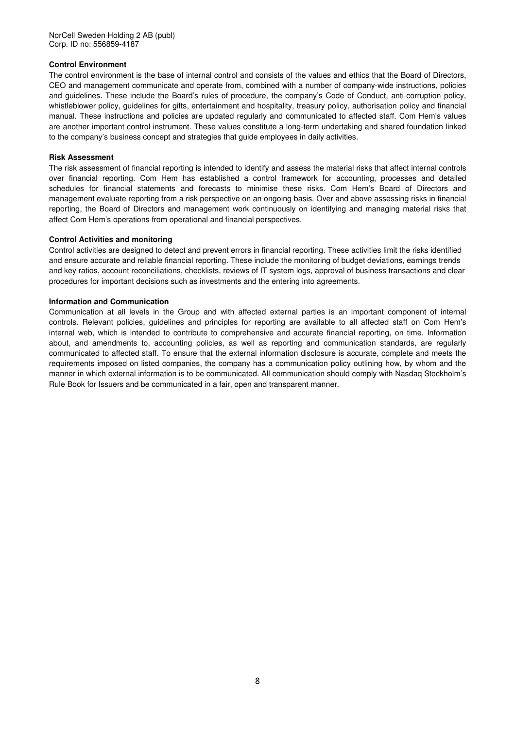NorCell Sweden Holding 2 AB (publ) Corp. ID no: 556859-4187

### **Control Environment**

The control environment is the base of internal control and consists of the values and ethics that the Board of Directors, CEO and management communicate and operate from, combined with a number of company-wide instructions, policies and guidelines. These include the Board's rules of procedure, the company's Code of Conduct, anti-corruption policy, whistleblower policy, guidelines for gifts, entertainment and hospitality, treasury policy, authorisation policy and financial manual. These instructions and policies are updated regularly and communicated to affected staff. Com Hem's values are another important control instrument. These values constitute a long-term undertaking and shared foundation linked to the company's business concept and strategies that guide employees in daily activities.

### **Risk Assessment**

The risk assessment of financial reporting is intended to identify and assess the material risks that affect internal controls over financial reporting. Com Hem has established a control framework for accounting, processes and detailed schedules for financial statements and forecasts to minimise these risks. Com Hem's Board of Directors and management evaluate reporting from a risk perspective on an ongoing basis. Over and above assessing risks in financial reporting, the Board of Directors and management work continuously on identifying and managing material risks that affect Com Hem's operations from operational and financial perspectives.

### **Control Activities and monitoring**

Control activities are designed to detect and prevent errors in financial reporting. These activities limit the risks identified and ensure accurate and reliable financial reporting. These include the monitoring of budget deviations, earnings trends and key ratios, account reconciliations, checklists, reviews of IT system logs, approval of business transactions and clear procedures for important decisions such as investments and the entering into agreements.

### **Information and Communication**

Communication at all levels in the Group and with affected external parties is an important component of internal controls. Relevant policies, guidelines and principles for reporting are available to all affected staff on Com Hem's internal web, which is intended to contribute to comprehensive and accurate financial reporting, on time. Information about, and amendments to, accounting policies, as well as reporting and communication standards, are regularly communicated to affected staff. To ensure that the external information disclosure is accurate, complete and meets the requirements imposed on listed companies, the company has a communication policy outlining how, by whom and the manner in which external information is to be communicated. All communication should comply with Nasdaq Stockholm's Rule Book for Issuers and be communicated in a fair, open and transparent manner.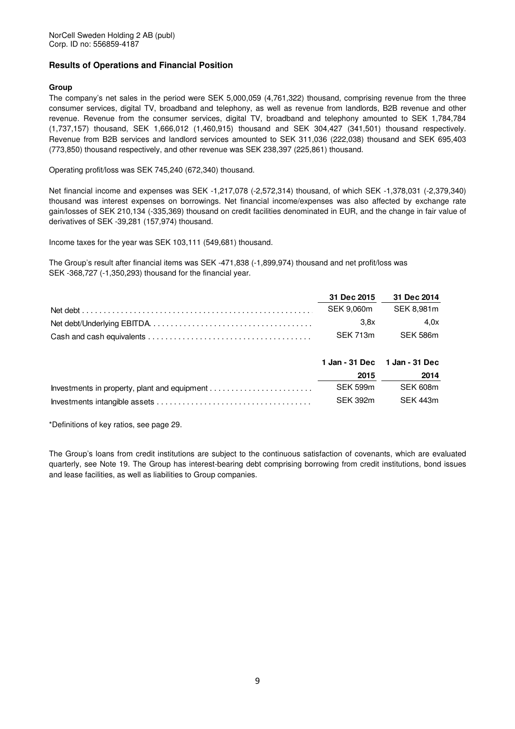### **Results of Operations and Financial Position**

### **Group**

The company's net sales in the period were SEK 5,000,059 (4,761,322) thousand, comprising revenue from the three consumer services, digital TV, broadband and telephony, as well as revenue from landlords, B2B revenue and other revenue. Revenue from the consumer services, digital TV, broadband and telephony amounted to SEK 1,784,784 (1,737,157) thousand, SEK 1,666,012 (1,460,915) thousand and SEK 304,427 (341,501) thousand respectively. Revenue from B2B services and landlord services amounted to SEK 311,036 (222,038) thousand and SEK 695,403 (773,850) thousand respectively, and other revenue was SEK 238,397 (225,861) thousand.

Operating profit/loss was SEK 745,240 (672,340) thousand.

Net financial income and expenses was SEK -1,217,078 (-2,572,314) thousand, of which SEK -1,378,031 (-2,379,340) thousand was interest expenses on borrowings. Net financial income/expenses was also affected by exchange rate gain/losses of SEK 210,134 (-335,369) thousand on credit facilities denominated in EUR, and the change in fair value of derivatives of SEK -39,281 (157,974) thousand.

Income taxes for the year was SEK 103,111 (549,681) thousand.

The Group's result after financial items was SEK -471,838 (-1,899,974) thousand and net profit/loss was SEK -368,727 (-1,350,293) thousand for the financial year.

| 31 Dec 2015 31 Dec 2014 |                   |
|-------------------------|-------------------|
| SEK 9.060m SEK 8.981m   |                   |
| 3.8x                    | 4.0x              |
|                         | SEK 713m SEK 586m |

|          | 1 Jan - 31 Dec 1 Jan - 31 Dec |
|----------|-------------------------------|
| 2015     | 2014                          |
| SFK 599m | SEK 608m                      |
| SEK 392m | SEK 443m                      |

\*Definitions of key ratios, see page 29.

The Group's loans from credit institutions are subject to the continuous satisfaction of covenants, which are evaluated quarterly, see Note 19. The Group has interest-bearing debt comprising borrowing from credit institutions, bond issues and lease facilities, as well as liabilities to Group companies.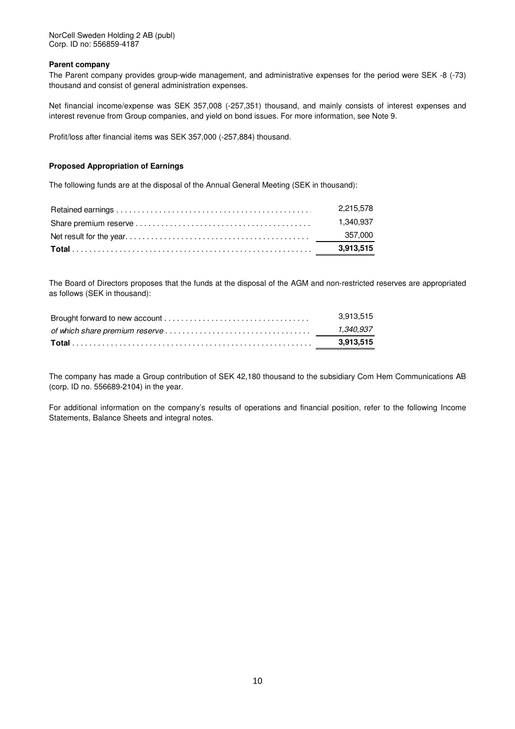### **Parent company**

The Parent company provides group-wide management, and administrative expenses for the period were SEK -8 (-73) thousand and consist of general administration expenses.

Net financial income/expense was SEK 357,008 (-257,351) thousand, and mainly consists of interest expenses and interest revenue from Group companies, and yield on bond issues. For more information, see Note 9.

Profit/loss after financial items was SEK 357,000 (-257,884) thousand.

### **Proposed Appropriation of Earnings**

The following funds are at the disposal of the Annual General Meeting (SEK in thousand):

| 2.215.578 |
|-----------|
| 1.340.937 |
|           |
| 3.913.515 |

The Board of Directors proposes that the funds at the disposal of the AGM and non-restricted reserves are appropriated as follows (SEK in thousand):

|                                                                                                         | 3.913.515 |
|---------------------------------------------------------------------------------------------------------|-----------|
| of which share premium reserve $\dots\dots\dots\dots\dots\dots\dots\dots\dots\dots\dots\dots\dots\dots$ | 1.340.937 |
|                                                                                                         | 3.913.515 |

The company has made a Group contribution of SEK 42,180 thousand to the subsidiary Com Hem Communications AB (corp. ID no. 556689-2104) in the year.

For additional information on the company's results of operations and financial position, refer to the following Income Statements, Balance Sheets and integral notes.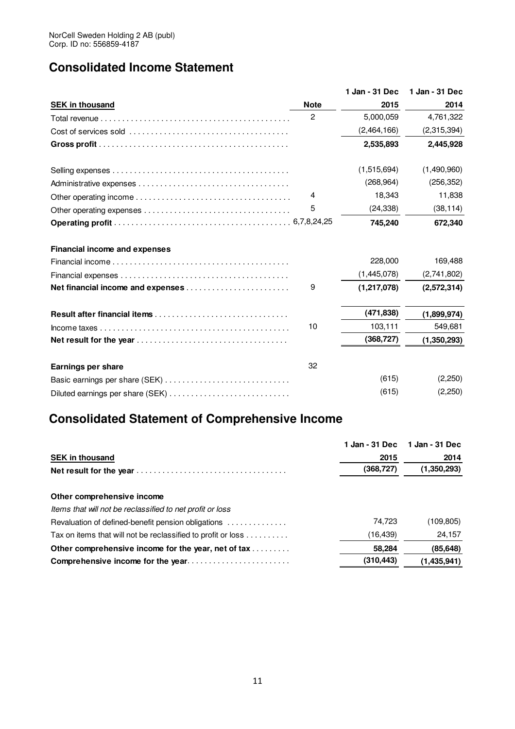## **Consolidated Income Statement**

|                                  | 1 Jan - 31 Dec | 1 Jan - 31 Dec |
|----------------------------------|----------------|----------------|
| <b>Note</b>                      | 2015           | 2014           |
| $\overline{c}$                   | 5,000,059      | 4,761,322      |
|                                  | (2,464,166)    | (2,315,394)    |
|                                  | 2,535,893      | 2,445,928      |
|                                  | (1,515,694)    | (1,490,960)    |
|                                  | (268, 964)     | (256, 352)     |
| 4                                | 18,343         | 11,838         |
| 5                                | (24, 338)      | (38, 114)      |
|                                  | 745,240        | 672,340        |
|                                  |                |                |
|                                  | 228,000        | 169,488        |
|                                  | (1,445,078)    | (2,741,802)    |
| 9                                | (1, 217, 078)  | (2,572,314)    |
|                                  | (471, 838)     | (1,899,974)    |
| 10                               | 103,111        | 549,681        |
|                                  | (368, 727)     | (1,350,293)    |
| 32                               |                |                |
|                                  | (615)          | (2,250)        |
| Diluted earnings per share (SEK) | (615)          | (2,250)        |
|                                  |                |                |

## **Consolidated Statement of Comprehensive Income**

|                                                              | 1 Jan - 31 Dec | 1 Jan - 31 Dec |
|--------------------------------------------------------------|----------------|----------------|
| <b>SEK in thousand</b>                                       | 2015           | 2014           |
|                                                              | (368, 727)     | (1,350,293)    |
| Other comprehensive income                                   |                |                |
| Items that will not be reclassified to net profit or loss    |                |                |
| Revaluation of defined-benefit pension obligations           | 74.723         | (109,805)      |
| Tax on items that will not be reclassified to profit or loss | (16, 439)      | 24,157         |
| Other comprehensive income for the year, net of tax          | 58,284         | (85, 648)      |
| Comprehensive income for the year                            | (310, 443)     | (1.435.941)    |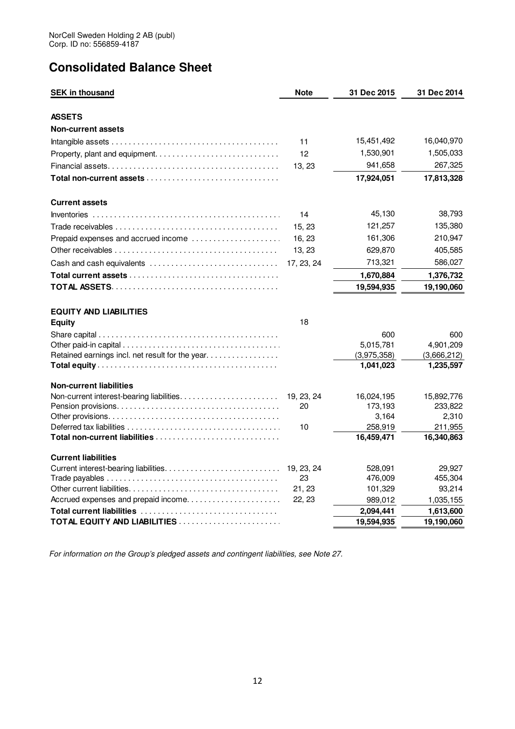## **Consolidated Balance Sheet**

| <b>SEK in thousand</b>                                                                                  | <b>Note</b> | 31 Dec 2015              | 31 Dec 2014              |
|---------------------------------------------------------------------------------------------------------|-------------|--------------------------|--------------------------|
| ASSETS                                                                                                  |             |                          |                          |
| <b>Non-current assets</b>                                                                               |             |                          |                          |
|                                                                                                         | 11          | 15,451,492               | 16,040,970               |
|                                                                                                         | 12          | 1,530,901                | 1,505,033                |
|                                                                                                         | 13, 23      | 941,658                  | 267,325                  |
| Total non-current assets $\ldots \ldots \ldots \ldots \ldots \ldots \ldots \ldots \ldots \ldots \ldots$ |             | 17,924,051               | 17,813,328               |
| <b>Current assets</b>                                                                                   |             |                          |                          |
|                                                                                                         | 14          | 45,130                   | 38,793                   |
|                                                                                                         | 15, 23      | 121,257                  | 135,380                  |
| Prepaid expenses and accrued income                                                                     | 16, 23      | 161,306                  | 210,947                  |
|                                                                                                         | 13, 23      | 629,870                  | 405,585                  |
| Cash and cash equivalents                                                                               | 17, 23, 24  | 713,321                  | 586,027                  |
|                                                                                                         |             | 1,670,884                | 1,376,732                |
|                                                                                                         |             | 19,594,935               | 19,190,060               |
| <b>EQUITY AND LIABILITIES</b>                                                                           |             |                          |                          |
| <b>Equity</b>                                                                                           | 18          |                          |                          |
|                                                                                                         |             | 600                      | 600                      |
|                                                                                                         |             | 5,015,781                | 4,901,209                |
| Retained earnings incl. net result for the year.                                                        |             | (3,975,358)<br>1,041,023 | (3,666,212)<br>1,235,597 |
|                                                                                                         |             |                          |                          |
| <b>Non-current liabilities</b>                                                                          |             |                          |                          |
|                                                                                                         | 19, 23, 24  | 16,024,195               | 15,892,776               |
|                                                                                                         | 20          | 173,193                  | 233,822                  |
|                                                                                                         |             | 3.164                    | 2,310                    |
|                                                                                                         | 10          | 258,919<br>16,459,471    | 211,955<br>16,340,863    |
|                                                                                                         |             |                          |                          |
| <b>Current liabilities</b>                                                                              |             |                          |                          |
|                                                                                                         | 19, 23, 24  | 528,091                  | 29,927                   |
|                                                                                                         | 23          | 476,009                  | 455,304                  |
|                                                                                                         | 21, 23      | 101,329                  | 93,214                   |
| Accrued expenses and prepaid income                                                                     | 22, 23      | 989,012                  | 1,035,155                |
|                                                                                                         |             | 2,094,441                | 1,613,600                |
|                                                                                                         |             | 19,594,935               | 19,190,060               |

For information on the Group's pledged assets and contingent liabilities, see Note 27.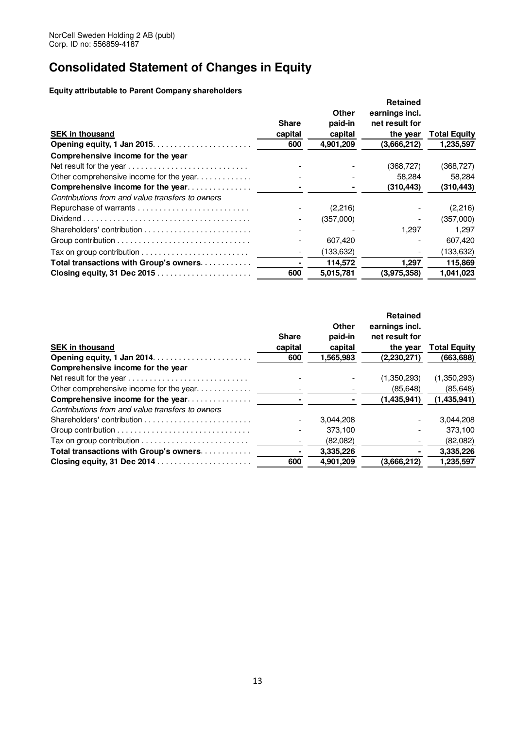## **Consolidated Statement of Changes in Equity**

**Equity attributable to Parent Company shareholders**

| <b>SEK in thousand</b>                                                                         | <b>Share</b><br>capital<br>600 | Other<br>paid-in<br>capital<br>4,901,209 | <b>Retained</b><br>earnings incl.<br>net result for<br>the year<br>(3,666,212) | <b>Total Equity</b><br>1,235,597 |
|------------------------------------------------------------------------------------------------|--------------------------------|------------------------------------------|--------------------------------------------------------------------------------|----------------------------------|
| Comprehensive income for the year                                                              |                                |                                          |                                                                                |                                  |
| Net result for the year                                                                        |                                |                                          | (368, 727)                                                                     | (368,727)                        |
| Other comprehensive income for the year                                                        |                                |                                          | 58,284                                                                         | 58,284                           |
| Comprehensive income for the year                                                              |                                |                                          | (310, 443)                                                                     | (310, 443)                       |
| Contributions from and value transfers to owners                                               |                                |                                          |                                                                                |                                  |
|                                                                                                |                                | (2,216)                                  |                                                                                | (2,216)                          |
| $Dividend \dots \dots \dots \dots \dots \dots \dots \dots \dots \dots \dots \dots \dots \dots$ |                                | (357,000)                                |                                                                                | (357,000)                        |
|                                                                                                |                                |                                          | 1.297                                                                          | 1.297                            |
|                                                                                                |                                | 607,420                                  |                                                                                | 607,420                          |
| Tax on group contribution $\ldots \ldots \ldots \ldots \ldots \ldots \ldots \ldots$            |                                | (133,632)                                |                                                                                | (133,632)                        |
| Total transactions with Group's owners.                                                        |                                | 114,572                                  | 1,297                                                                          | 115,869                          |
| Closing equity, 31 Dec 2015                                                                    | 600                            | 5,015,781                                | (3.975.358)                                                                    | 1,041,023                        |

|                                                                                            | <b>Share</b> | Other<br>paid-in | <b>Retained</b><br>earnings incl.<br>net result for |                     |
|--------------------------------------------------------------------------------------------|--------------|------------------|-----------------------------------------------------|---------------------|
| <b>SEK in thousand</b>                                                                     | capital      | capital          | the year                                            | <b>Total Equity</b> |
|                                                                                            | 600          | 1,565,983        | (2,230,271)                                         | (663,688)           |
| Comprehensive income for the year                                                          |              |                  |                                                     |                     |
|                                                                                            |              |                  | (1,350,293)                                         | (1,350,293)         |
| Other comprehensive income for the year                                                    |              |                  | (85, 648)                                           | (85, 648)           |
| Comprehensive income for the year                                                          |              |                  | (1,435,941)                                         | (1,435,941)         |
| Contributions from and value transfers to owners                                           |              |                  |                                                     |                     |
|                                                                                            |              | 3.044.208        |                                                     | 3,044,208           |
| Group contribution $\ldots \ldots \ldots \ldots \ldots \ldots \ldots \ldots \ldots \ldots$ |              | 373.100          |                                                     | 373.100             |
|                                                                                            |              | (82,082)         |                                                     | (82,082)            |
| Total transactions with Group's owners                                                     |              | 3.335,226        |                                                     | 3,335,226           |
| Closing equity, 31 Dec 2014                                                                | 600          | 4.901.209        | (3,666,212)                                         | 1,235,597           |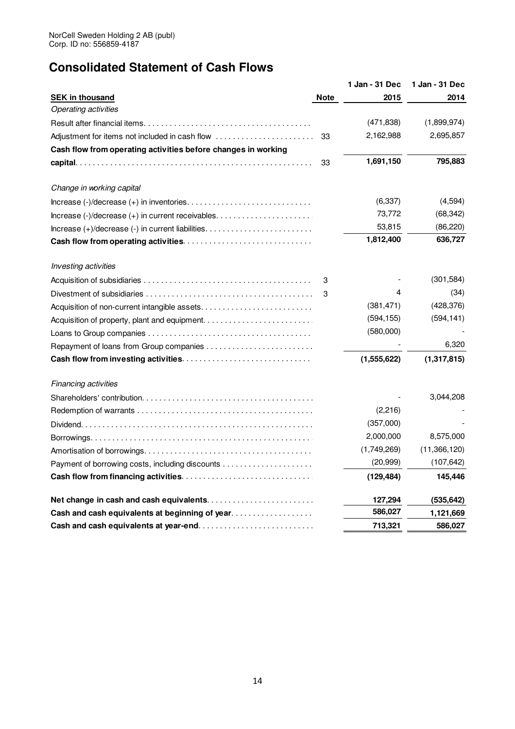## **Consolidated Statement of Cash Flows**

|                                                               |             | 1 Jan - 31 Dec | 1 Jan - 31 Dec |
|---------------------------------------------------------------|-------------|----------------|----------------|
| <b>SEK in thousand</b>                                        | <b>Note</b> | 2015           | 2014           |
| <b>Operating activities</b>                                   |             |                |                |
|                                                               |             | (471, 838)     | (1,899,974)    |
| Adjustment for items not included in cash flow                | 33          | 2,162,988      | 2,695,857      |
| Cash flow from operating activities before changes in working |             |                |                |
|                                                               | 33          | 1,691,150      | 795,883        |
| Change in working capital                                     |             |                |                |
|                                                               |             | (6,337)        | (4, 594)       |
|                                                               |             | 73,772         | (68, 342)      |
| $Increase (+)/decrease (-) in current liabilities.$           |             | 53,815         | (86, 220)      |
|                                                               |             | 1,812,400      | 636,727        |
| Investing activities                                          |             |                |                |
|                                                               | 3           |                | (301, 584)     |
|                                                               | 3           | 4              | (34)           |
|                                                               |             | (381, 471)     | (428, 376)     |
| Acquisition of property, plant and equipment                  |             | (594, 155)     | (594, 141)     |
|                                                               |             | (580,000)      |                |
|                                                               |             |                | 6,320          |
|                                                               |             | (1, 555, 622)  | (1,317,815)    |
| Financing activities                                          |             |                |                |
|                                                               |             |                | 3,044,208      |
|                                                               |             | (2, 216)       |                |
|                                                               |             | (357,000)      |                |
|                                                               |             | 2,000,000      | 8,575,000      |
|                                                               |             | (1,749,269)    | (11,366,120)   |
|                                                               |             | (20, 999)      | (107, 642)     |
|                                                               |             | (129, 484)     | 145,446        |
|                                                               |             | 127,294        | (535, 642)     |
| Cash and cash equivalents at beginning of year                |             | 586,027        | 1,121,669      |
|                                                               |             | 713,321        | 586,027        |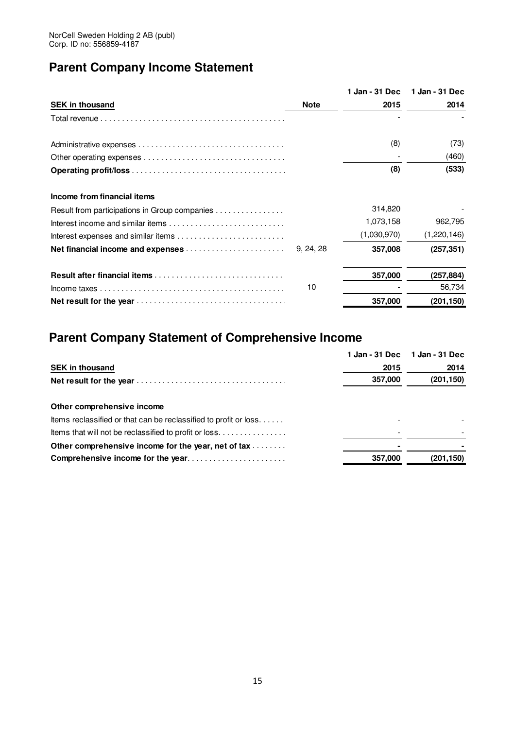## **Parent Company Income Statement**

|                                               |             |             | 1 Jan - 31 Dec 1 Jan - 31 Dec |
|-----------------------------------------------|-------------|-------------|-------------------------------|
| <b>SEK in thousand</b>                        | <b>Note</b> | 2015        | 2014                          |
|                                               |             |             |                               |
|                                               |             | (8)         | (73)                          |
|                                               |             |             | (460)                         |
|                                               |             | (8)         | (533)                         |
| Income from financial items                   |             |             |                               |
| Result from participations in Group companies |             | 314,820     |                               |
|                                               |             | 1,073,158   | 962,795                       |
|                                               |             | (1,030,970) | (1,220,146)                   |
|                                               |             | 357,008     | (257, 351)                    |
|                                               |             | 357,000     | (257,884)                     |
|                                               | 10          |             | 56,734                        |
|                                               |             | 357,000     | (201,150)                     |

## **Parent Company Statement of Comprehensive Income**

|                                                                  | 1 Jan - 31 Dec | 1 Jan - 31 Dec |
|------------------------------------------------------------------|----------------|----------------|
| <b>SEK in thousand</b>                                           | 2015           | 2014           |
|                                                                  | 357,000        | (201, 150)     |
| Other comprehensive income                                       |                |                |
| Items reclassified or that can be reclassified to profit or loss |                |                |
| thems that will not be reclassified to profit or loss            |                |                |
| Other comprehensive income for the year, net of tax              |                |                |
| Comprehensive income for the year                                | 357,000        | (201, 150)     |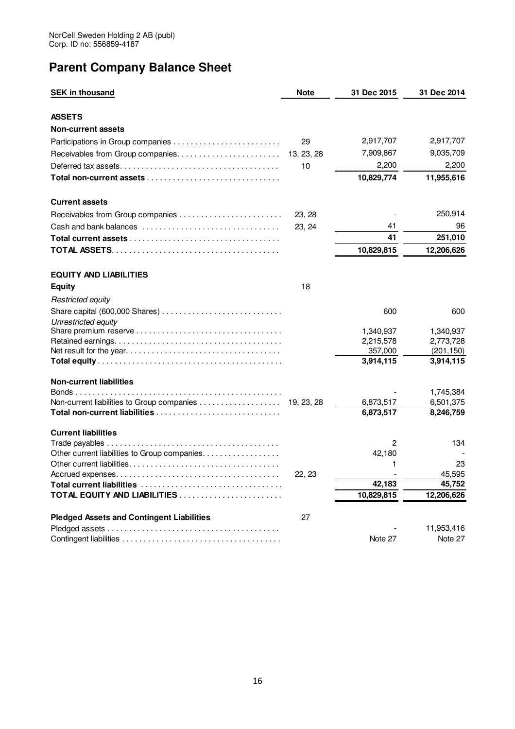## **Parent Company Balance Sheet**

| <b>SEK in thousand</b>                                | <b>Note</b> | 31 Dec 2015    | 31 Dec 2014  |
|-------------------------------------------------------|-------------|----------------|--------------|
| <b>ASSETS</b>                                         |             |                |              |
| <b>Non-current assets</b>                             |             |                |              |
|                                                       | 29          | 2,917,707      | 2,917,707    |
| Receivables from Group companies                      | 13, 23, 28  | 7,909,867      | 9,035,709    |
|                                                       | 10          | 2,200          | 2,200        |
|                                                       |             | 10,829,774     | 11,955,616   |
| <b>Current assets</b>                                 |             |                |              |
| Receivables from Group companies                      | 23, 28      |                | 250,914      |
| Cash and bank balances                                | 23, 24      | 41             | 96           |
|                                                       |             | 41             | 251,010      |
|                                                       |             | 10,829,815     | 12,206,626   |
| <b>EQUITY AND LIABILITIES</b>                         |             |                |              |
| <b>Equity</b>                                         | 18          |                |              |
| <b>Restricted equity</b>                              |             |                |              |
| Unrestricted equity                                   |             | 600            | 600          |
|                                                       |             | 1,340,937      | 1,340,937    |
|                                                       |             | 2,215,578      | 2,773,728    |
|                                                       |             | 357,000        | (201, 150)   |
|                                                       |             | 3,914,115      | 3,914,115    |
| <b>Non-current liabilities</b>                        |             |                | 1,745,384    |
| Non-current liabilities to Group companies 19, 23, 28 |             | 6,873,517      | 6,501,375    |
|                                                       |             | 6,873,517      | 8,246,759    |
| <b>Current liabilities</b>                            |             |                |              |
|                                                       |             | $\overline{2}$ | 134          |
| Other current liabilities to Group companies.         |             | 42,180         |              |
|                                                       | 22, 23      | 1              | 23<br>45,595 |
|                                                       |             | 42,183         | 45,752       |
| TOTAL EQUITY AND LIABILITIES                          |             | 10,829,815     | 12,206,626   |
| <b>Pledged Assets and Contingent Liabilities</b>      | 27          |                |              |
|                                                       |             |                | 11,953,416   |
|                                                       |             | Note 27        | Note 27      |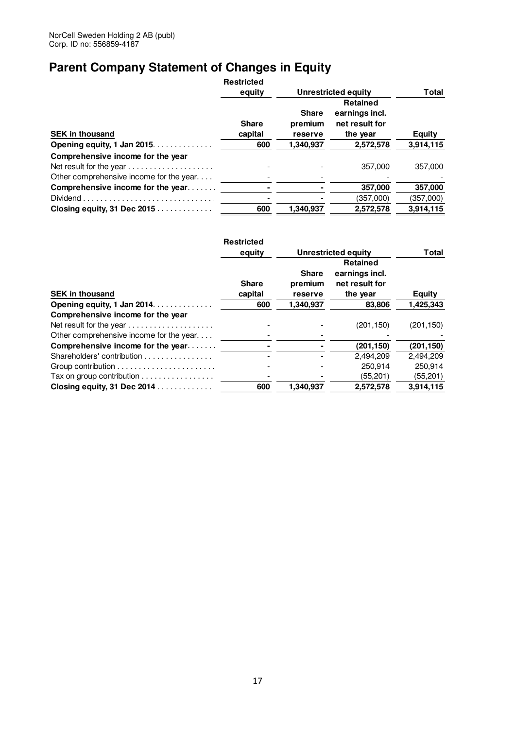## **Parent Company Statement of Changes in Equity**

|                                         | <b>Restricted</b>       |                                    |                                                                 |               |
|-----------------------------------------|-------------------------|------------------------------------|-----------------------------------------------------------------|---------------|
|                                         | equity                  |                                    | <b>Unrestricted equity</b>                                      | Total         |
| <b>SEK in thousand</b>                  | <b>Share</b><br>capital | <b>Share</b><br>premium<br>reserve | <b>Retained</b><br>earnings incl.<br>net result for<br>the year | <b>Equity</b> |
| Opening equity, 1 Jan 2015.             | 600                     | 1,340,937                          | 2,572,578                                                       | 3,914,115     |
| Comprehensive income for the year       |                         |                                    |                                                                 |               |
| Net result for the year                 |                         |                                    | 357.000                                                         | 357,000       |
| Other comprehensive income for the year |                         |                                    |                                                                 |               |
| Comprehensive income for the year       |                         |                                    | 357.000                                                         | 357,000       |
|                                         |                         |                                    | (357,000)                                                       | (357,000)     |
| Closing equity, 31 Dec 2015             | 600                     | 1,340,937                          | 2,572,578                                                       | 3,914,115     |

|                                                                | <b>Restricted</b>       |                                    |                                                                 |               |
|----------------------------------------------------------------|-------------------------|------------------------------------|-----------------------------------------------------------------|---------------|
|                                                                | equity                  |                                    | Unrestricted equity                                             | Total         |
| <b>SEK in thousand</b>                                         | <b>Share</b><br>capital | <b>Share</b><br>premium<br>reserve | <b>Retained</b><br>earnings incl.<br>net result for<br>the year | <b>Equity</b> |
| Opening equity, 1 Jan 2014.                                    | 600                     | 1,340,937                          | 83,806                                                          | 1,425,343     |
| Comprehensive income for the year                              |                         |                                    |                                                                 |               |
|                                                                |                         |                                    | (201, 150)                                                      | (201, 150)    |
| Other comprehensive income for the year                        |                         |                                    |                                                                 |               |
| Comprehensive income for the year                              |                         |                                    | (201, 150)                                                      | (201, 150)    |
| Shareholders' contribution                                     |                         |                                    | 2,494,209                                                       | 2,494,209     |
|                                                                |                         |                                    | 250.914                                                         | 250,914       |
| Tax on group contribution $\ldots \ldots \ldots \ldots \ldots$ |                         |                                    | (55, 201)                                                       | (55, 201)     |
| Closing equity, 31 Dec 2014                                    | 600                     | 1.340.937                          | 2.572.578                                                       | 3.914.115     |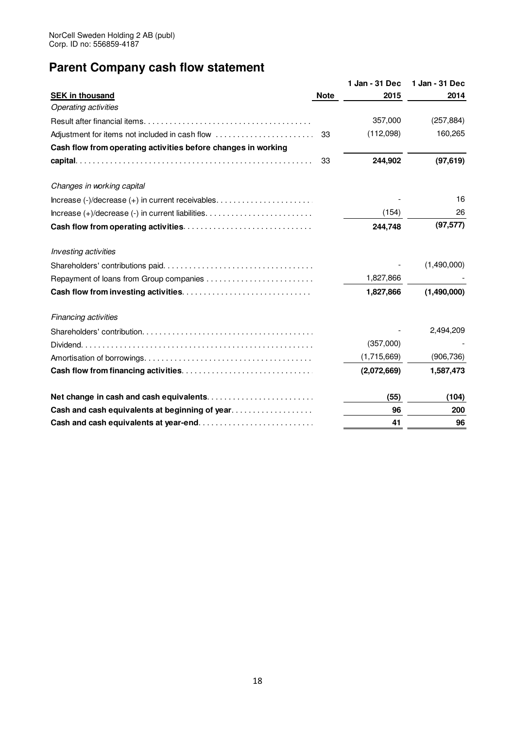## **Parent Company cash flow statement**

|                                                               |             | 1 Jan - 31 Dec | 1 Jan - 31 Dec |
|---------------------------------------------------------------|-------------|----------------|----------------|
| <b>SEK in thousand</b>                                        | <b>Note</b> | 2015           | 2014           |
| <b>Operating activities</b>                                   |             |                |                |
|                                                               |             | 357,000        | (257, 884)     |
|                                                               |             | (112,098)      | 160,265        |
| Cash flow from operating activities before changes in working |             |                |                |
|                                                               | -33         | 244,902        | (97, 619)      |
| Changes in working capital                                    |             |                |                |
|                                                               |             |                | 16             |
|                                                               |             | (154)          | 26             |
|                                                               |             | 244,748        | (97, 577)      |
| Investing activities                                          |             |                |                |
|                                                               |             |                | (1,490,000)    |
|                                                               |             | 1,827,866      |                |
|                                                               |             | 1,827,866      | (1,490,000)    |
| Financing activities                                          |             |                |                |
|                                                               |             |                | 2,494,209      |
|                                                               |             | (357,000)      |                |
|                                                               |             | (1,715,669)    | (906, 736)     |
|                                                               |             | (2,072,669)    | 1,587,473      |
|                                                               |             | (55)           | (104)          |
| Cash and cash equivalents at beginning of year                |             | 96             | 200            |
|                                                               |             | 41             | 96             |
|                                                               |             |                |                |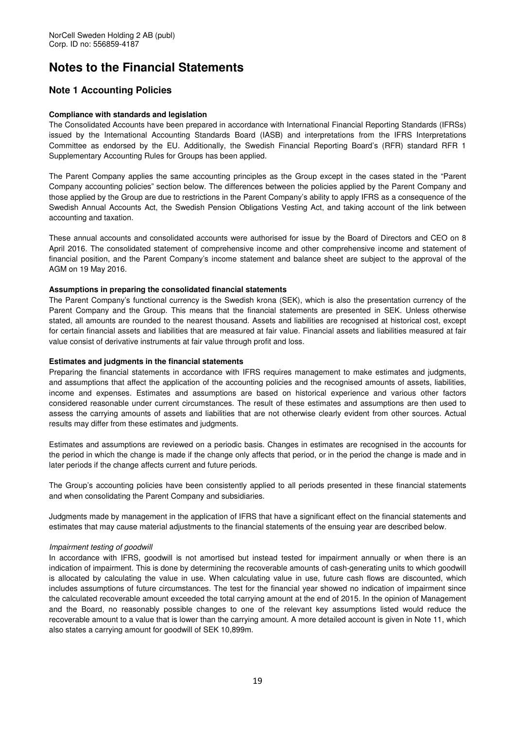## **Notes to the Financial Statements**

### **Note 1 Accounting Policies**

### **Compliance with standards and legislation**

The Consolidated Accounts have been prepared in accordance with International Financial Reporting Standards (IFRSs) issued by the International Accounting Standards Board (IASB) and interpretations from the IFRS Interpretations Committee as endorsed by the EU. Additionally, the Swedish Financial Reporting Board's (RFR) standard RFR 1 Supplementary Accounting Rules for Groups has been applied.

The Parent Company applies the same accounting principles as the Group except in the cases stated in the "Parent Company accounting policies" section below. The differences between the policies applied by the Parent Company and those applied by the Group are due to restrictions in the Parent Company's ability to apply IFRS as a consequence of the Swedish Annual Accounts Act, the Swedish Pension Obligations Vesting Act, and taking account of the link between accounting and taxation.

These annual accounts and consolidated accounts were authorised for issue by the Board of Directors and CEO on 8 April 2016. The consolidated statement of comprehensive income and other comprehensive income and statement of financial position, and the Parent Company's income statement and balance sheet are subject to the approval of the AGM on 19 May 2016.

### **Assumptions in preparing the consolidated financial statements**

The Parent Company's functional currency is the Swedish krona (SEK), which is also the presentation currency of the Parent Company and the Group. This means that the financial statements are presented in SEK. Unless otherwise stated, all amounts are rounded to the nearest thousand. Assets and liabilities are recognised at historical cost, except for certain financial assets and liabilities that are measured at fair value. Financial assets and liabilities measured at fair value consist of derivative instruments at fair value through profit and loss.

### **Estimates and judgments in the financial statements**

Preparing the financial statements in accordance with IFRS requires management to make estimates and judgments, and assumptions that affect the application of the accounting policies and the recognised amounts of assets, liabilities, income and expenses. Estimates and assumptions are based on historical experience and various other factors considered reasonable under current circumstances. The result of these estimates and assumptions are then used to assess the carrying amounts of assets and liabilities that are not otherwise clearly evident from other sources. Actual results may differ from these estimates and judgments.

Estimates and assumptions are reviewed on a periodic basis. Changes in estimates are recognised in the accounts for the period in which the change is made if the change only affects that period, or in the period the change is made and in later periods if the change affects current and future periods.

The Group's accounting policies have been consistently applied to all periods presented in these financial statements and when consolidating the Parent Company and subsidiaries.

Judgments made by management in the application of IFRS that have a significant effect on the financial statements and estimates that may cause material adjustments to the financial statements of the ensuing year are described below.

### Impairment testing of goodwill

In accordance with IFRS, goodwill is not amortised but instead tested for impairment annually or when there is an indication of impairment. This is done by determining the recoverable amounts of cash-generating units to which goodwill is allocated by calculating the value in use. When calculating value in use, future cash flows are discounted, which includes assumptions of future circumstances. The test for the financial year showed no indication of impairment since the calculated recoverable amount exceeded the total carrying amount at the end of 2015. In the opinion of Management and the Board, no reasonably possible changes to one of the relevant key assumptions listed would reduce the recoverable amount to a value that is lower than the carrying amount. A more detailed account is given in Note 11, which also states a carrying amount for goodwill of SEK 10,899m.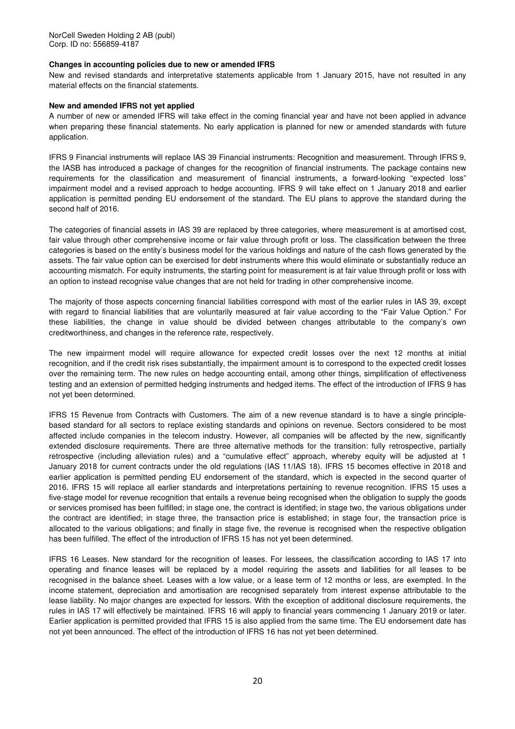### **Changes in accounting policies due to new or amended IFRS**

New and revised standards and interpretative statements applicable from 1 January 2015, have not resulted in any material effects on the financial statements.

#### **New and amended IFRS not yet applied**

A number of new or amended IFRS will take effect in the coming financial year and have not been applied in advance when preparing these financial statements. No early application is planned for new or amended standards with future application.

IFRS 9 Financial instruments will replace IAS 39 Financial instruments: Recognition and measurement. Through IFRS 9, the IASB has introduced a package of changes for the recognition of financial instruments. The package contains new requirements for the classification and measurement of financial instruments, a forward-looking "expected loss" impairment model and a revised approach to hedge accounting. IFRS 9 will take effect on 1 January 2018 and earlier application is permitted pending EU endorsement of the standard. The EU plans to approve the standard during the second half of 2016.

The categories of financial assets in IAS 39 are replaced by three categories, where measurement is at amortised cost, fair value through other comprehensive income or fair value through profit or loss. The classification between the three categories is based on the entity's business model for the various holdings and nature of the cash flows generated by the assets. The fair value option can be exercised for debt instruments where this would eliminate or substantially reduce an accounting mismatch. For equity instruments, the starting point for measurement is at fair value through profit or loss with an option to instead recognise value changes that are not held for trading in other comprehensive income.

The majority of those aspects concerning financial liabilities correspond with most of the earlier rules in IAS 39, except with regard to financial liabilities that are voluntarily measured at fair value according to the "Fair Value Option." For these liabilities, the change in value should be divided between changes attributable to the company's own creditworthiness, and changes in the reference rate, respectively.

The new impairment model will require allowance for expected credit losses over the next 12 months at initial recognition, and if the credit risk rises substantially, the impairment amount is to correspond to the expected credit losses over the remaining term. The new rules on hedge accounting entail, among other things, simplification of effectiveness testing and an extension of permitted hedging instruments and hedged items. The effect of the introduction of IFRS 9 has not yet been determined.

IFRS 15 Revenue from Contracts with Customers. The aim of a new revenue standard is to have a single principlebased standard for all sectors to replace existing standards and opinions on revenue. Sectors considered to be most affected include companies in the telecom industry. However, all companies will be affected by the new, significantly extended disclosure requirements. There are three alternative methods for the transition: fully retrospective, partially retrospective (including alleviation rules) and a "cumulative effect" approach, whereby equity will be adjusted at 1 January 2018 for current contracts under the old regulations (IAS 11/IAS 18). IFRS 15 becomes effective in 2018 and earlier application is permitted pending EU endorsement of the standard, which is expected in the second quarter of 2016. IFRS 15 will replace all earlier standards and interpretations pertaining to revenue recognition. IFRS 15 uses a five-stage model for revenue recognition that entails a revenue being recognised when the obligation to supply the goods or services promised has been fulfilled; in stage one, the contract is identified; in stage two, the various obligations under the contract are identified; in stage three, the transaction price is established; in stage four, the transaction price is allocated to the various obligations; and finally in stage five, the revenue is recognised when the respective obligation has been fulfilled. The effect of the introduction of IFRS 15 has not yet been determined.

IFRS 16 Leases. New standard for the recognition of leases. For lessees, the classification according to IAS 17 into operating and finance leases will be replaced by a model requiring the assets and liabilities for all leases to be recognised in the balance sheet. Leases with a low value, or a lease term of 12 months or less, are exempted. In the income statement, depreciation and amortisation are recognised separately from interest expense attributable to the lease liability. No major changes are expected for lessors. With the exception of additional disclosure requirements, the rules in IAS 17 will effectively be maintained. IFRS 16 will apply to financial years commencing 1 January 2019 or later. Earlier application is permitted provided that IFRS 15 is also applied from the same time. The EU endorsement date has not yet been announced. The effect of the introduction of IFRS 16 has not yet been determined.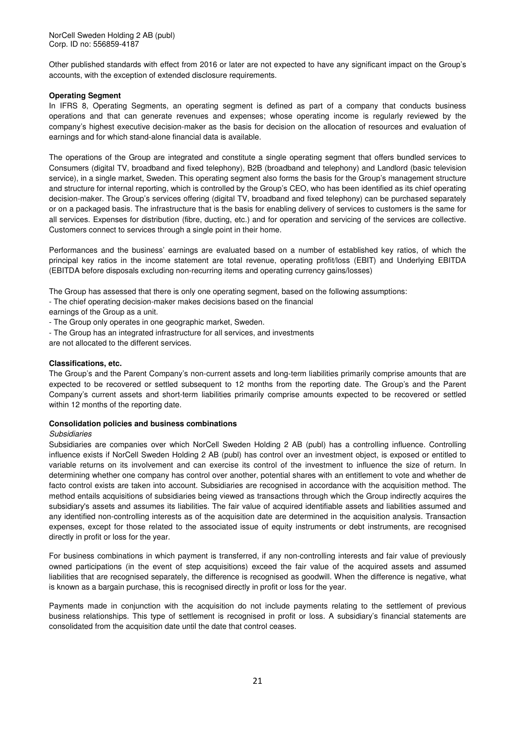Other published standards with effect from 2016 or later are not expected to have any significant impact on the Group's accounts, with the exception of extended disclosure requirements.

### **Operating Segment**

In IFRS 8, Operating Segments, an operating segment is defined as part of a company that conducts business operations and that can generate revenues and expenses; whose operating income is regularly reviewed by the company's highest executive decision-maker as the basis for decision on the allocation of resources and evaluation of earnings and for which stand-alone financial data is available.

The operations of the Group are integrated and constitute a single operating segment that offers bundled services to Consumers (digital TV, broadband and fixed telephony), B2B (broadband and telephony) and Landlord (basic television service), in a single market, Sweden. This operating segment also forms the basis for the Group's management structure and structure for internal reporting, which is controlled by the Group's CEO, who has been identified as its chief operating decision-maker. The Group's services offering (digital TV, broadband and fixed telephony) can be purchased separately or on a packaged basis. The infrastructure that is the basis for enabling delivery of services to customers is the same for all services. Expenses for distribution (fibre, ducting, etc.) and for operation and servicing of the services are collective. Customers connect to services through a single point in their home.

Performances and the business' earnings are evaluated based on a number of established key ratios, of which the principal key ratios in the income statement are total revenue, operating profit/loss (EBIT) and Underlying EBITDA (EBITDA before disposals excluding non-recurring items and operating currency gains/losses)

The Group has assessed that there is only one operating segment, based on the following assumptions:

- The chief operating decision-maker makes decisions based on the financial

earnings of the Group as a unit.

- The Group only operates in one geographic market, Sweden.
- The Group has an integrated infrastructure for all services, and investments

are not allocated to the different services.

### **Classifications, etc.**

The Group's and the Parent Company's non-current assets and long-term liabilities primarily comprise amounts that are expected to be recovered or settled subsequent to 12 months from the reporting date. The Group's and the Parent Company's current assets and short-term liabilities primarily comprise amounts expected to be recovered or settled within 12 months of the reporting date.

#### **Consolidation policies and business combinations**

#### **Subsidiaries**

Subsidiaries are companies over which NorCell Sweden Holding 2 AB (publ) has a controlling influence. Controlling influence exists if NorCell Sweden Holding 2 AB (publ) has control over an investment object, is exposed or entitled to variable returns on its involvement and can exercise its control of the investment to influence the size of return. In determining whether one company has control over another, potential shares with an entitlement to vote and whether de facto control exists are taken into account. Subsidiaries are recognised in accordance with the acquisition method. The method entails acquisitions of subsidiaries being viewed as transactions through which the Group indirectly acquires the subsidiary's assets and assumes its liabilities. The fair value of acquired identifiable assets and liabilities assumed and any identified non-controlling interests as of the acquisition date are determined in the acquisition analysis. Transaction expenses, except for those related to the associated issue of equity instruments or debt instruments, are recognised directly in profit or loss for the year.

For business combinations in which payment is transferred, if any non-controlling interests and fair value of previously owned participations (in the event of step acquisitions) exceed the fair value of the acquired assets and assumed liabilities that are recognised separately, the difference is recognised as goodwill. When the difference is negative, what is known as a bargain purchase, this is recognised directly in profit or loss for the year.

Payments made in conjunction with the acquisition do not include payments relating to the settlement of previous business relationships. This type of settlement is recognised in profit or loss. A subsidiary's financial statements are consolidated from the acquisition date until the date that control ceases.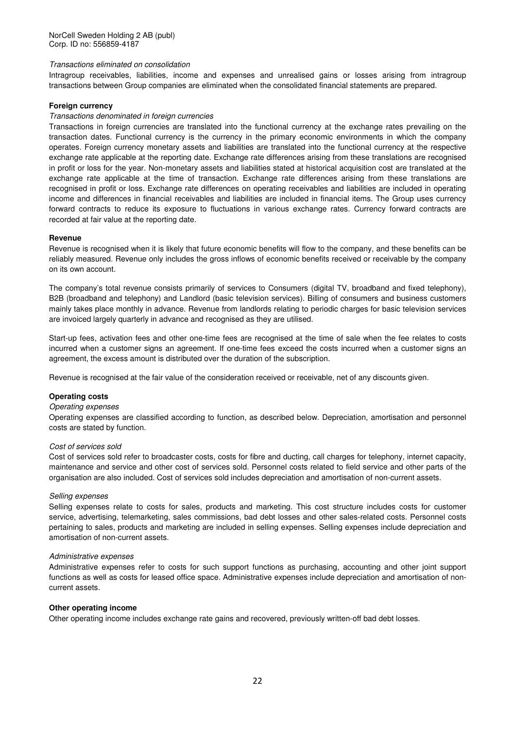### Transactions eliminated on consolidation

Intragroup receivables, liabilities, income and expenses and unrealised gains or losses arising from intragroup transactions between Group companies are eliminated when the consolidated financial statements are prepared.

### **Foreign currency**

### Transactions denominated in foreign currencies

Transactions in foreign currencies are translated into the functional currency at the exchange rates prevailing on the transaction dates. Functional currency is the currency in the primary economic environments in which the company operates. Foreign currency monetary assets and liabilities are translated into the functional currency at the respective exchange rate applicable at the reporting date. Exchange rate differences arising from these translations are recognised in profit or loss for the year. Non-monetary assets and liabilities stated at historical acquisition cost are translated at the exchange rate applicable at the time of transaction. Exchange rate differences arising from these translations are recognised in profit or loss. Exchange rate differences on operating receivables and liabilities are included in operating income and differences in financial receivables and liabilities are included in financial items. The Group uses currency forward contracts to reduce its exposure to fluctuations in various exchange rates. Currency forward contracts are recorded at fair value at the reporting date.

### **Revenue**

Revenue is recognised when it is likely that future economic benefits will flow to the company, and these benefits can be reliably measured. Revenue only includes the gross inflows of economic benefits received or receivable by the company on its own account.

The company's total revenue consists primarily of services to Consumers (digital TV, broadband and fixed telephony), B2B (broadband and telephony) and Landlord (basic television services). Billing of consumers and business customers mainly takes place monthly in advance. Revenue from landlords relating to periodic charges for basic television services are invoiced largely quarterly in advance and recognised as they are utilised.

Start-up fees, activation fees and other one-time fees are recognised at the time of sale when the fee relates to costs incurred when a customer signs an agreement. If one-time fees exceed the costs incurred when a customer signs an agreement, the excess amount is distributed over the duration of the subscription.

Revenue is recognised at the fair value of the consideration received or receivable, net of any discounts given.

### **Operating costs**

#### Operating expenses

Operating expenses are classified according to function, as described below. Depreciation, amortisation and personnel costs are stated by function.

#### Cost of services sold

Cost of services sold refer to broadcaster costs, costs for fibre and ducting, call charges for telephony, internet capacity, maintenance and service and other cost of services sold. Personnel costs related to field service and other parts of the organisation are also included. Cost of services sold includes depreciation and amortisation of non-current assets.

#### Selling expenses

Selling expenses relate to costs for sales, products and marketing. This cost structure includes costs for customer service, advertising, telemarketing, sales commissions, bad debt losses and other sales-related costs. Personnel costs pertaining to sales, products and marketing are included in selling expenses. Selling expenses include depreciation and amortisation of non-current assets.

#### Administrative expenses

Administrative expenses refer to costs for such support functions as purchasing, accounting and other joint support functions as well as costs for leased office space. Administrative expenses include depreciation and amortisation of noncurrent assets.

#### **Other operating income**

Other operating income includes exchange rate gains and recovered, previously written-off bad debt losses.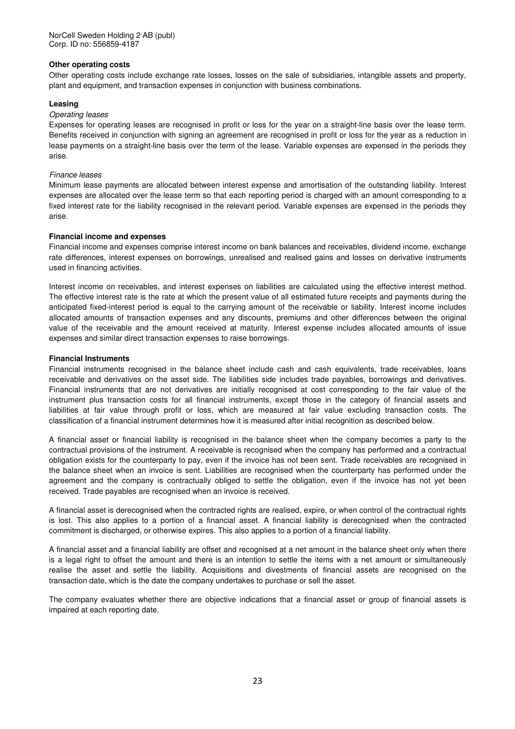### **Other operating costs**

Other operating costs include exchange rate losses, losses on the sale of subsidiaries, intangible assets and property, plant and equipment, and transaction expenses in conjunction with business combinations.

### **Leasing**

### Operating leases

Expenses for operating leases are recognised in profit or loss for the year on a straight-line basis over the lease term. Benefits received in conjunction with signing an agreement are recognised in profit or loss for the year as a reduction in lease payments on a straight-line basis over the term of the lease. Variable expenses are expensed in the periods they arise.

### Finance leases

Minimum lease payments are allocated between interest expense and amortisation of the outstanding liability. Interest expenses are allocated over the lease term so that each reporting period is charged with an amount corresponding to a fixed interest rate for the liability recognised in the relevant period. Variable expenses are expensed in the periods they arise.

### **Financial income and expenses**

Financial income and expenses comprise interest income on bank balances and receivables, dividend income, exchange rate differences, interest expenses on borrowings, unrealised and realised gains and losses on derivative instruments used in financing activities.

Interest income on receivables, and interest expenses on liabilities are calculated using the effective interest method. The effective interest rate is the rate at which the present value of all estimated future receipts and payments during the anticipated fixed-interest period is equal to the carrying amount of the receivable or liability. Interest income includes allocated amounts of transaction expenses and any discounts, premiums and other differences between the original value of the receivable and the amount received at maturity. Interest expense includes allocated amounts of issue expenses and similar direct transaction expenses to raise borrowings.

### **Financial Instruments**

Financial instruments recognised in the balance sheet include cash and cash equivalents, trade receivables, loans receivable and derivatives on the asset side. The liabilities side includes trade payables, borrowings and derivatives. Financial instruments that are not derivatives are initially recognised at cost corresponding to the fair value of the instrument plus transaction costs for all financial instruments, except those in the category of financial assets and liabilities at fair value through profit or loss, which are measured at fair value excluding transaction costs. The classification of a financial instrument determines how it is measured after initial recognition as described below.

A financial asset or financial liability is recognised in the balance sheet when the company becomes a party to the contractual provisions of the instrument. A receivable is recognised when the company has performed and a contractual obligation exists for the counterparty to pay, even if the invoice has not been sent. Trade receivables are recognised in the balance sheet when an invoice is sent. Liabilities are recognised when the counterparty has performed under the agreement and the company is contractually obliged to settle the obligation, even if the invoice has not yet been received. Trade payables are recognised when an invoice is received.

A financial asset is derecognised when the contracted rights are realised, expire, or when control of the contractual rights is lost. This also applies to a portion of a financial asset. A financial liability is derecognised when the contracted commitment is discharged, or otherwise expires. This also applies to a portion of a financial liability.

A financial asset and a financial liability are offset and recognised at a net amount in the balance sheet only when there is a legal right to offset the amount and there is an intention to settle the items with a net amount or simultaneously realise the asset and settle the liability. Acquisitions and divestments of financial assets are recognised on the transaction date, which is the date the company undertakes to purchase or sell the asset.

The company evaluates whether there are objective indications that a financial asset or group of financial assets is impaired at each reporting date.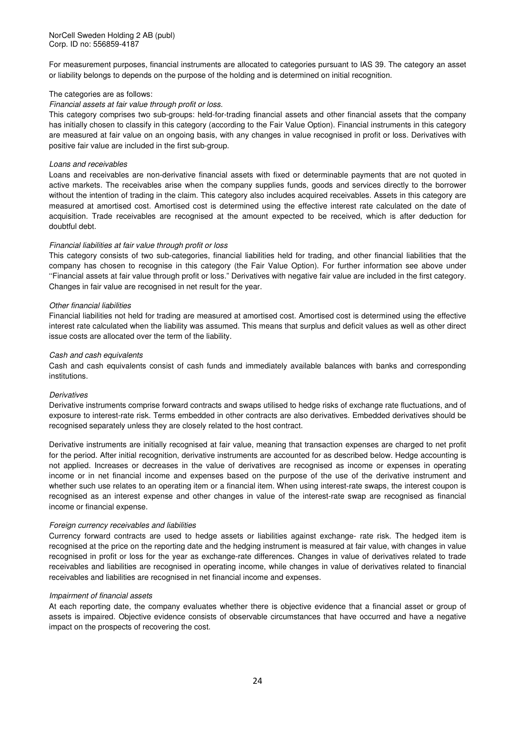For measurement purposes, financial instruments are allocated to categories pursuant to IAS 39. The category an asset or liability belongs to depends on the purpose of the holding and is determined on initial recognition.

### The categories are as follows:

### Financial assets at fair value through profit or loss.

This category comprises two sub-groups: held-for-trading financial assets and other financial assets that the company has initially chosen to classify in this category (according to the Fair Value Option). Financial instruments in this category are measured at fair value on an ongoing basis, with any changes in value recognised in profit or loss. Derivatives with positive fair value are included in the first sub-group.

### Loans and receivables

Loans and receivables are non-derivative financial assets with fixed or determinable payments that are not quoted in active markets. The receivables arise when the company supplies funds, goods and services directly to the borrower without the intention of trading in the claim. This category also includes acquired receivables. Assets in this category are measured at amortised cost. Amortised cost is determined using the effective interest rate calculated on the date of acquisition. Trade receivables are recognised at the amount expected to be received, which is after deduction for doubtful debt.

### Financial liabilities at fair value through profit or loss

This category consists of two sub-categories, financial liabilities held for trading, and other financial liabilities that the company has chosen to recognise in this category (the Fair Value Option). For further information see above under ''Financial assets at fair value through profit or loss." Derivatives with negative fair value are included in the first category. Changes in fair value are recognised in net result for the year.

### Other financial liabilities

Financial liabilities not held for trading are measured at amortised cost. Amortised cost is determined using the effective interest rate calculated when the liability was assumed. This means that surplus and deficit values as well as other direct issue costs are allocated over the term of the liability.

### Cash and cash equivalents

Cash and cash equivalents consist of cash funds and immediately available balances with banks and corresponding institutions.

#### **Derivatives**

Derivative instruments comprise forward contracts and swaps utilised to hedge risks of exchange rate fluctuations, and of exposure to interest-rate risk. Terms embedded in other contracts are also derivatives. Embedded derivatives should be recognised separately unless they are closely related to the host contract.

Derivative instruments are initially recognised at fair value, meaning that transaction expenses are charged to net profit for the period. After initial recognition, derivative instruments are accounted for as described below. Hedge accounting is not applied. Increases or decreases in the value of derivatives are recognised as income or expenses in operating income or in net financial income and expenses based on the purpose of the use of the derivative instrument and whether such use relates to an operating item or a financial item. When using interest-rate swaps, the interest coupon is recognised as an interest expense and other changes in value of the interest-rate swap are recognised as financial income or financial expense.

#### Foreign currency receivables and liabilities

Currency forward contracts are used to hedge assets or liabilities against exchange- rate risk. The hedged item is recognised at the price on the reporting date and the hedging instrument is measured at fair value, with changes in value recognised in profit or loss for the year as exchange-rate differences. Changes in value of derivatives related to trade receivables and liabilities are recognised in operating income, while changes in value of derivatives related to financial receivables and liabilities are recognised in net financial income and expenses.

#### Impairment of financial assets

At each reporting date, the company evaluates whether there is objective evidence that a financial asset or group of assets is impaired. Objective evidence consists of observable circumstances that have occurred and have a negative impact on the prospects of recovering the cost.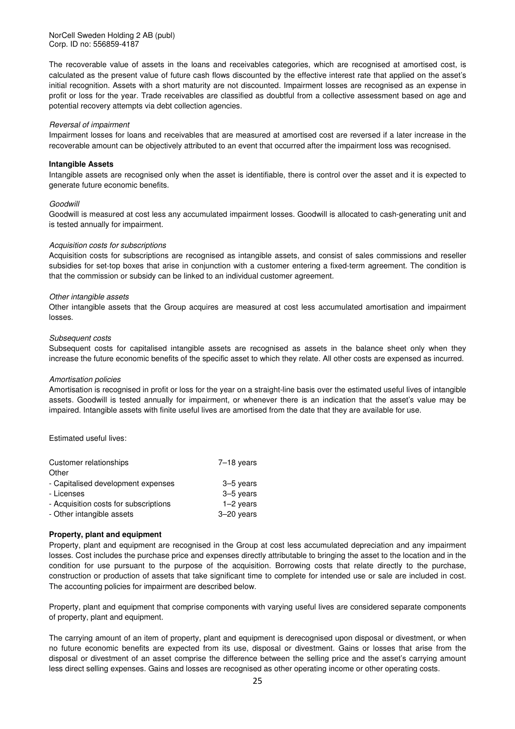NorCell Sweden Holding 2 AB (publ) Corp. ID no: 556859-4187

The recoverable value of assets in the loans and receivables categories, which are recognised at amortised cost, is calculated as the present value of future cash flows discounted by the effective interest rate that applied on the asset's initial recognition. Assets with a short maturity are not discounted. Impairment losses are recognised as an expense in profit or loss for the year. Trade receivables are classified as doubtful from a collective assessment based on age and potential recovery attempts via debt collection agencies.

#### Reversal of impairment

Impairment losses for loans and receivables that are measured at amortised cost are reversed if a later increase in the recoverable amount can be objectively attributed to an event that occurred after the impairment loss was recognised.

### **Intangible Assets**

Intangible assets are recognised only when the asset is identifiable, there is control over the asset and it is expected to generate future economic benefits.

#### Goodwill

Goodwill is measured at cost less any accumulated impairment losses. Goodwill is allocated to cash-generating unit and is tested annually for impairment.

#### Acquisition costs for subscriptions

Acquisition costs for subscriptions are recognised as intangible assets, and consist of sales commissions and reseller subsidies for set-top boxes that arise in conjunction with a customer entering a fixed-term agreement. The condition is that the commission or subsidy can be linked to an individual customer agreement.

#### Other intangible assets

Other intangible assets that the Group acquires are measured at cost less accumulated amortisation and impairment losses.

#### Subsequent costs

Subsequent costs for capitalised intangible assets are recognised as assets in the balance sheet only when they increase the future economic benefits of the specific asset to which they relate. All other costs are expensed as incurred.

#### Amortisation policies

Amortisation is recognised in profit or loss for the year on a straight-line basis over the estimated useful lives of intangible assets. Goodwill is tested annually for impairment, or whenever there is an indication that the asset's value may be impaired. Intangible assets with finite useful lives are amortised from the date that they are available for use.

#### Estimated useful lives:

| Customer relationships                | $7-18$ years |
|---------------------------------------|--------------|
| Other                                 |              |
| - Capitalised development expenses    | $3-5$ years  |
| - Licenses                            | 3-5 years    |
| - Acquisition costs for subscriptions | $1-2$ years  |
| - Other intangible assets             | $3-20$ years |

#### **Property, plant and equipment**

Property, plant and equipment are recognised in the Group at cost less accumulated depreciation and any impairment losses. Cost includes the purchase price and expenses directly attributable to bringing the asset to the location and in the condition for use pursuant to the purpose of the acquisition. Borrowing costs that relate directly to the purchase, construction or production of assets that take significant time to complete for intended use or sale are included in cost. The accounting policies for impairment are described below.

Property, plant and equipment that comprise components with varying useful lives are considered separate components of property, plant and equipment.

The carrying amount of an item of property, plant and equipment is derecognised upon disposal or divestment, or when no future economic benefits are expected from its use, disposal or divestment. Gains or losses that arise from the disposal or divestment of an asset comprise the difference between the selling price and the asset's carrying amount less direct selling expenses. Gains and losses are recognised as other operating income or other operating costs.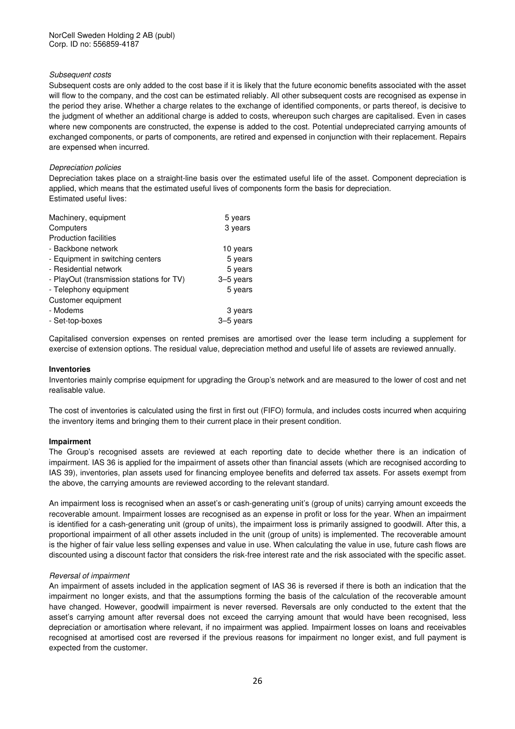### Subsequent costs

Subsequent costs are only added to the cost base if it is likely that the future economic benefits associated with the asset will flow to the company, and the cost can be estimated reliably. All other subsequent costs are recognised as expense in the period they arise. Whether a charge relates to the exchange of identified components, or parts thereof, is decisive to the judgment of whether an additional charge is added to costs, whereupon such charges are capitalised. Even in cases where new components are constructed, the expense is added to the cost. Potential undepreciated carrying amounts of exchanged components, or parts of components, are retired and expensed in conjunction with their replacement. Repairs are expensed when incurred.

### Depreciation policies

Depreciation takes place on a straight-line basis over the estimated useful life of the asset. Component depreciation is applied, which means that the estimated useful lives of components form the basis for depreciation. Estimated useful lives:

| Machinery, equipment                     | 5 years   |
|------------------------------------------|-----------|
| Computers                                | 3 years   |
| <b>Production facilities</b>             |           |
| - Backbone network                       | 10 years  |
| - Equipment in switching centers         | 5 years   |
| - Residential network                    | 5 years   |
| - PlayOut (transmission stations for TV) | 3-5 years |
| - Telephony equipment                    | 5 years   |
| Customer equipment                       |           |
| - Modems                                 | 3 years   |
| - Set-top-boxes                          | 3–5 years |

Capitalised conversion expenses on rented premises are amortised over the lease term including a supplement for exercise of extension options. The residual value, depreciation method and useful life of assets are reviewed annually.

### **Inventories**

Inventories mainly comprise equipment for upgrading the Group's network and are measured to the lower of cost and net realisable value.

The cost of inventories is calculated using the first in first out (FIFO) formula, and includes costs incurred when acquiring the inventory items and bringing them to their current place in their present condition.

#### **Impairment**

The Group's recognised assets are reviewed at each reporting date to decide whether there is an indication of impairment. IAS 36 is applied for the impairment of assets other than financial assets (which are recognised according to IAS 39), inventories, plan assets used for financing employee benefits and deferred tax assets. For assets exempt from the above, the carrying amounts are reviewed according to the relevant standard.

An impairment loss is recognised when an asset's or cash-generating unit's (group of units) carrying amount exceeds the recoverable amount. Impairment losses are recognised as an expense in profit or loss for the year. When an impairment is identified for a cash-generating unit (group of units), the impairment loss is primarily assigned to goodwill. After this, a proportional impairment of all other assets included in the unit (group of units) is implemented. The recoverable amount is the higher of fair value less selling expenses and value in use. When calculating the value in use, future cash flows are discounted using a discount factor that considers the risk-free interest rate and the risk associated with the specific asset.

### Reversal of impairment

An impairment of assets included in the application segment of IAS 36 is reversed if there is both an indication that the impairment no longer exists, and that the assumptions forming the basis of the calculation of the recoverable amount have changed. However, goodwill impairment is never reversed. Reversals are only conducted to the extent that the asset's carrying amount after reversal does not exceed the carrying amount that would have been recognised, less depreciation or amortisation where relevant, if no impairment was applied. Impairment losses on loans and receivables recognised at amortised cost are reversed if the previous reasons for impairment no longer exist, and full payment is expected from the customer.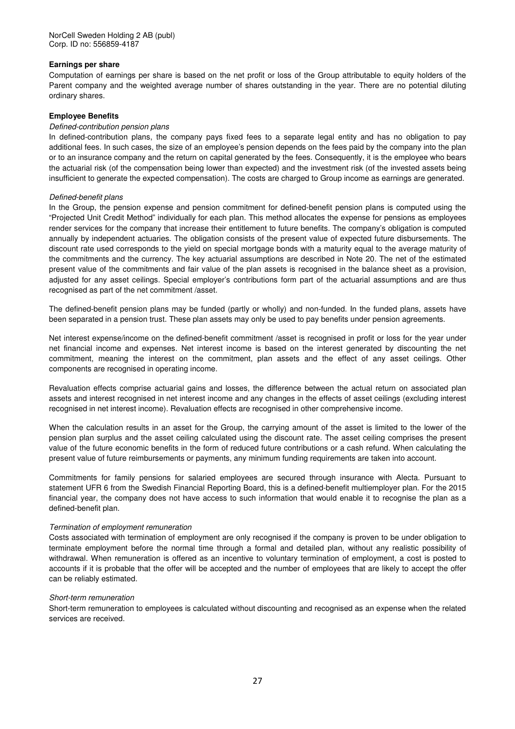### **Earnings per share**

Computation of earnings per share is based on the net profit or loss of the Group attributable to equity holders of the Parent company and the weighted average number of shares outstanding in the year. There are no potential diluting ordinary shares.

### **Employee Benefits**

### Defined-contribution pension plans

In defined-contribution plans, the company pays fixed fees to a separate legal entity and has no obligation to pay additional fees. In such cases, the size of an employee's pension depends on the fees paid by the company into the plan or to an insurance company and the return on capital generated by the fees. Consequently, it is the employee who bears the actuarial risk (of the compensation being lower than expected) and the investment risk (of the invested assets being insufficient to generate the expected compensation). The costs are charged to Group income as earnings are generated.

### Defined-benefit plans

In the Group, the pension expense and pension commitment for defined-benefit pension plans is computed using the "Projected Unit Credit Method" individually for each plan. This method allocates the expense for pensions as employees render services for the company that increase their entitlement to future benefits. The company's obligation is computed annually by independent actuaries. The obligation consists of the present value of expected future disbursements. The discount rate used corresponds to the yield on special mortgage bonds with a maturity equal to the average maturity of the commitments and the currency. The key actuarial assumptions are described in Note 20. The net of the estimated present value of the commitments and fair value of the plan assets is recognised in the balance sheet as a provision, adjusted for any asset ceilings. Special employer's contributions form part of the actuarial assumptions and are thus recognised as part of the net commitment /asset.

The defined-benefit pension plans may be funded (partly or wholly) and non-funded. In the funded plans, assets have been separated in a pension trust. These plan assets may only be used to pay benefits under pension agreements.

Net interest expense/income on the defined-benefit commitment /asset is recognised in profit or loss for the year under net financial income and expenses. Net interest income is based on the interest generated by discounting the net commitment, meaning the interest on the commitment, plan assets and the effect of any asset ceilings. Other components are recognised in operating income.

Revaluation effects comprise actuarial gains and losses, the difference between the actual return on associated plan assets and interest recognised in net interest income and any changes in the effects of asset ceilings (excluding interest recognised in net interest income). Revaluation effects are recognised in other comprehensive income.

When the calculation results in an asset for the Group, the carrying amount of the asset is limited to the lower of the pension plan surplus and the asset ceiling calculated using the discount rate. The asset ceiling comprises the present value of the future economic benefits in the form of reduced future contributions or a cash refund. When calculating the present value of future reimbursements or payments, any minimum funding requirements are taken into account.

Commitments for family pensions for salaried employees are secured through insurance with Alecta. Pursuant to statement UFR 6 from the Swedish Financial Reporting Board, this is a defined-benefit multiemployer plan. For the 2015 financial year, the company does not have access to such information that would enable it to recognise the plan as a defined-benefit plan.

#### Termination of employment remuneration

Costs associated with termination of employment are only recognised if the company is proven to be under obligation to terminate employment before the normal time through a formal and detailed plan, without any realistic possibility of withdrawal. When remuneration is offered as an incentive to voluntary termination of employment, a cost is posted to accounts if it is probable that the offer will be accepted and the number of employees that are likely to accept the offer can be reliably estimated.

#### Short-term remuneration

Short-term remuneration to employees is calculated without discounting and recognised as an expense when the related services are received.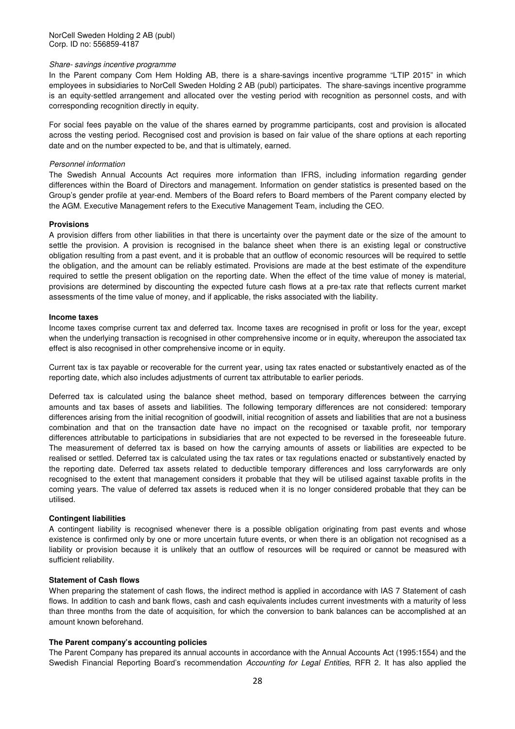#### Share- savings incentive programme

In the Parent company Com Hem Holding AB, there is a share-savings incentive programme "LTIP 2015" in which employees in subsidiaries to NorCell Sweden Holding 2 AB (publ) participates. The share-savings incentive programme is an equity-settled arrangement and allocated over the vesting period with recognition as personnel costs, and with corresponding recognition directly in equity.

For social fees payable on the value of the shares earned by programme participants, cost and provision is allocated across the vesting period. Recognised cost and provision is based on fair value of the share options at each reporting date and on the number expected to be, and that is ultimately, earned.

#### Personnel information

The Swedish Annual Accounts Act requires more information than IFRS, including information regarding gender differences within the Board of Directors and management. Information on gender statistics is presented based on the Group's gender profile at year-end. Members of the Board refers to Board members of the Parent company elected by the AGM. Executive Management refers to the Executive Management Team, including the CEO.

#### **Provisions**

A provision differs from other liabilities in that there is uncertainty over the payment date or the size of the amount to settle the provision. A provision is recognised in the balance sheet when there is an existing legal or constructive obligation resulting from a past event, and it is probable that an outflow of economic resources will be required to settle the obligation, and the amount can be reliably estimated. Provisions are made at the best estimate of the expenditure required to settle the present obligation on the reporting date. When the effect of the time value of money is material, provisions are determined by discounting the expected future cash flows at a pre-tax rate that reflects current market assessments of the time value of money, and if applicable, the risks associated with the liability.

#### **Income taxes**

Income taxes comprise current tax and deferred tax. Income taxes are recognised in profit or loss for the year, except when the underlying transaction is recognised in other comprehensive income or in equity, whereupon the associated tax effect is also recognised in other comprehensive income or in equity.

Current tax is tax payable or recoverable for the current year, using tax rates enacted or substantively enacted as of the reporting date, which also includes adjustments of current tax attributable to earlier periods.

Deferred tax is calculated using the balance sheet method, based on temporary differences between the carrying amounts and tax bases of assets and liabilities. The following temporary differences are not considered: temporary differences arising from the initial recognition of goodwill, initial recognition of assets and liabilities that are not a business combination and that on the transaction date have no impact on the recognised or taxable profit, nor temporary differences attributable to participations in subsidiaries that are not expected to be reversed in the foreseeable future. The measurement of deferred tax is based on how the carrying amounts of assets or liabilities are expected to be realised or settled. Deferred tax is calculated using the tax rates or tax regulations enacted or substantively enacted by the reporting date. Deferred tax assets related to deductible temporary differences and loss carryforwards are only recognised to the extent that management considers it probable that they will be utilised against taxable profits in the coming years. The value of deferred tax assets is reduced when it is no longer considered probable that they can be utilised.

#### **Contingent liabilities**

A contingent liability is recognised whenever there is a possible obligation originating from past events and whose existence is confirmed only by one or more uncertain future events, or when there is an obligation not recognised as a liability or provision because it is unlikely that an outflow of resources will be required or cannot be measured with sufficient reliability.

#### **Statement of Cash flows**

When preparing the statement of cash flows, the indirect method is applied in accordance with IAS 7 Statement of cash flows. In addition to cash and bank flows, cash and cash equivalents includes current investments with a maturity of less than three months from the date of acquisition, for which the conversion to bank balances can be accomplished at an amount known beforehand.

### **The Parent company's accounting policies**

The Parent Company has prepared its annual accounts in accordance with the Annual Accounts Act (1995:1554) and the Swedish Financial Reporting Board's recommendation Accounting for Legal Entities, RFR 2. It has also applied the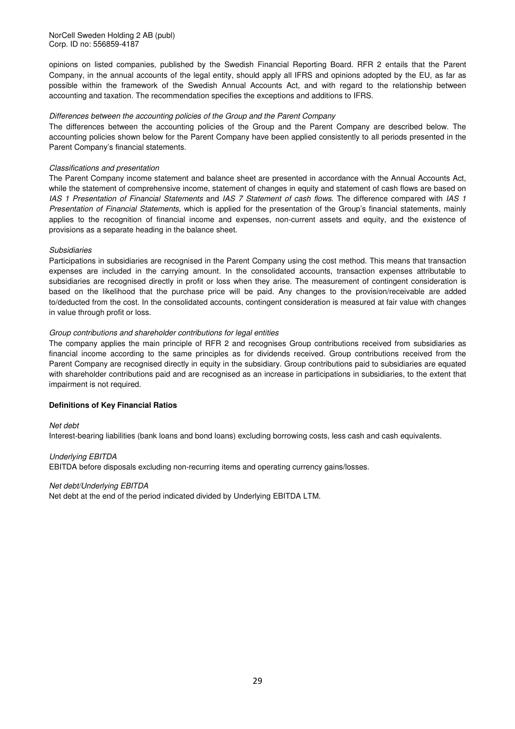opinions on listed companies, published by the Swedish Financial Reporting Board. RFR 2 entails that the Parent Company, in the annual accounts of the legal entity, should apply all IFRS and opinions adopted by the EU, as far as possible within the framework of the Swedish Annual Accounts Act, and with regard to the relationship between accounting and taxation. The recommendation specifies the exceptions and additions to IFRS.

### Differences between the accounting policies of the Group and the Parent Company

The differences between the accounting policies of the Group and the Parent Company are described below. The accounting policies shown below for the Parent Company have been applied consistently to all periods presented in the Parent Company's financial statements.

### Classifications and presentation

The Parent Company income statement and balance sheet are presented in accordance with the Annual Accounts Act, while the statement of comprehensive income, statement of changes in equity and statement of cash flows are based on IAS 1 Presentation of Financial Statements and IAS 7 Statement of cash flows. The difference compared with IAS 1 Presentation of Financial Statements, which is applied for the presentation of the Group's financial statements, mainly applies to the recognition of financial income and expenses, non-current assets and equity, and the existence of provisions as a separate heading in the balance sheet.

### Subsidiaries

Participations in subsidiaries are recognised in the Parent Company using the cost method. This means that transaction expenses are included in the carrying amount. In the consolidated accounts, transaction expenses attributable to subsidiaries are recognised directly in profit or loss when they arise. The measurement of contingent consideration is based on the likelihood that the purchase price will be paid. Any changes to the provision/receivable are added to/deducted from the cost. In the consolidated accounts, contingent consideration is measured at fair value with changes in value through profit or loss.

### Group contributions and shareholder contributions for legal entities

The company applies the main principle of RFR 2 and recognises Group contributions received from subsidiaries as financial income according to the same principles as for dividends received. Group contributions received from the Parent Company are recognised directly in equity in the subsidiary. Group contributions paid to subsidiaries are equated with shareholder contributions paid and are recognised as an increase in participations in subsidiaries, to the extent that impairment is not required.

### **Definitions of Key Financial Ratios**

### Net debt

Interest-bearing liabilities (bank loans and bond loans) excluding borrowing costs, less cash and cash equivalents.

### Underlying EBITDA

EBITDA before disposals excluding non-recurring items and operating currency gains/losses.

### Net debt/Underlying EBITDA

Net debt at the end of the period indicated divided by Underlying EBITDA LTM.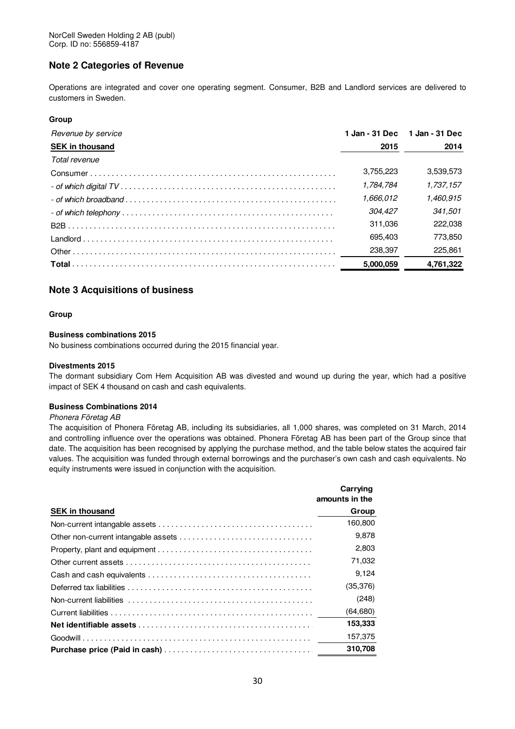### **Note 2 Categories of Revenue**

Operations are integrated and cover one operating segment. Consumer, B2B and Landlord services are delivered to customers in Sweden.

### **Group**

| Revenue by service     | 1 Jan - 31 Dec | 1 Jan - 31 Dec |
|------------------------|----------------|----------------|
| <b>SEK in thousand</b> | 2015           | 2014           |
| Total revenue          |                |                |
|                        | 3,755,223      | 3,539,573      |
|                        | 1.784.784      | 1.737.157      |
|                        | 1.666.012      | 1.460.915      |
|                        | 304.427        | 341.501        |
|                        | 311.036        | 222.038        |
|                        | 695.403        | 773.850        |
|                        | 238,397        | 225.861        |
|                        | 5,000,059      | 4,761,322      |

### **Note 3 Acquisitions of business**

### **Group**

### **Business combinations 2015**

No business combinations occurred during the 2015 financial year.

### **Divestments 2015**

The dormant subsidiary Com Hem Acquisition AB was divested and wound up during the year, which had a positive impact of SEK 4 thousand on cash and cash equivalents.

### **Business Combinations 2014**

#### Phonera Företag AB

The acquisition of Phonera Företag AB, including its subsidiaries, all 1,000 shares, was completed on 31 March, 2014 and controlling influence over the operations was obtained. Phonera Företag AB has been part of the Group since that date. The acquisition has been recognised by applying the purchase method, and the table below states the acquired fair values. The acquisition was funded through external borrowings and the purchaser's own cash and cash equivalents. No equity instruments were issued in conjunction with the acquisition.

| Carrying<br>amounts in the |
|----------------------------|
| Group                      |
| 160.800                    |
| 9,878                      |
| 2,803                      |
| 71,032                     |
| 9,124                      |
| (35, 376)                  |
| (248)                      |
| (64, 680)                  |
| 153,333                    |
| 157,375                    |
| 310,708                    |
|                            |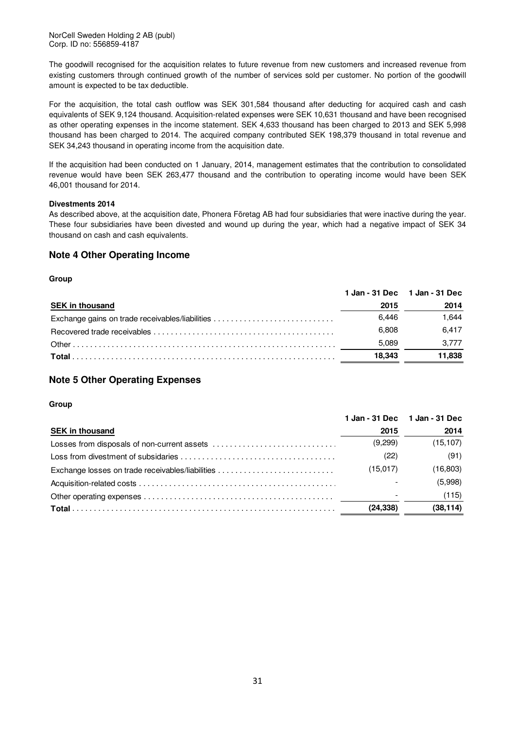NorCell Sweden Holding 2 AB (publ) Corp. ID no: 556859-4187

The goodwill recognised for the acquisition relates to future revenue from new customers and increased revenue from existing customers through continued growth of the number of services sold per customer. No portion of the goodwill amount is expected to be tax deductible.

For the acquisition, the total cash outflow was SEK 301,584 thousand after deducting for acquired cash and cash equivalents of SEK 9,124 thousand. Acquisition-related expenses were SEK 10,631 thousand and have been recognised as other operating expenses in the income statement. SEK 4,633 thousand has been charged to 2013 and SEK 5,998 thousand has been charged to 2014. The acquired company contributed SEK 198,379 thousand in total revenue and SEK 34,243 thousand in operating income from the acquisition date.

If the acquisition had been conducted on 1 January, 2014, management estimates that the contribution to consolidated revenue would have been SEK 263,477 thousand and the contribution to operating income would have been SEK 46,001 thousand for 2014.

### **Divestments 2014**

As described above, at the acquisition date, Phonera Företag AB had four subsidiaries that were inactive during the year. These four subsidiaries have been divested and wound up during the year, which had a negative impact of SEK 34 thousand on cash and cash equivalents.

### **Note 4 Other Operating Income**

### **Group**

|        | 1 Jan - 31 Dec 1 Jan - 31 Dec                   |
|--------|-------------------------------------------------|
| 2015   | 2014                                            |
| 6.446  | 1.644                                           |
| 6.808  | 6.417                                           |
| 5.089  | 3.777                                           |
| 18.343 | 11,838                                          |
|        | Exchange gains on trade receivables/liabilities |

### **Note 5 Other Operating Expenses**

|                        |           | 1 Jan - 31 Dec 1 Jan - 31 Dec |
|------------------------|-----------|-------------------------------|
| <b>SEK in thousand</b> | 2015      | 2014                          |
|                        | (9,299)   | (15, 107)                     |
|                        | (22)      | (91)                          |
|                        | (15,017)  | (16, 803)                     |
|                        |           | (5,998)                       |
|                        |           | (115)                         |
|                        | (24, 338) | (38, 114)                     |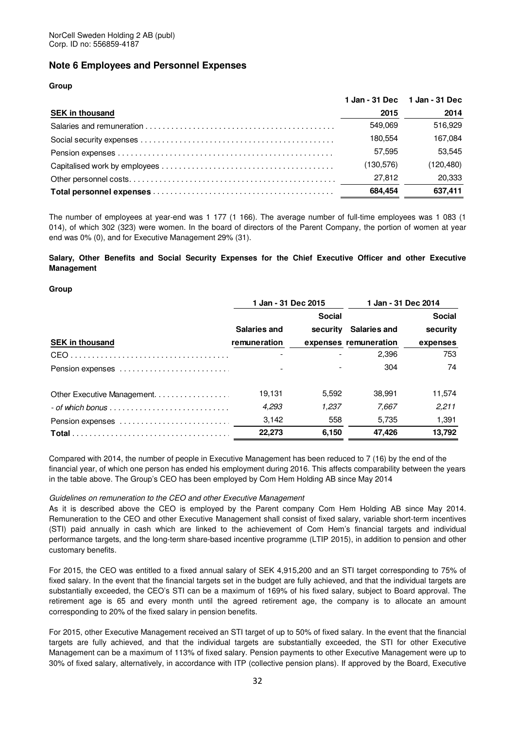### **Note 6 Employees and Personnel Expenses**

### **Group**

|                        |            | 1 Jan - 31 Dec 1 Jan - 31 Dec |
|------------------------|------------|-------------------------------|
| <b>SEK in thousand</b> | 2015       | 2014                          |
|                        | 549.069    | 516.929                       |
|                        | 180.554    | 167.084                       |
|                        | 57.595     | 53.545                        |
|                        | (130, 576) | (120, 480)                    |
|                        | 27.812     | 20,333                        |
|                        | 684.454    | 637,411                       |

The number of employees at year-end was 1 177 (1 166). The average number of full-time employees was 1 083 (1 014), of which 302 (323) were women. In the board of directors of the Parent Company, the portion of women at year end was 0% (0), and for Executive Management 29% (31).

**Salary, Other Benefits and Social Security Expenses for the Chief Executive Officer and other Executive Management** 

#### **Group**

|                                                                       | 1 Jan - 31 Dec 2015 |               | 1 Jan - 31 Dec 2014   |               |
|-----------------------------------------------------------------------|---------------------|---------------|-----------------------|---------------|
|                                                                       |                     | <b>Social</b> |                       | <b>Social</b> |
|                                                                       | Salaries and        | security      | <b>Salaries and</b>   | security      |
| <b>SEK in thousand</b>                                                | remuneration        |               | expenses remuneration | expenses      |
|                                                                       |                     |               | 2,396                 | 753           |
| Pension expenses                                                      |                     |               | 304                   | 74            |
| Other Executive Management.                                           | 19.131              | 5.592         | 38.991                | 11.574        |
| $-$ of which bonus $\ldots \ldots \ldots \ldots \ldots \ldots \ldots$ | 4,293               | 1.237         | 7.667                 | 2.211         |
| Pension expenses                                                      | 3.142               | 558           | 5.735                 | 1,391         |
|                                                                       | 22.273              | 6.150         | 47.426                | 13.792        |

Compared with 2014, the number of people in Executive Management has been reduced to 7 (16) by the end of the financial year, of which one person has ended his employment during 2016. This affects comparability between the years in the table above. The Group's CEO has been employed by Com Hem Holding AB since May 2014

### Guidelines on remuneration to the CEO and other Executive Management

As it is described above the CEO is employed by the Parent company Com Hem Holding AB since May 2014. Remuneration to the CEO and other Executive Management shall consist of fixed salary, variable short-term incentives (STI) paid annually in cash which are linked to the achievement of Com Hem's financial targets and individual performance targets, and the long-term share-based incentive programme (LTIP 2015), in addition to pension and other customary benefits.

For 2015, the CEO was entitled to a fixed annual salary of SEK 4,915,200 and an STI target corresponding to 75% of fixed salary. In the event that the financial targets set in the budget are fully achieved, and that the individual targets are substantially exceeded, the CEO's STI can be a maximum of 169% of his fixed salary, subject to Board approval. The retirement age is 65 and every month until the agreed retirement age, the company is to allocate an amount corresponding to 20% of the fixed salary in pension benefits.

For 2015, other Executive Management received an STI target of up to 50% of fixed salary. In the event that the financial targets are fully achieved, and that the individual targets are substantially exceeded, the STI for other Executive Management can be a maximum of 113% of fixed salary. Pension payments to other Executive Management were up to 30% of fixed salary, alternatively, in accordance with ITP (collective pension plans). If approved by the Board, Executive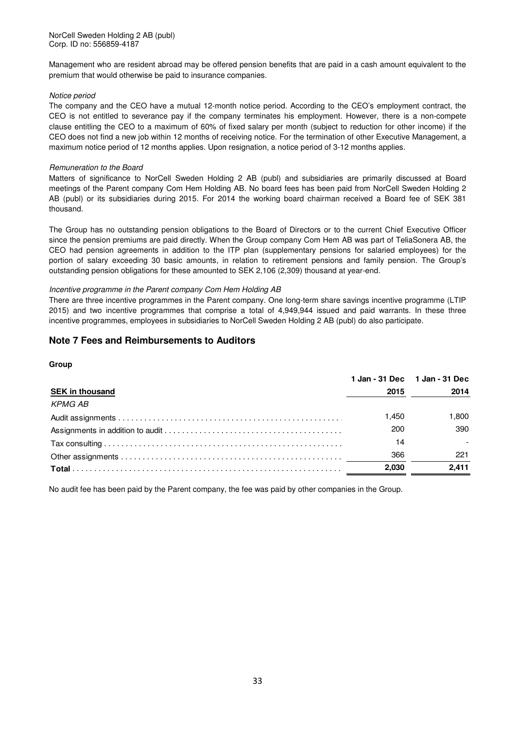Management who are resident abroad may be offered pension benefits that are paid in a cash amount equivalent to the premium that would otherwise be paid to insurance companies.

### Notice period

The company and the CEO have a mutual 12-month notice period. According to the CEO's employment contract, the CEO is not entitled to severance pay if the company terminates his employment. However, there is a non-compete clause entitling the CEO to a maximum of 60% of fixed salary per month (subject to reduction for other income) if the CEO does not find a new job within 12 months of receiving notice. For the termination of other Executive Management, a maximum notice period of 12 months applies. Upon resignation, a notice period of 3-12 months applies.

### Remuneration to the Board

Matters of significance to NorCell Sweden Holding 2 AB (publ) and subsidiaries are primarily discussed at Board meetings of the Parent company Com Hem Holding AB. No board fees has been paid from NorCell Sweden Holding 2 AB (publ) or its subsidiaries during 2015. For 2014 the working board chairman received a Board fee of SEK 381 thousand.

The Group has no outstanding pension obligations to the Board of Directors or to the current Chief Executive Officer since the pension premiums are paid directly. When the Group company Com Hem AB was part of TeliaSonera AB, the CEO had pension agreements in addition to the ITP plan (supplementary pensions for salaried employees) for the portion of salary exceeding 30 basic amounts, in relation to retirement pensions and family pension. The Group's outstanding pension obligations for these amounted to SEK 2,106 (2,309) thousand at year-end.

### Incentive programme in the Parent company Com Hem Holding AB

There are three incentive programmes in the Parent company. One long-term share savings incentive programme (LTIP 2015) and two incentive programmes that comprise a total of 4,949,944 issued and paid warrants. In these three incentive programmes, employees in subsidiaries to NorCell Sweden Holding 2 AB (publ) do also participate.

### **Note 7 Fees and Reimbursements to Auditors**

### **Group**

|                        |       | 1 Jan - 31 Dec 1 Jan - 31 Dec |
|------------------------|-------|-------------------------------|
| <b>SEK in thousand</b> | 2015  | 2014                          |
| KPMG AB                |       |                               |
|                        | 1.450 | 1.800                         |
|                        | 200   | 390                           |
|                        | 14    |                               |
|                        | 366   | 221                           |
|                        | 2.030 | 2.411                         |
|                        |       |                               |

No audit fee has been paid by the Parent company, the fee was paid by other companies in the Group.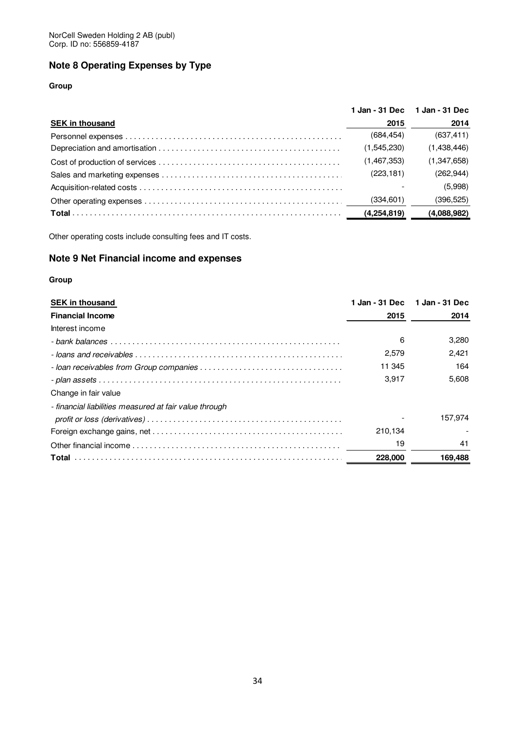### **Note 8 Operating Expenses by Type**

### **Group**

|                        |             | 1 Jan - 31 Dec 1 Jan - 31 Dec |
|------------------------|-------------|-------------------------------|
| <b>SEK in thousand</b> | 2015        | 2014                          |
|                        | (684, 454)  | (637, 411)                    |
|                        | (1,545,230) | (1,438,446)                   |
|                        | (1,467,353) | (1, 347, 658)                 |
|                        | (223, 181)  | (262, 944)                    |
|                        |             | (5,998)                       |
|                        | (334, 601)  | (396, 525)                    |
|                        | (4,254,819) | (4,088,982)                   |

Other operating costs include consulting fees and IT costs.

### **Note 9 Net Financial income and expenses**

| <b>SEK in thousand</b>                                 |         | 1 Jan - 31 Dec 1 Jan - 31 Dec |
|--------------------------------------------------------|---------|-------------------------------|
| <b>Financial Income</b>                                | 2015    | 2014                          |
| Interest income                                        |         |                               |
|                                                        | 6       | 3,280                         |
|                                                        | 2,579   | 2.421                         |
|                                                        | 11 345  | 164                           |
|                                                        | 3.917   | 5.608                         |
| Change in fair value                                   |         |                               |
| - financial liabilities measured at fair value through |         |                               |
|                                                        |         | 157,974                       |
|                                                        | 210,134 |                               |
|                                                        | 19      | 41                            |
|                                                        | 228,000 | 169,488                       |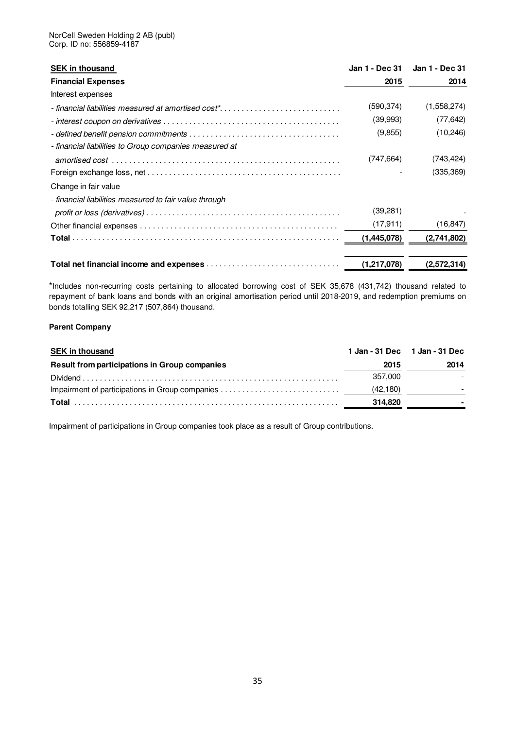| <b>SEK in thousand</b>                                          | Jan 1 - Dec 31 | Jan 1 - Dec 31 |
|-----------------------------------------------------------------|----------------|----------------|
| <b>Financial Expenses</b>                                       | 2015           | 2014           |
| Interest expenses                                               |                |                |
| - financial liabilities measured at amortised cost <sup>*</sup> | (590,374)      | (1,558,274)    |
|                                                                 | (39,993)       | (77, 642)      |
|                                                                 | (9,855)        | (10, 246)      |
| - financial liabilities to Group companies measured at          |                |                |
|                                                                 | (747, 664)     | (743,424)      |
|                                                                 |                | (335, 369)     |
| Change in fair value                                            |                |                |
| - financial liabilities measured to fair value through          |                |                |
|                                                                 | (39,281)       |                |
|                                                                 | (17, 911)      | (16, 847)      |
|                                                                 | (1, 445, 078)  | (2,741,802)    |
|                                                                 | (1,217,078)    | (2,572,314)    |

\*Includes non-recurring costs pertaining to allocated borrowing cost of SEK 35,678 (431,742) thousand related to repayment of bank loans and bonds with an original amortisation period until 2018-2019, and redemption premiums on bonds totalling SEK 92,217 (507,864) thousand.

### **Parent Company**

| <b>SEK in thousand</b>                        | 1 Jan - 31 Dec 1 Jan - 31 Dec |                          |
|-----------------------------------------------|-------------------------------|--------------------------|
| Result from participations in Group companies | 2015                          | 2014                     |
|                                               | 357.000                       | $\overline{\phantom{0}}$ |
|                                               | (42, 180)                     | $\overline{\phantom{0}}$ |
|                                               | 314.820                       |                          |

Impairment of participations in Group companies took place as a result of Group contributions.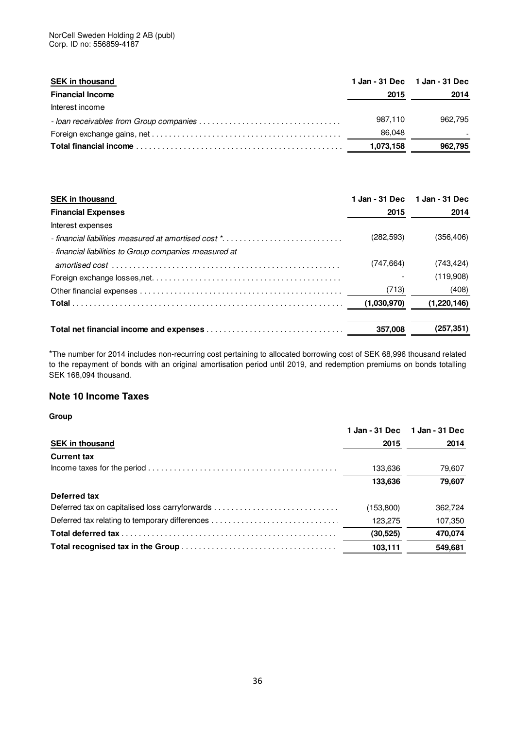| <b>SEK in thousand</b>  |           | 1 Jan - 31 Dec 1 Jan - 31 Dec |
|-------------------------|-----------|-------------------------------|
| <b>Financial Income</b> | 2015      | 2014                          |
| Interest income         |           |                               |
|                         | 987.110   | 962.795                       |
|                         | 86.048    |                               |
|                         | 1,073,158 | 962,795                       |

| <b>SEK in thousand</b>                                 | 1 Jan - 31 Dec | 1 Jan - 31 Dec |
|--------------------------------------------------------|----------------|----------------|
| <b>Financial Expenses</b>                              | 2015           | 2014           |
| Interest expenses                                      |                |                |
| - financial liabilities measured at amortised cost *   | (282, 593)     | (356, 406)     |
| - financial liabilities to Group companies measured at |                |                |
|                                                        | (747, 664)     | (743, 424)     |
|                                                        |                | (119,908)      |
|                                                        | (713)          | (408)          |
|                                                        | (1,030,970)    | (1,220,146)    |
|                                                        |                |                |
|                                                        | 357,008        | (257, 351)     |

\*The number for 2014 includes non-recurring cost pertaining to allocated borrowing cost of SEK 68,996 thousand related to the repayment of bonds with an original amortisation period until 2019, and redemption premiums on bonds totalling SEK 168,094 thousand.

### **Note 10 Income Taxes**

|                                                | 1 Jan - 31 Dec | 1 Jan - 31 Dec |
|------------------------------------------------|----------------|----------------|
| <b>SEK in thousand</b>                         | 2015           | 2014           |
| <b>Current tax</b>                             |                |                |
|                                                | 133,636        | 79,607         |
|                                                | 133,636        | 79,607         |
| Deferred tax                                   |                |                |
|                                                | (153,800)      | 362,724        |
| Deferred tax relating to temporary differences | 123,275        | 107,350        |
|                                                | (30, 525)      | 470,074        |
|                                                | 103,111        | 549,681        |
|                                                |                |                |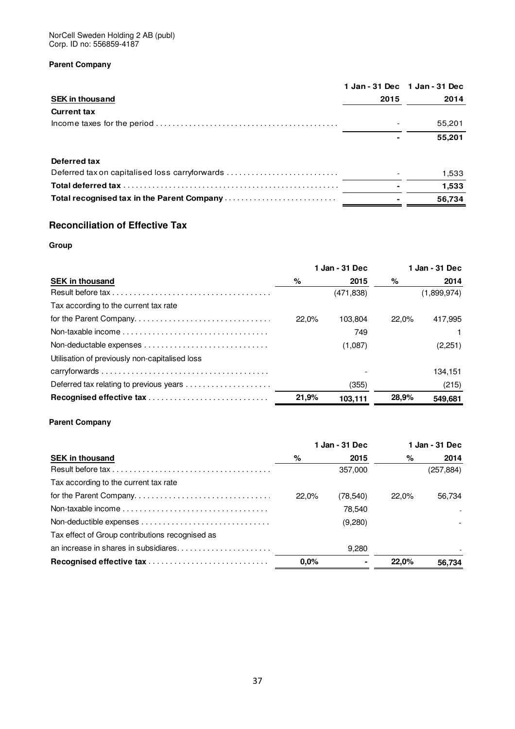NorCell Sweden Holding 2 AB (publ) Corp. ID no: 556859-4187

### **Parent Company**

|                                                |      | 1 Jan - 31 Dec 1 Jan - 31 Dec |
|------------------------------------------------|------|-------------------------------|
| <b>SEK in thousand</b>                         | 2015 | 2014                          |
| <b>Current tax</b>                             |      |                               |
|                                                |      | 55,201                        |
|                                                |      | 55,201                        |
| Deferred tax                                   |      |                               |
| Deferred tax on capitalised loss carryforwards |      | 1,533                         |
|                                                |      | 1,533                         |
|                                                |      | 56.734                        |

### **Reconciliation of Effective Tax**

### **Group**

| 1 Jan - 31 Dec                                 |       | 1 Jan - 31 Dec |       |             |
|------------------------------------------------|-------|----------------|-------|-------------|
| <b>SEK in thousand</b>                         | %     | 2015           | %     | 2014        |
|                                                |       | (471, 838)     |       | (1,899,974) |
| Tax according to the current tax rate          |       |                |       |             |
| for the Parent Company                         | 22.0% | 103.804        | 22.0% | 417.995     |
|                                                |       | 749            |       |             |
|                                                |       | (1,087)        |       | (2,251)     |
| Utilisation of previously non-capitalised loss |       |                |       |             |
|                                                |       |                |       | 134,151     |
|                                                |       | (355)          |       | (215)       |
|                                                | 21,9% | 103,111        | 28,9% | 549,681     |

### **Parent Company**

|                                                                                                                      | 1 Jan - 31 Dec |          |       | 1 Jan - 31 Dec |
|----------------------------------------------------------------------------------------------------------------------|----------------|----------|-------|----------------|
| <b>SEK in thousand</b>                                                                                               | %              | 2015     | %     | 2014           |
| Result before tax $\ldots$ $\ldots$ $\ldots$ $\ldots$ $\ldots$ $\ldots$ $\ldots$ $\ldots$ $\ldots$ $\ldots$ $\ldots$ |                | 357.000  |       | (257,884)      |
| Tax according to the current tax rate                                                                                |                |          |       |                |
| for the Parent Company                                                                                               | 22.0%          | (78,540) | 22.0% | 56.734         |
|                                                                                                                      |                | 78.540   |       |                |
|                                                                                                                      |                | (9,280)  |       |                |
| Tax effect of Group contributions recognised as                                                                      |                |          |       |                |
| an increase in shares in subsidiares                                                                                 |                | 9.280    |       |                |
|                                                                                                                      | $0.0\%$        |          | 22.0% | 56.734         |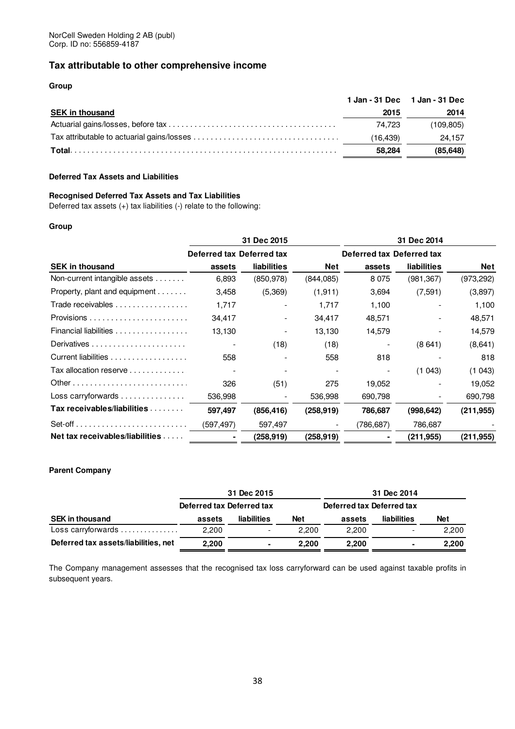### **Tax attributable to other comprehensive income**

### **Group**

|                        |          | 1 Jan - 31 Dec 1 Jan - 31 Dec |
|------------------------|----------|-------------------------------|
| <b>SEK in thousand</b> | 2015     | 2014                          |
|                        | 74.723   | (109.805)                     |
|                        | (16.439) | 24.157                        |
|                        | 58.284   | (85.648)                      |

### **Deferred Tax Assets and Liabilities**

### **Recognised Deferred Tax Assets and Tax Liabilities**

Deferred tax assets (+) tax liabilities (-) relate to the following:

### **Group**

|                                                | 31 Dec 2015               |                    |                          | 31 Dec 2014               |                    |            |  |
|------------------------------------------------|---------------------------|--------------------|--------------------------|---------------------------|--------------------|------------|--|
|                                                | Deferred tax Deferred tax |                    |                          | Deferred tax Deferred tax |                    |            |  |
| <b>SEK in thousand</b>                         | assets                    | <b>liabilities</b> | <b>Net</b>               | assets                    | <b>liabilities</b> | <b>Net</b> |  |
| Non-current intangible assets                  | 6,893                     | (850, 978)         | (844, 085)               | 8075                      | (981, 367)         | (973, 292) |  |
| Property, plant and equipment                  | 3,458                     | (5,369)            | (1, 911)                 | 3,694                     | (7,591)            | (3,897)    |  |
| Trade receivables                              | 1,717                     |                    | 1,717                    | 1,100                     |                    | 1,100      |  |
|                                                | 34,417                    |                    | 34,417                   | 48,571                    |                    | 48,571     |  |
| Financial liabilities                          | 13,130                    |                    | 13,130                   | 14,579                    |                    | 14,579     |  |
|                                                |                           | (18)               | (18)                     | $\overline{\phantom{a}}$  | (8641)             | (8,641)    |  |
| Current liabilities                            | 558                       |                    | 558                      | 818                       |                    | 818        |  |
| Tax allocation reserve                         | $\overline{\phantom{a}}$  |                    |                          |                           | (1043)             | (1043)     |  |
|                                                | 326                       | (51)               | 275                      | 19,052                    |                    | 19,052     |  |
| Loss carryforwards $\dots\dots\dots\dots\dots$ | 536,998                   |                    | 536,998                  | 690,798                   |                    | 690,798    |  |
| Tax receivables/liabilities                    | 597,497                   | (856, 416)         | (258, 919)               | 786,687                   | (998, 642)         | (211, 955) |  |
|                                                | (597,497)                 | 597,497            | $\overline{\phantom{a}}$ | (786,687)                 | 786,687            |            |  |
| Net tax receivables/liabilities                |                           | (258,919)          | (258, 919)               |                           | (211,955)          | (211, 955) |  |

### **Parent Company**

|                                      | 31 Dec 2015               |                          |            | 31 Dec 2014               |             |            |  |
|--------------------------------------|---------------------------|--------------------------|------------|---------------------------|-------------|------------|--|
|                                      | Deferred tax Deferred tax |                          |            | Deferred tax Deferred tax |             |            |  |
| <b>SEK in thousand</b>               | assets                    | liabilities              | <b>Net</b> | assets                    | liabilities | <b>Net</b> |  |
| Loss carryforwards                   | 2.200                     | $\overline{\phantom{0}}$ | 2.200      | 2,200                     |             | 2,200      |  |
| Deferred tax assets/liabilities, net | 2,200                     | $\blacksquare$           | 2.200      | 2.200                     |             | 2.200      |  |

The Company management assesses that the recognised tax loss carryforward can be used against taxable profits in subsequent years.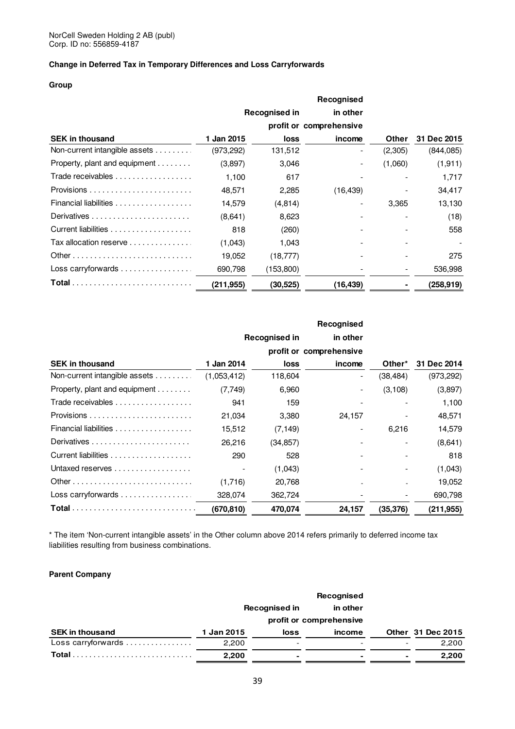### **Change in Deferred Tax in Temporary Differences and Loss Carryforwards**

### **Group**

|                                               |            | <b>Recognised in</b> | in other                |         |                    |
|-----------------------------------------------|------------|----------------------|-------------------------|---------|--------------------|
|                                               |            |                      | profit or comprehensive |         |                    |
| <b>SEK in thousand</b>                        | 1 Jan 2015 | <b>loss</b>          | income                  | Other   | <b>31 Dec 2015</b> |
| Non-current intangible assets                 | (973, 292) | 131,512              |                         | (2,305) | (844,085)          |
| Property, plant and equipment $\ldots \ldots$ | (3,897)    | 3,046                |                         | (1,060) | (1,911)            |
| Trade receivables                             | 1,100      | 617                  |                         |         | 1,717              |
|                                               | 48,571     | 2,285                | (16, 439)               |         | 34,417             |
| Financial liabilities                         | 14,579     | (4, 814)             |                         | 3,365   | 13,130             |
|                                               | (8,641)    | 8,623                |                         |         | (18)               |
|                                               | 818        | (260)                |                         |         | 558                |
| Tax allocation reserve                        | (1,043)    | 1,043                |                         |         |                    |
|                                               | 19,052     | (18, 777)            |                         |         | 275                |
| Loss carryforwards                            | 690,798    | (153,800)            |                         |         | 536,998            |
|                                               | (211, 955) | (30, 525)            | (16,439)                |         | (258, 919)         |

|                                               |             |                      | Recognised               |                          |             |
|-----------------------------------------------|-------------|----------------------|--------------------------|--------------------------|-------------|
|                                               |             | <b>Recognised in</b> | in other                 |                          |             |
|                                               |             |                      | profit or comprehensive  |                          |             |
| <b>SEK in thousand</b>                        | 1 Jan 2014  | loss                 | income                   | Other*                   | 31 Dec 2014 |
| Non-current intangible assets                 | (1,053,412) | 118,604              | $\overline{\phantom{0}}$ | (38, 484)                | (973, 292)  |
| Property, plant and equipment $\ldots \ldots$ | (7,749)     | 6,960                |                          | (3, 108)                 | (3,897)     |
| Trade receivables                             | 941         | 159                  |                          |                          | 1,100       |
|                                               | 21,034      | 3,380                | 24,157                   |                          | 48,571      |
| Financial liabilities                         | 15,512      | (7, 149)             |                          | 6,216                    | 14,579      |
|                                               | 26.216      | (34, 857)            |                          | $\overline{\phantom{a}}$ | (8,641)     |
|                                               | 290         | 528                  |                          |                          | 818         |
| Untaxed reserves                              |             | (1,043)              |                          |                          | (1,043)     |
|                                               | (1,716)     | 20,768               |                          |                          | 19,052      |
| Loss carryforwards                            | 328,074     | 362,724              |                          |                          | 690,798     |
|                                               | (670, 810)  | 470,074              | 24,157                   | (35, 376)                | (211, 955)  |

\* The item 'Non-current intangible assets' in the Other column above 2014 refers primarily to deferred income tax liabilities resulting from business combinations.

### **Parent Company**

|                        | Recognised in |                          | in other |   |                   |
|------------------------|---------------|--------------------------|----------|---|-------------------|
|                        |               | profit or comprehensive  |          |   |                   |
| <b>SEK in thousand</b> | 1 Jan 2015    | loss                     | income   |   | Other 31 Dec 2015 |
| Loss carryforwards     | 2.200         | $\overline{\phantom{0}}$ |          |   | 2,200             |
| Total.                 | 2,200         | ۰                        |          | ۰ | 2,200             |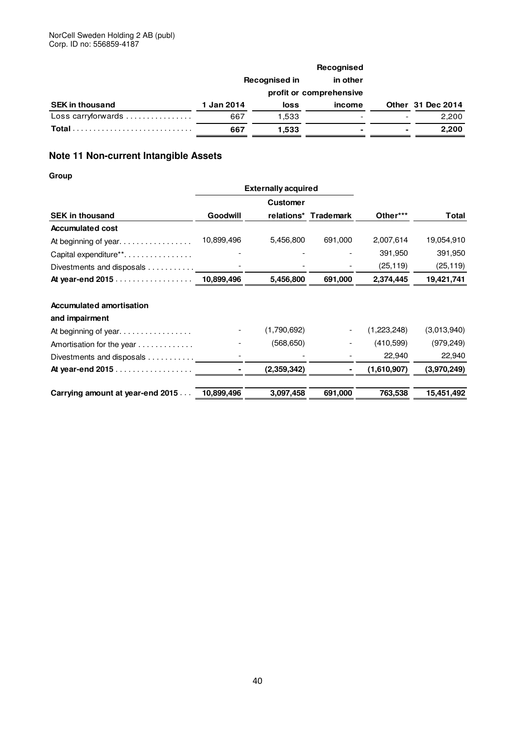|                        | Recognised in |                         | in other |                |                   |
|------------------------|---------------|-------------------------|----------|----------------|-------------------|
|                        |               | profit or comprehensive |          |                |                   |
| <b>SEK in thousand</b> | 1 Jan 2014    | loss                    | income   |                | Other 31 Dec 2014 |
| Loss carryforwards     | 667           | 1.533                   |          |                | 2,200             |
| Total                  | 667           | 1,533                   |          | $\blacksquare$ | 2,200             |

### **Note 11 Non-current Intangible Assets**

|                                   |            | <b>Externally acquired</b> |                      |             |             |
|-----------------------------------|------------|----------------------------|----------------------|-------------|-------------|
|                                   |            | <b>Customer</b>            |                      |             |             |
| <b>SEK in thousand</b>            | Goodwill   |                            | relations* Trademark | Other***    | Total       |
| <b>Accumulated cost</b>           |            |                            |                      |             |             |
| At beginning of year              | 10,899,496 | 5,456,800                  | 691,000              | 2,007,614   | 19,054,910  |
| Capital expenditure <sup>**</sup> |            |                            |                      | 391,950     | 391,950     |
| Divestments and disposals         |            |                            |                      | (25, 119)   | (25, 119)   |
| At year-end 2015                  | 10,899,496 | 5,456,800                  | 691,000              | 2,374,445   | 19,421,741  |
| <b>Accumulated amortisation</b>   |            |                            |                      |             |             |
| and impairment                    |            |                            |                      |             |             |
|                                   |            | (1,790,692)                |                      | (1,223,248) | (3,013,940) |
| Amortisation for the year         |            | (568, 650)                 |                      | (410, 599)  | (979, 249)  |
| Divestments and disposals         |            |                            |                      | 22,940      | 22,940      |
| At year-end 2015                  |            | (2,359,342)                |                      | (1,610,907) | (3,970,249) |
| Carrying amount at year-end 2015  | 10,899,496 | 3,097,458                  | 691,000              | 763,538     | 15,451,492  |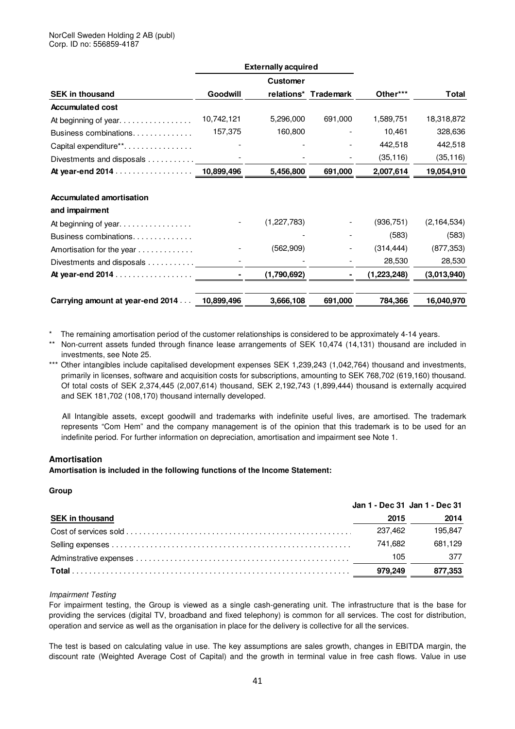|                                  |            | <b>Externally acquired</b> |                |               |               |
|----------------------------------|------------|----------------------------|----------------|---------------|---------------|
|                                  |            | <b>Customer</b>            |                |               |               |
| <b>SEK in thousand</b>           | Goodwill   | relations*                 | Trademark      | Other***      | Total         |
| <b>Accumulated cost</b>          |            |                            |                |               |               |
| At beginning of year.            | 10,742,121 | 5,296,000                  | 691,000        | 1,589,751     | 18,318,872    |
| Business combinations            | 157,375    | 160,800                    |                | 10,461        | 328,636       |
| Capital expenditure**            |            |                            |                | 442,518       | 442,518       |
| Divestments and disposals        |            |                            |                | (35, 116)     | (35, 116)     |
| At year-end 2014 10,899,496      |            | 5,456,800                  | 691,000        | 2,007,614     | 19,054,910    |
| <b>Accumulated amortisation</b>  |            |                            |                |               |               |
| and impairment                   |            |                            |                |               |               |
| At beginning of year.            |            | (1,227,783)                |                | (936, 751)    | (2, 164, 534) |
| Business combinations            |            |                            |                | (583)         | (583)         |
| Amortisation for the year        |            | (562,909)                  |                | (314, 444)    | (877, 353)    |
| Divestments and disposals        |            |                            |                | 28,530        | 28,530        |
| At year-end 2014                 |            | (1,790,692)                | $\blacksquare$ | (1, 223, 248) | (3,013,940)   |
| Carrying amount at year-end 2014 | 10.899.496 | 3.666,108                  | 691,000        | 784,366       | 16,040,970    |

\* The remaining amortisation period of the customer relationships is considered to be approximately 4-14 years.

- \*\* Non-current assets funded through finance lease arrangements of SEK 10,474 (14,131) thousand are included in investments, see Note 25.
- \*\*\* Other intangibles include capitalised development expenses SEK 1,239,243 (1,042,764) thousand and investments, primarily in licenses, software and acquisition costs for subscriptions, amounting to SEK 768,702 (619,160) thousand. Of total costs of SEK 2,374,445 (2,007,614) thousand, SEK 2,192,743 (1,899,444) thousand is externally acquired and SEK 181,702 (108,170) thousand internally developed.

 All Intangible assets, except goodwill and trademarks with indefinite useful lives, are amortised. The trademark represents "Com Hem" and the company management is of the opinion that this trademark is to be used for an indefinite period. For further information on depreciation, amortisation and impairment see Note 1.

### **Amortisation**

**Amortisation is included in the following functions of the Income Statement:** 

### **Group**

|                        | Jan 1 - Dec 31 Jan 1 - Dec 31 |         |
|------------------------|-------------------------------|---------|
| <b>SEK in thousand</b> | 2015                          | 2014    |
|                        | 237.462                       | 195.847 |
|                        | 741.682                       | 681.129 |
|                        | 105                           | - 377   |
|                        | 979.249                       | 877,353 |

### Impairment Testing

For impairment testing, the Group is viewed as a single cash-generating unit. The infrastructure that is the base for providing the services (digital TV, broadband and fixed telephony) is common for all services. The cost for distribution, operation and service as well as the organisation in place for the delivery is collective for all the services.

The test is based on calculating value in use. The key assumptions are sales growth, changes in EBITDA margin, the discount rate (Weighted Average Cost of Capital) and the growth in terminal value in free cash flows. Value in use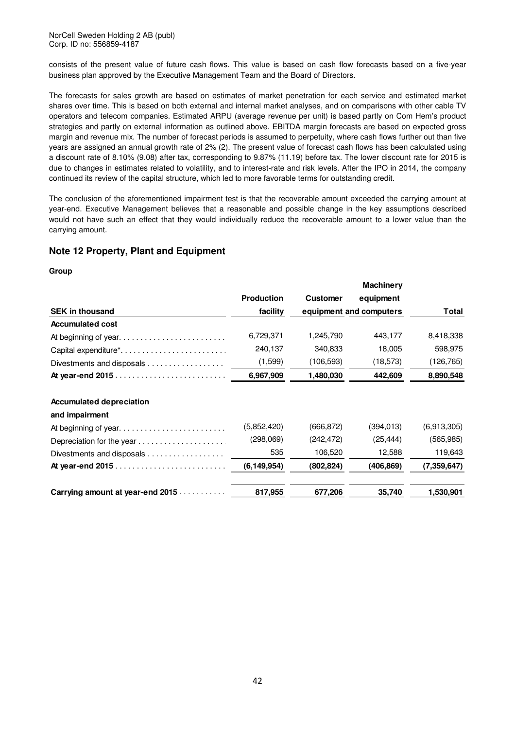NorCell Sweden Holding 2 AB (publ) Corp. ID no: 556859-4187

consists of the present value of future cash flows. This value is based on cash flow forecasts based on a five-year business plan approved by the Executive Management Team and the Board of Directors.

The forecasts for sales growth are based on estimates of market penetration for each service and estimated market shares over time. This is based on both external and internal market analyses, and on comparisons with other cable TV operators and telecom companies. Estimated ARPU (average revenue per unit) is based partly on Com Hem's product strategies and partly on external information as outlined above. EBITDA margin forecasts are based on expected gross margin and revenue mix. The number of forecast periods is assumed to perpetuity, where cash flows further out than five years are assigned an annual growth rate of 2% (2). The present value of forecast cash flows has been calculated using a discount rate of 8.10% (9.08) after tax, corresponding to 9.87% (11.19) before tax. The lower discount rate for 2015 is due to changes in estimates related to volatility, and to interest-rate and risk levels. After the IPO in 2014, the company continued its review of the capital structure, which led to more favorable terms for outstanding credit.

The conclusion of the aforementioned impairment test is that the recoverable amount exceeded the carrying amount at year-end. Executive Management believes that a reasonable and possible change in the key assumptions described would not have such an effect that they would individually reduce the recoverable amount to a lower value than the carrying amount.

### **Note 12 Property, Plant and Equipment**

|                                    |                   |                 | <b>Machinery</b>        |               |
|------------------------------------|-------------------|-----------------|-------------------------|---------------|
|                                    | <b>Production</b> | <b>Customer</b> | equipment               |               |
| <b>SEK in thousand</b>             | facility          |                 | equipment and computers | <b>Total</b>  |
| <b>Accumulated cost</b>            |                   |                 |                         |               |
| At beginning of year               | 6,729,371         | 1,245,790       | 443,177                 | 8,418,338     |
| Capital expenditure*               | 240,137           | 340,833         | 18,005                  | 598,975       |
| Divestments and disposals $\ldots$ | (1,599)           | (106,593)       | (18,573)                | (126,765)     |
| At year-end 2015                   | 6,967,909         | 1,480,030       | 442,609                 | 8,890,548     |
|                                    |                   |                 |                         |               |
| <b>Accumulated depreciation</b>    |                   |                 |                         |               |
| and impairment                     |                   |                 |                         |               |
| At beginning of year               | (5,852,420)       | (666, 872)      | (394, 013)              | (6,913,305)   |
| Depreciation for the year          | (298,069)         | (242, 472)      | (25, 444)               | (565, 985)    |
| Divestments and disposals          | 535               | 106,520         | 12,588                  | 119,643       |
|                                    | (6, 149, 954)     | (802, 824)      | (406, 869)              | (7, 359, 647) |
|                                    |                   |                 |                         |               |
| Carrying amount at year-end 2015   | 817,955           | 677,206         | 35,740                  | 1,530,901     |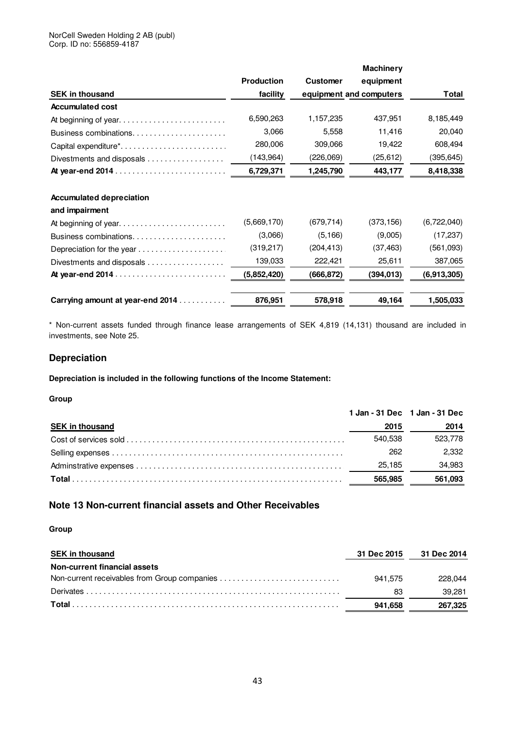### NorCell Sweden Holding 2 AB (publ) Corp. ID no: 556859-4187

|                                  |                   |                 | <b>Machinery</b>        |             |
|----------------------------------|-------------------|-----------------|-------------------------|-------------|
|                                  | <b>Production</b> | <b>Customer</b> | equipment               |             |
| <b>SEK in thousand</b>           | facility          |                 | equipment and computers | Total       |
| <b>Accumulated cost</b>          |                   |                 |                         |             |
|                                  | 6,590,263         | 1,157,235       | 437,951                 | 8,185,449   |
| Business combinations            | 3,066             | 5,558           | 11,416                  | 20,040      |
| Capital expenditure*             | 280,006           | 309,066         | 19,422                  | 608,494     |
| Divestments and disposals        | (143,964)         | (226,069)       | (25, 612)               | (395, 645)  |
|                                  | 6,729,371         | 1,245,790       | 443,177                 | 8,418,338   |
| <b>Accumulated depreciation</b>  |                   |                 |                         |             |
| and impairment                   |                   |                 |                         |             |
| At beginning of year             | (5,669,170)       | (679, 714)      | (373, 156)              | (6,722,040) |
| Business combinations            | (3,066)           | (5, 166)        | (9,005)                 | (17, 237)   |
| Depreciation for the year        | (319,217)         | (204, 413)      | (37, 463)               | (561,093)   |
| Divestments and disposals        | 139,033           | 222,421         | 25,611                  | 387,065     |
| At year-end 2014                 | (5,852,420)       | (666, 872)      | (394, 013)              | (6,913,305) |
| Carrying amount at year-end 2014 | 876,951           | 578,918         | 49,164                  | 1,505.033   |

\* Non-current assets funded through finance lease arrangements of SEK 4,819 (14,131) thousand are included in investments, see Note 25.

### **Depreciation**

**Depreciation is included in the following functions of the Income Statement:** 

### **Group**

|                        |         | 1 Jan - 31 Dec 1 Jan - 31 Dec |
|------------------------|---------|-------------------------------|
| <b>SEK in thousand</b> | 2015    | 2014                          |
|                        | 540.538 | 523,778                       |
|                        | 262     | 2.332                         |
|                        | 25.185  | 34,983                        |
|                        | 565.985 | 561,093                       |

### **Note 13 Non-current financial assets and Other Receivables**

| <b>SEK in thousand</b>       |         | 31 Dec 2015 31 Dec 2014 |
|------------------------------|---------|-------------------------|
| Non-current financial assets |         |                         |
|                              | 941.575 | 228,044                 |
|                              | 83      | 39.281                  |
|                              | 941.658 | 267,325                 |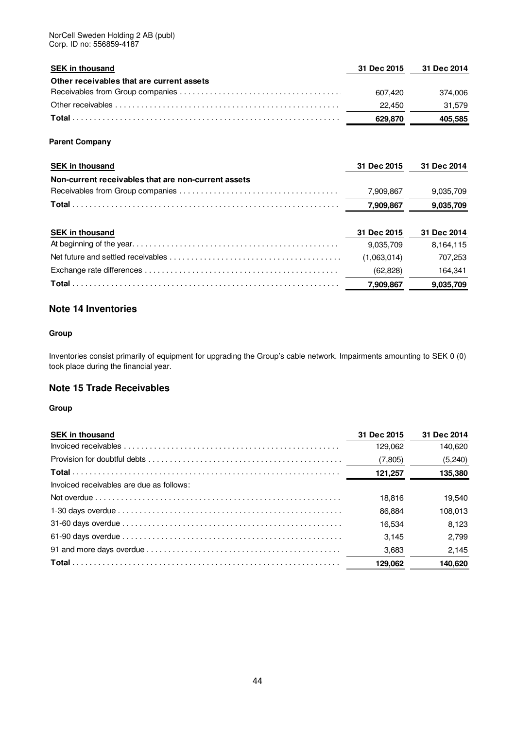| <b>SEK in thousand</b>                              | 31 Dec 2015 | 31 Dec 2014 |
|-----------------------------------------------------|-------------|-------------|
| Other receivables that are current assets           |             |             |
|                                                     | 607.420     | 374,006     |
|                                                     | 22,450      | 31,579      |
|                                                     | 629,870     | 405,585     |
| <b>Parent Company</b>                               |             |             |
| <b>SEK in thousand</b>                              | 31 Dec 2015 | 31 Dec 2014 |
| Non-current receivables that are non-current assets |             |             |
|                                                     | 7,909,867   | 9,035,709   |
|                                                     | 7,909,867   | 9,035,709   |
| <b>SEK in thousand</b>                              | 31 Dec 2015 | 31 Dec 2014 |

| 7,909,867   | 9.035.709 |
|-------------|-----------|
| (62,828)    | 164.341   |
| (1.063.014) | 707.253   |
| 9.035.709   | 8.164.115 |

### **Note 14 Inventories**

### **Group**

Inventories consist primarily of equipment for upgrading the Group's cable network. Impairments amounting to SEK 0 (0) took place during the financial year.

### **Note 15 Trade Receivables**

| <b>SEK in thousand</b>                                                                                                    | 31 Dec 2015 | 31 Dec 2014 |
|---------------------------------------------------------------------------------------------------------------------------|-------------|-------------|
|                                                                                                                           | 129.062     | 140.620     |
| Provision for doubtful debts $\dots\dots\dots\dots\dots\dots\dots\dots\dots\dots\dots\dots\dots\dots\dots\dots\dots\dots$ | (7,805)     | (5, 240)    |
|                                                                                                                           | 121,257     | 135,380     |
| Invoiced receivables are due as follows:                                                                                  |             |             |
|                                                                                                                           | 18.816      | 19.540      |
|                                                                                                                           | 86.884      | 108,013     |
|                                                                                                                           | 16.534      | 8.123       |
|                                                                                                                           | 3.145       | 2.799       |
|                                                                                                                           | 3,683       | 2,145       |
|                                                                                                                           | 129.062     | 140,620     |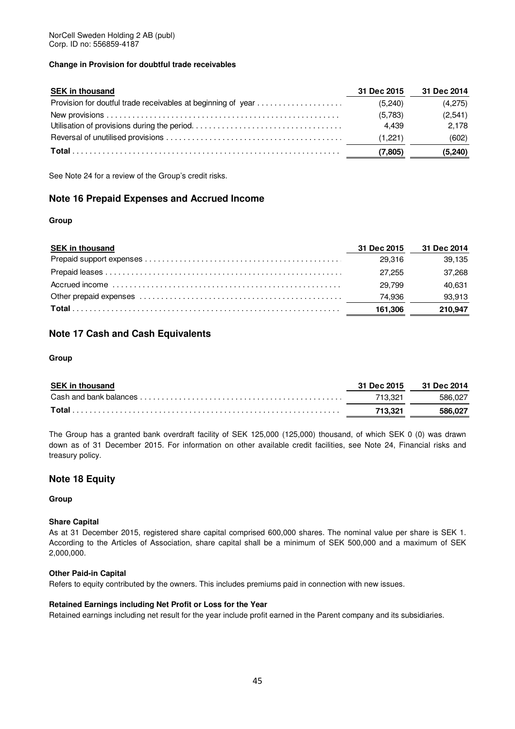### **Change in Provision for doubtful trade receivables**

| <b>SEK in thousand</b>                                       | 31 Dec 2015      | 31 Dec 2014      |
|--------------------------------------------------------------|------------------|------------------|
| Provision for doutful trade receivables at beginning of year | (5.240)          | (4,275)          |
|                                                              | (5,783)<br>4.439 | (2,541)<br>2.178 |
|                                                              | (1.221)          | (602)            |
|                                                              | (7.805)          | (5, 240)         |

See Note 24 for a review of the Group's credit risks.

### **Note 16 Prepaid Expenses and Accrued Income**

### **Group**

| <b>SEK in thousand</b> | 31 Dec 2015 | 31 Dec 2014 |
|------------------------|-------------|-------------|
|                        | 29.316      | 39.135      |
|                        | 27.255      | 37.268      |
|                        | 29.799      | 40.631      |
|                        | 74.936      | 93,913      |
|                        | 161.306     | 210,947     |

### **Note 17 Cash and Cash Equivalents**

### **Group**

| <b>SEK in thousand</b> |         | 31 Dec 2015 31 Dec 2014 |
|------------------------|---------|-------------------------|
|                        | 713.321 | 586.027                 |
|                        | 713.321 | 586.027                 |

The Group has a granted bank overdraft facility of SEK 125,000 (125,000) thousand, of which SEK 0 (0) was drawn down as of 31 December 2015. For information on other available credit facilities, see Note 24, Financial risks and treasury policy.

### **Note 18 Equity**

**Group**

### **Share Capital**

As at 31 December 2015, registered share capital comprised 600,000 shares. The nominal value per share is SEK 1. According to the Articles of Association, share capital shall be a minimum of SEK 500,000 and a maximum of SEK 2,000,000.

### **Other Paid-in Capital**

Refers to equity contributed by the owners. This includes premiums paid in connection with new issues.

### **Retained Earnings including Net Profit or Loss for the Year**

Retained earnings including net result for the year include profit earned in the Parent company and its subsidiaries.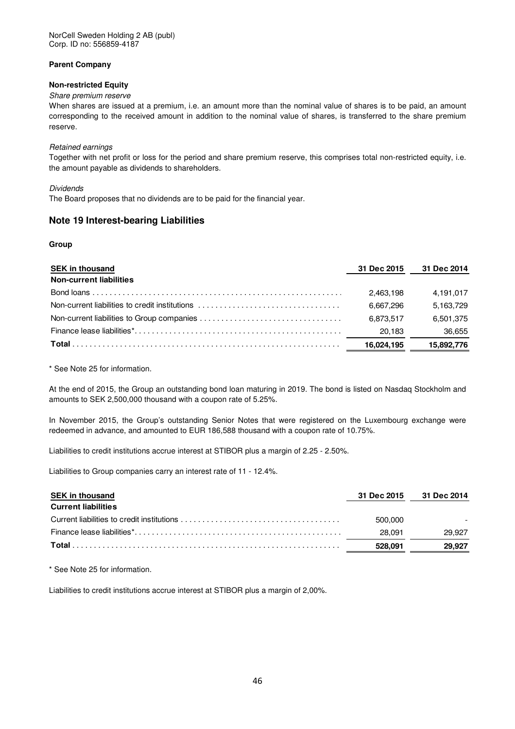NorCell Sweden Holding 2 AB (publ) Corp. ID no: 556859-4187

### **Parent Company**

### **Non-restricted Equity**

### Share premium reserve

When shares are issued at a premium, i.e. an amount more than the nominal value of shares is to be paid, an amount corresponding to the received amount in addition to the nominal value of shares, is transferred to the share premium reserve.

### Retained earnings

Together with net profit or loss for the period and share premium reserve, this comprises total non-restricted equity, i.e. the amount payable as dividends to shareholders.

### Dividends

The Board proposes that no dividends are to be paid for the financial year.

### **Note 19 Interest-bearing Liabilities**

### **Group**

| <b>SEK in thousand</b>                         | 31 Dec 2015 | 31 Dec 2014 |
|------------------------------------------------|-------------|-------------|
| <b>Non-current liabilities</b>                 |             |             |
|                                                | 2.463.198   | 4,191,017   |
| Non-current liabilities to credit institutions | 6.667.296   | 5.163.729   |
|                                                | 6.873.517   | 6.501.375   |
|                                                | 20.183      | 36,655      |
|                                                | 16.024.195  | 15.892.776  |

\* See Note 25 for information.

At the end of 2015, the Group an outstanding bond loan maturing in 2019. The bond is listed on Nasdaq Stockholm and amounts to SEK 2,500,000 thousand with a coupon rate of 5.25%.

In November 2015, the Group's outstanding Senior Notes that were registered on the Luxembourg exchange were redeemed in advance, and amounted to EUR 186,588 thousand with a coupon rate of 10.75%.

Liabilities to credit institutions accrue interest at STIBOR plus a margin of 2.25 - 2.50%.

Liabilities to Group companies carry an interest rate of 11 - 12.4%.

| <b>SEK in thousand</b>     | 31 Dec 2015 | 31 Dec 2014 |
|----------------------------|-------------|-------------|
| <b>Current liabilities</b> |             |             |
|                            | 500.000     |             |
|                            | 28.091      | 29.927      |
|                            | 528.091     | 29.927      |

\* See Note 25 for information.

Liabilities to credit institutions accrue interest at STIBOR plus a margin of 2,00%.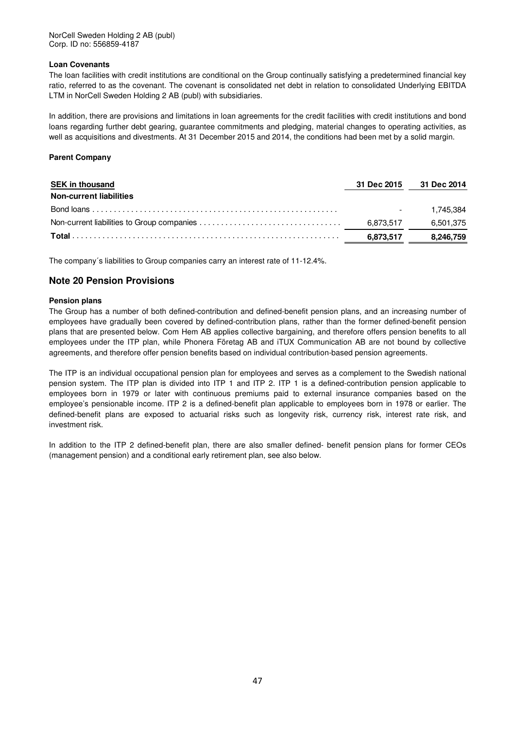### **Loan Covenants**

The loan facilities with credit institutions are conditional on the Group continually satisfying a predetermined financial key ratio, referred to as the covenant. The covenant is consolidated net debt in relation to consolidated Underlying EBITDA LTM in NorCell Sweden Holding 2 AB (publ) with subsidiaries.

In addition, there are provisions and limitations in loan agreements for the credit facilities with credit institutions and bond loans regarding further debt gearing, guarantee commitments and pledging, material changes to operating activities, as well as acquisitions and divestments. At 31 December 2015 and 2014, the conditions had been met by a solid margin.

### **Parent Company**

| <b>SEK in thousand</b>         | 31 Dec 2015 | 31 Dec 2014  |
|--------------------------------|-------------|--------------|
| <b>Non-current liabilities</b> |             |              |
|                                |             | $-1.745.384$ |
|                                | 6.873.517   | 6,501,375    |
|                                | 6,873,517   | 8,246,759    |

The company´s liabilities to Group companies carry an interest rate of 11-12.4%.

### **Note 20 Pension Provisions**

### **Pension plans**

The Group has a number of both defined-contribution and defined-benefit pension plans, and an increasing number of employees have gradually been covered by defined-contribution plans, rather than the former defined-benefit pension plans that are presented below. Com Hem AB applies collective bargaining, and therefore offers pension benefits to all employees under the ITP plan, while Phonera Företag AB and iTUX Communication AB are not bound by collective agreements, and therefore offer pension benefits based on individual contribution-based pension agreements.

The ITP is an individual occupational pension plan for employees and serves as a complement to the Swedish national pension system. The ITP plan is divided into ITP 1 and ITP 2. ITP 1 is a defined-contribution pension applicable to employees born in 1979 or later with continuous premiums paid to external insurance companies based on the employee's pensionable income. ITP 2 is a defined-benefit plan applicable to employees born in 1978 or earlier. The defined-benefit plans are exposed to actuarial risks such as longevity risk, currency risk, interest rate risk, and investment risk.

In addition to the ITP 2 defined-benefit plan, there are also smaller defined- benefit pension plans for former CEOs (management pension) and a conditional early retirement plan, see also below.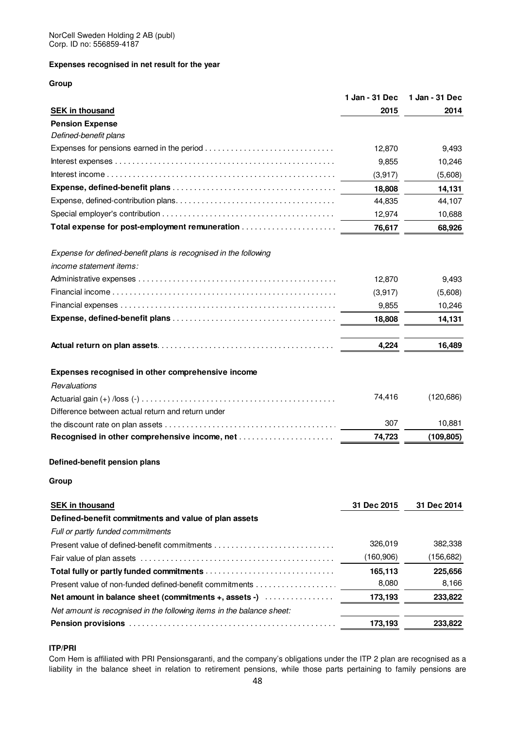### **Expenses recognised in net result for the year**

### **Group**

|                                                                                                                        | 1 Jan - 31 Dec | 1 Jan - 31 Dec |
|------------------------------------------------------------------------------------------------------------------------|----------------|----------------|
| <b>SEK in thousand</b>                                                                                                 | 2015           | 2014           |
| <b>Pension Expense</b>                                                                                                 |                |                |
| Defined-benefit plans                                                                                                  |                |                |
|                                                                                                                        | 12,870         | 9,493          |
|                                                                                                                        | 9,855          | 10,246         |
|                                                                                                                        | (3,917)        | (5,608)        |
|                                                                                                                        | 18,808         | 14,131         |
|                                                                                                                        | 44,835         | 44,107         |
|                                                                                                                        | 12,974         | 10,688         |
| Total expense for post-employment remuneration                                                                         | 76,617         | 68,926         |
| Expense for defined-benefit plans is recognised in the following                                                       |                |                |
| income statement items:                                                                                                |                |                |
|                                                                                                                        | 12,870         | 9,493          |
|                                                                                                                        | (3,917)        | (5,608)        |
|                                                                                                                        | 9,855          | 10,246         |
|                                                                                                                        | 18,808         | 14,131         |
|                                                                                                                        | 4,224          | 16,489         |
| Expenses recognised in other comprehensive income                                                                      |                |                |
| Revaluations                                                                                                           |                |                |
|                                                                                                                        | 74,416         | (120, 686)     |
| Difference between actual return and return under                                                                      |                |                |
| the discount rate on plan assets $\dots \dots \dots \dots \dots \dots \dots \dots \dots \dots \dots \dots \dots \dots$ | 307            | 10,881         |
|                                                                                                                        | 74,723         | (109, 805)     |
| Defined-benefit pension plans                                                                                          |                |                |
| Group                                                                                                                  |                |                |
| <b>SEK in thousand</b>                                                                                                 | 31 Dec 2015    | 31 Dec 2014    |
| Defined-benefit commitments and value of plan assets                                                                   |                |                |
| Full or partly funded commitments                                                                                      |                |                |
|                                                                                                                        | 326,019        | 382,338        |
|                                                                                                                        | (160, 906)     | (156, 682)     |
|                                                                                                                        | 165,113        | 225,656        |
|                                                                                                                        | 8,080          | 8,166          |

| 173.193 | 233.822 |
|---------|---------|
|         |         |
| 173.193 | 233.822 |
|         |         |

### **ITP/PRI**

Com Hem is affiliated with PRI Pensionsgaranti, and the company's obligations under the ITP 2 plan are recognised as a liability in the balance sheet in relation to retirement pensions, while those parts pertaining to family pensions are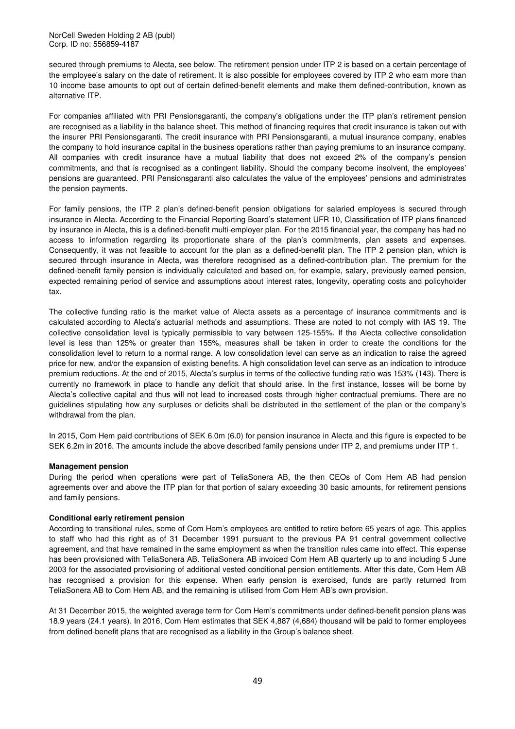NorCell Sweden Holding 2 AB (publ) Corp. ID no: 556859-4187

secured through premiums to Alecta, see below. The retirement pension under ITP 2 is based on a certain percentage of the employee's salary on the date of retirement. It is also possible for employees covered by ITP 2 who earn more than 10 income base amounts to opt out of certain defined-benefit elements and make them defined-contribution, known as alternative ITP.

For companies affiliated with PRI Pensionsgaranti, the company's obligations under the ITP plan's retirement pension are recognised as a liability in the balance sheet. This method of financing requires that credit insurance is taken out with the insurer PRI Pensionsgaranti. The credit insurance with PRI Pensionsgaranti, a mutual insurance company, enables the company to hold insurance capital in the business operations rather than paying premiums to an insurance company. All companies with credit insurance have a mutual liability that does not exceed 2% of the company's pension commitments, and that is recognised as a contingent liability. Should the company become insolvent, the employees' pensions are guaranteed. PRI Pensionsgaranti also calculates the value of the employees' pensions and administrates the pension payments.

For family pensions, the ITP 2 plan's defined-benefit pension obligations for salaried employees is secured through insurance in Alecta. According to the Financial Reporting Board's statement UFR 10, Classification of ITP plans financed by insurance in Alecta, this is a defined-benefit multi-employer plan. For the 2015 financial year, the company has had no access to information regarding its proportionate share of the plan's commitments, plan assets and expenses. Consequently, it was not feasible to account for the plan as a defined-benefit plan. The ITP 2 pension plan, which is secured through insurance in Alecta, was therefore recognised as a defined-contribution plan. The premium for the defined-benefit family pension is individually calculated and based on, for example, salary, previously earned pension, expected remaining period of service and assumptions about interest rates, longevity, operating costs and policyholder tax.

The collective funding ratio is the market value of Alecta assets as a percentage of insurance commitments and is calculated according to Alecta's actuarial methods and assumptions. These are noted to not comply with IAS 19. The collective consolidation level is typically permissible to vary between 125-155%. If the Alecta collective consolidation level is less than 125% or greater than 155%, measures shall be taken in order to create the conditions for the consolidation level to return to a normal range. A low consolidation level can serve as an indication to raise the agreed price for new, and/or the expansion of existing benefits. A high consolidation level can serve as an indication to introduce premium reductions. At the end of 2015, Alecta's surplus in terms of the collective funding ratio was 153% (143). There is currently no framework in place to handle any deficit that should arise. In the first instance, losses will be borne by Alecta's collective capital and thus will not lead to increased costs through higher contractual premiums. There are no guidelines stipulating how any surpluses or deficits shall be distributed in the settlement of the plan or the company's withdrawal from the plan.

In 2015, Com Hem paid contributions of SEK 6.0m (6.0) for pension insurance in Alecta and this figure is expected to be SEK 6.2m in 2016. The amounts include the above described family pensions under ITP 2, and premiums under ITP 1.

### **Management pension**

During the period when operations were part of TeliaSonera AB, the then CEOs of Com Hem AB had pension agreements over and above the ITP plan for that portion of salary exceeding 30 basic amounts, for retirement pensions and family pensions.

#### **Conditional early retirement pension**

According to transitional rules, some of Com Hem's employees are entitled to retire before 65 years of age. This applies to staff who had this right as of 31 December 1991 pursuant to the previous PA 91 central government collective agreement, and that have remained in the same employment as when the transition rules came into effect. This expense has been provisioned with TeliaSonera AB. TeliaSonera AB invoiced Com Hem AB quarterly up to and including 5 June 2003 for the associated provisioning of additional vested conditional pension entitlements. After this date, Com Hem AB has recognised a provision for this expense. When early pension is exercised, funds are partly returned from TeliaSonera AB to Com Hem AB, and the remaining is utilised from Com Hem AB's own provision.

At 31 December 2015, the weighted average term for Com Hem's commitments under defined-benefit pension plans was 18.9 years (24.1 years). In 2016, Com Hem estimates that SEK 4,887 (4,684) thousand will be paid to former employees from defined-benefit plans that are recognised as a liability in the Group's balance sheet.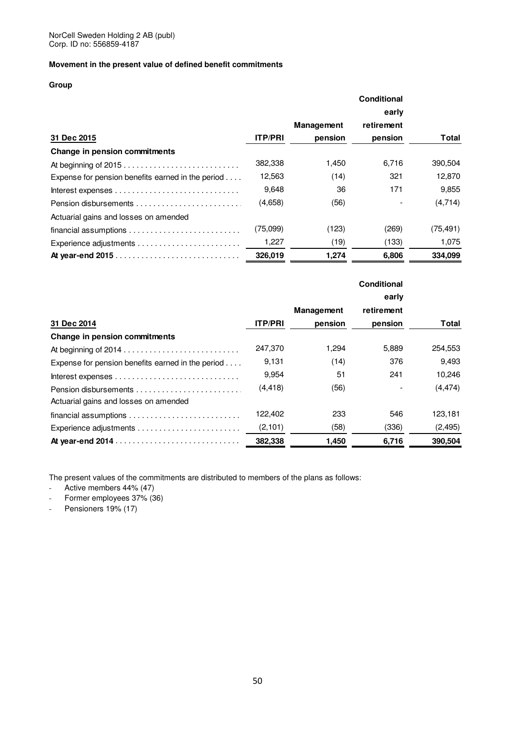### **Movement in the present value of defined benefit commitments**

### **Group**

|                                                                                    |                |            | early      |              |  |
|------------------------------------------------------------------------------------|----------------|------------|------------|--------------|--|
|                                                                                    |                | Management | retirement |              |  |
| 31 Dec 2015                                                                        | <b>ITP/PRI</b> | pension    | pension    | <b>Total</b> |  |
| Change in pension commitments                                                      |                |            |            |              |  |
| At beginning of 2015                                                               | 382,338        | 1,450      | 6,716      | 390,504      |  |
| Expense for pension benefits earned in the period $\dots$                          | 12,563         | (14)       | 321        | 12,870       |  |
| Interest expenses $\ldots \ldots \ldots \ldots \ldots \ldots \ldots \ldots \ldots$ | 9,648          | 36         | 171        | 9,855        |  |
|                                                                                    | (4,658)        | (56)       |            | (4,714)      |  |
| Actuarial gains and losses on amended                                              |                |            |            |              |  |
|                                                                                    | (75,099)       | (123)      | (269)      | (75, 491)    |  |
|                                                                                    | 1,227          | (19)       | (133)      | 1,075        |  |
|                                                                                    | 326,019        | 1,274      | 6,806      | 334,099      |  |

|                                                                                    |                | <b>Management</b> | retirement |          |
|------------------------------------------------------------------------------------|----------------|-------------------|------------|----------|
| 31 Dec 2014                                                                        | <b>ITP/PRI</b> | pension           | pension    | Total    |
| Change in pension commitments                                                      |                |                   |            |          |
|                                                                                    | 247,370        | 1,294             | 5,889      | 254,553  |
| Expense for pension benefits earned in the period $\dots$                          | 9,131          | (14)              | 376        | 9,493    |
| Interest expenses $\ldots \ldots \ldots \ldots \ldots \ldots \ldots \ldots \ldots$ | 9,954          | 51                | 241        | 10,246   |
|                                                                                    | (4, 418)       | (56)              |            | (4, 474) |
| Actuarial gains and losses on amended                                              |                |                   |            |          |
|                                                                                    | 122,402        | 233               | 546        | 123,181  |
|                                                                                    | (2,101)        | (58)              | (336)      | (2, 495) |
|                                                                                    | 382,338        | 1,450             | 6,716      | 390,504  |

The present values of the commitments are distributed to members of the plans as follows:

- Active members 44% (47)
- Former employees 37% (36)
- Pensioners 19% (17)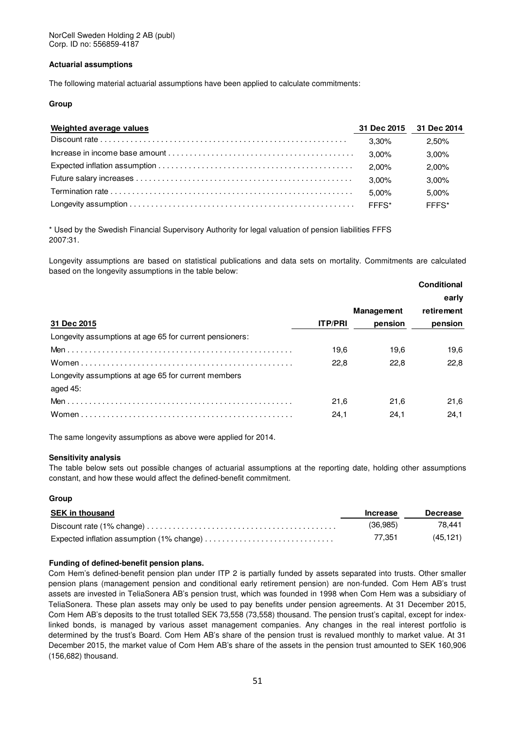### **Actuarial assumptions**

The following material actuarial assumptions have been applied to calculate commitments:

### **Group**

| Weighted average values | 31 Dec 2015 31 Dec 2014 |          |
|-------------------------|-------------------------|----------|
|                         | 3.30%                   | 2.50%    |
|                         | $3.00\%$                | $3.00\%$ |
|                         | 2.00%                   | $2.00\%$ |
|                         | $3.00\%$                | $3.00\%$ |
|                         | $5.00\%$                | 5.00%    |
|                         | FFFS*                   | FFFS*    |

\* Used by the Swedish Financial Supervisory Authority for legal valuation of pension liabilities FFFS 2007:31.

Longevity assumptions are based on statistical publications and data sets on mortality. Commitments are calculated based on the longevity assumptions in the table below:

|                                                         |                |                   | Conditional |
|---------------------------------------------------------|----------------|-------------------|-------------|
|                                                         |                |                   | early       |
|                                                         |                | <b>Management</b> | retirement  |
| 31 Dec 2015                                             | <b>ITP/PRI</b> | pension           | pension     |
| Longevity assumptions at age 65 for current pensioners: |                |                   |             |
|                                                         | 19,6           | 19.6              | 19,6        |
|                                                         | 22.8           | 22,8              | 22,8        |
| Longevity assumptions at age 65 for current members     |                |                   |             |
| aged 45:                                                |                |                   |             |
|                                                         | 21.6           | 21.6              | 21,6        |
|                                                         | 24,1           | 24,1              | 24,1        |
|                                                         |                |                   |             |

The same longevity assumptions as above were applied for 2014.

### **Sensitivity analysis**

The table below sets out possible changes of actuarial assumptions at the reporting date, holding other assumptions constant, and how these would affect the defined-benefit commitment.

#### **Group**

| <b>SEK in thousand</b> | <b>Increase</b> | Decrease |
|------------------------|-----------------|----------|
|                        | (36,985)        | 78.441   |
|                        | 77.351          | (45.121) |

### **Funding of defined-benefit pension plans.**

Com Hem's defined-benefit pension plan under ITP 2 is partially funded by assets separated into trusts. Other smaller pension plans (management pension and conditional early retirement pension) are non-funded. Com Hem AB's trust assets are invested in TeliaSonera AB's pension trust, which was founded in 1998 when Com Hem was a subsidiary of TeliaSonera. These plan assets may only be used to pay benefits under pension agreements. At 31 December 2015, Com Hem AB's deposits to the trust totalled SEK 73,558 (73,558) thousand. The pension trust's capital, except for indexlinked bonds, is managed by various asset management companies. Any changes in the real interest portfolio is determined by the trust's Board. Com Hem AB's share of the pension trust is revalued monthly to market value. At 31 December 2015, the market value of Com Hem AB's share of the assets in the pension trust amounted to SEK 160,906 (156,682) thousand.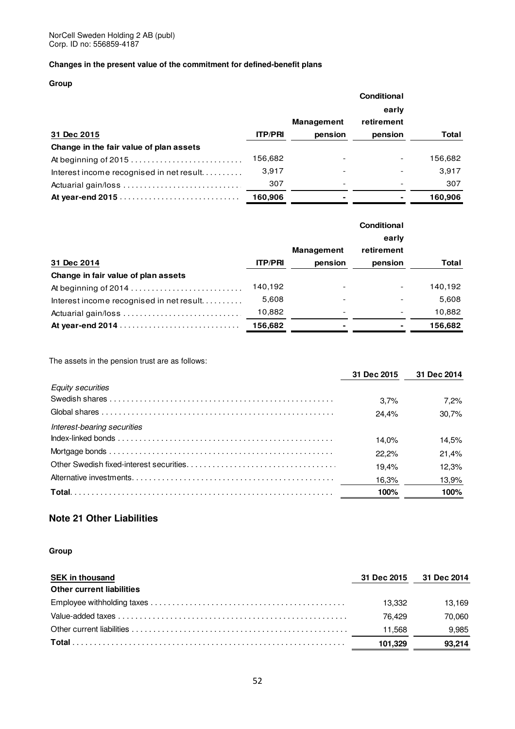### **Changes in the present value of the commitment for defined-benefit plans**

### **Group**

|                                          |                |                   | <b>Conditional</b>       |         |  |
|------------------------------------------|----------------|-------------------|--------------------------|---------|--|
|                                          |                |                   | early                    |         |  |
|                                          |                | <b>Management</b> | retirement               |         |  |
| 31 Dec 2015                              | <b>ITP/PRI</b> | pension           | pension                  | Total   |  |
| Change in the fair value of plan assets  |                |                   |                          |         |  |
| At beginning of 2015                     | 156,682        |                   | $\overline{\phantom{a}}$ | 156,682 |  |
| Interest income recognised in net result | 3.917          |                   |                          | 3,917   |  |
|                                          | 307            |                   |                          | 307     |  |
|                                          | 160.906        | ۰                 |                          | 160.906 |  |

|                                          |                |                   | early      |         |
|------------------------------------------|----------------|-------------------|------------|---------|
|                                          |                | <b>Management</b> | retirement |         |
| 31 Dec 2014                              | <b>ITP/PRI</b> | pension           | pension    | Total   |
| Change in fair value of plan assets      |                |                   |            |         |
| At beginning of 2014                     | 140.192        |                   |            | 140,192 |
| Interest income recognised in net result | 5,608          |                   |            | 5,608   |
|                                          | 10,882         |                   |            | 10,882  |
|                                          | 156.682        |                   | ۰          | 156,682 |

The assets in the pension trust are as follows:

|                             | 31 Dec 2015 | 31 Dec 2014 |
|-----------------------------|-------------|-------------|
| <b>Equity securities</b>    |             |             |
|                             | 3.7%        | 7.2%        |
|                             | 24.4%       | 30.7%       |
| Interest-bearing securities |             |             |
|                             | 14.0%       | 14.5%       |
|                             | 22.2%       | 21.4%       |
|                             | 19.4%       | 12.3%       |
|                             | 16.3%       | 13,9%       |
|                             | 100%        | 100%        |

### **Note 21 Other Liabilities**

| <b>SEK in thousand</b>           | 31 Dec 2015 | 31 Dec 2014 |
|----------------------------------|-------------|-------------|
| <b>Other current liabilities</b> |             |             |
|                                  | 13.332      | 13.169      |
|                                  | 76.429      | 70.060      |
|                                  | 11.568      | 9.985       |
|                                  | 101.329     | 93.214      |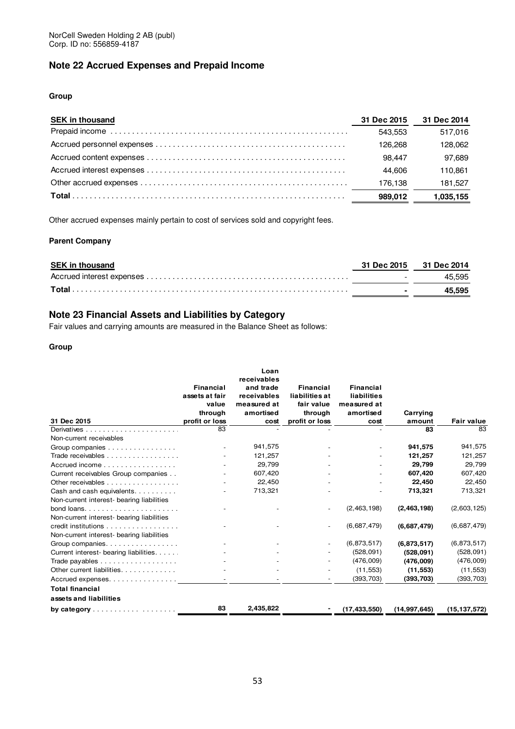### **Note 22 Accrued Expenses and Prepaid Income**

### **Group**

| <b>SEK in thousand</b> | 31 Dec 2015 | 31 Dec 2014 |
|------------------------|-------------|-------------|
|                        | 543.553     | 517.016     |
|                        | 126.268     | 128.062     |
|                        | 98.447      | 97.689      |
|                        | 44.606      | 110.861     |
|                        | 176.138     | 181,527     |
|                        | 989.012     | 1,035,155   |

Other accrued expenses mainly pertain to cost of services sold and copyright fees.

### **Parent Company**

| <b>SEK in thousand</b> |                         | 31 Dec 2015 31 Dec 2014 |
|------------------------|-------------------------|-------------------------|
|                        | <b>Service Contract</b> | 45.595                  |
|                        | $\sim$                  | 45.595                  |

### **Note 23 Financial Assets and Liabilities by Category**

Fair values and carrying amounts are measured in the Balance Sheet as follows:

|                                                          |                           | Loan        |                           |                    |                    |                   |
|----------------------------------------------------------|---------------------------|-------------|---------------------------|--------------------|--------------------|-------------------|
|                                                          |                           | receivables |                           |                    |                    |                   |
|                                                          | <b>Financial</b>          | and trade   | Financial                 | <b>Financial</b>   |                    |                   |
|                                                          | assets at fair            | receivables | liabilities at            | <b>liabilities</b> |                    |                   |
|                                                          | value                     | measured at | fair value                | measured at        |                    |                   |
| 31 Dec 2015                                              | through<br>profit or loss | amortised   | through<br>profit or loss | amortised          | Carrying<br>amount | <b>Fair value</b> |
|                                                          | 83                        | cost        |                           | cost               | 83                 | 83                |
|                                                          |                           |             |                           |                    |                    |                   |
| Non-current receivables                                  |                           | 941,575     |                           |                    |                    | 941,575           |
| Group companies                                          |                           |             |                           |                    | 941,575            |                   |
| Trade receivables                                        |                           | 121,257     |                           |                    | 121,257            | 121,257           |
| Accrued income                                           |                           | 29,799      |                           |                    | 29.799             | 29,799            |
| Current receivables Group companies                      |                           | 607,420     |                           |                    | 607,420            | 607,420           |
| Other receivables                                        |                           | 22,450      |                           |                    | 22.450             | 22,450            |
| Cash and cash equivalents                                |                           | 713,321     |                           |                    | 713,321            | 713,321           |
| Non-current interest- bearing liabilities                |                           |             |                           |                    |                    |                   |
|                                                          |                           |             |                           | (2,463,198)        | (2,463,198)        | (2,603,125)       |
| Non-current interest- bearing liabilities                |                           |             |                           |                    |                    |                   |
| credit institutions                                      |                           |             |                           | (6,687,479)        | (6,687,479)        | (6,687,479)       |
| Non-current interest- bearing liabilities                |                           |             |                           |                    |                    |                   |
| Group companies                                          |                           |             |                           | (6,873,517)        | (6,873,517)        | (6,873,517)       |
| Current interest- bearing liabilities.                   |                           |             |                           | (528,091)          | (528,091)          | (528, 091)        |
| Trade payables                                           |                           |             |                           | (476,009)          | (476,009)          | (476,009)         |
| Other current liabilities                                |                           |             |                           | (11, 553)          | (11, 553)          | (11, 553)         |
| Accrued expenses                                         |                           |             |                           | (393, 703)         | (393, 703)         | (393, 703)        |
| <b>Total financial</b>                                   |                           |             |                           |                    |                    |                   |
| assets and liabilities                                   |                           |             |                           |                    |                    |                   |
| by category $\ldots$ $\ldots$ $\ldots$ $\ldots$ $\ldots$ | 83                        | 2,435,822   |                           | (17, 433, 550)     | (14, 997, 645)     | (15, 137, 572)    |
|                                                          |                           |             |                           |                    |                    |                   |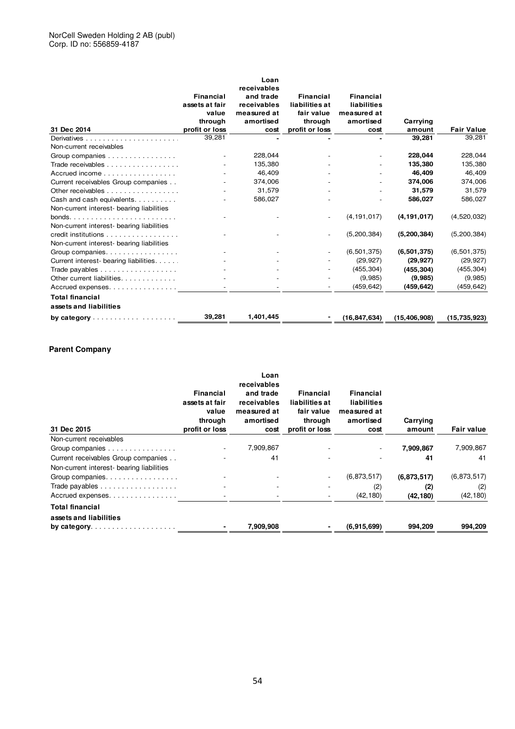|                                                  |                  | Loan        |                       |                  |                |                   |
|--------------------------------------------------|------------------|-------------|-----------------------|------------------|----------------|-------------------|
|                                                  |                  | receivables |                       |                  |                |                   |
|                                                  | <b>Financial</b> | and trade   | Financial             | <b>Financial</b> |                |                   |
|                                                  | assets at fair   | receivables | <b>liabilities</b> at | liabilities      |                |                   |
|                                                  | value            | measured at | fair value            | measured at      |                |                   |
|                                                  | through          | amortised   | through               | amortised        | Carrying       |                   |
| 31 Dec 2014                                      | profit or loss   | cost        | profit or loss        | cost             | amount         | <b>Fair Value</b> |
|                                                  | 39,281           |             |                       |                  | 39,281         | 39,281            |
| Non-current receivables                          |                  |             |                       |                  |                |                   |
| Group companies                                  |                  | 228,044     |                       |                  | 228,044        | 228,044           |
| Trade receivables                                |                  | 135,380     |                       |                  | 135,380        | 135,380           |
| Accrued income                                   |                  | 46,409      |                       |                  | 46,409         | 46,409            |
| Current receivables Group companies              |                  | 374,006     |                       |                  | 374,006        | 374,006           |
| Other receivables                                |                  | 31,579      |                       |                  | 31,579         | 31,579            |
| Cash and cash equivalents                        |                  | 586,027     |                       |                  | 586,027        | 586,027           |
| Non-current interest- bearing liabilities        |                  |             |                       |                  |                |                   |
|                                                  |                  |             |                       | (4, 191, 017)    | (4, 191, 017)  | (4,520,032)       |
| Non-current interest- bearing liabilities        |                  |             |                       |                  |                |                   |
| credit institutions                              |                  |             |                       | (5, 200, 384)    | (5, 200, 384)  | (5, 200, 384)     |
| Non-current interest- bearing liabilities        |                  |             |                       |                  |                |                   |
| Group companies                                  |                  |             |                       | (6, 501, 375)    | (6,501,375)    | (6, 501, 375)     |
| Current interest- bearing liabilities            |                  |             |                       | (29, 927)        | (29, 927)      | (29, 927)         |
| Trade payables                                   |                  |             |                       | (455, 304)       | (455, 304)     | (455, 304)        |
| Other current liabilities.                       |                  |             |                       | (9,985)          | (9,985)        | (9,985)           |
| Accrued expenses                                 |                  |             |                       | (459, 642)       | (459, 642)     | (459, 642)        |
| <b>Total financial</b>                           |                  |             |                       |                  |                |                   |
| assets and liabilities                           |                  |             |                       |                  |                |                   |
| by category $\ldots \ldots \ldots \ldots \ldots$ | 39,281           | 1,401,445   |                       | (16, 847, 634)   | (15, 406, 908) | (15, 735, 923)    |

### **Parent Company**

| 31 Dec 2015                                                                      | Financial<br>assets at fair<br>value<br>through<br>profit or loss | Loan<br>receivables<br>and trade<br>receivables<br>measured at<br>amortised<br>cost | Financial<br>liabilities at<br>fair value<br>through<br>profit or loss | Financial<br><b>liabilities</b><br>measured at<br>amortised<br>cost | Carrying<br>amount | <b>Fair value</b> |
|----------------------------------------------------------------------------------|-------------------------------------------------------------------|-------------------------------------------------------------------------------------|------------------------------------------------------------------------|---------------------------------------------------------------------|--------------------|-------------------|
| Non-current receivables                                                          |                                                                   |                                                                                     |                                                                        |                                                                     |                    |                   |
| Group companies                                                                  |                                                                   | 7,909,867                                                                           |                                                                        | $\sim$                                                              | 7,909,867          | 7,909,867         |
| Current receivables Group companies<br>Non-current interest- bearing liabilities |                                                                   | 41                                                                                  |                                                                        |                                                                     | 41                 | 41                |
| Group companies.                                                                 |                                                                   |                                                                                     |                                                                        | (6,873,517)                                                         | (6,873,517)        | (6,873,517)       |
| Trade payables                                                                   |                                                                   |                                                                                     |                                                                        | (2)                                                                 | (2)                | (2)               |
| Accrued expenses                                                                 |                                                                   |                                                                                     |                                                                        | (42, 180)                                                           | (42, 180)          | (42, 180)         |
| <b>Total financial</b><br>assets and liabilities                                 |                                                                   |                                                                                     |                                                                        |                                                                     |                    |                   |
|                                                                                  |                                                                   | 7,909,908                                                                           |                                                                        | (6,915,699)                                                         | 994,209            | 994,209           |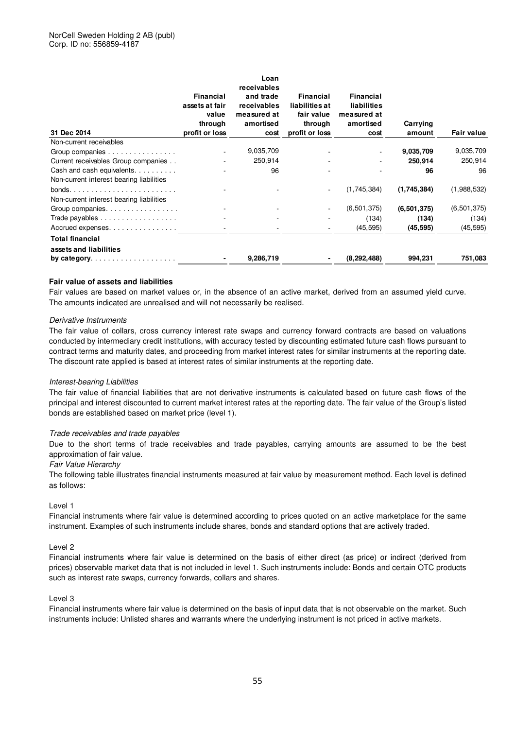| 31 Dec 2014                                                            | <b>Financial</b><br>assets at fair<br>value<br>through<br>profit or loss | Loan<br>receivables<br>and trade<br>receivables<br>measured at<br>amortised<br>cost | Financial<br>liabilities at<br>fair value<br>through<br>profit or loss | <b>Financial</b><br>liabilities<br>measured at<br>amortised<br>cost | Carrying<br>amount | <b>Fair value</b> |
|------------------------------------------------------------------------|--------------------------------------------------------------------------|-------------------------------------------------------------------------------------|------------------------------------------------------------------------|---------------------------------------------------------------------|--------------------|-------------------|
| Non-current receivables                                                |                                                                          |                                                                                     |                                                                        |                                                                     |                    |                   |
| Group companies                                                        |                                                                          | 9,035,709                                                                           |                                                                        |                                                                     | 9,035,709          | 9,035,709         |
| Current receivables Group companies                                    |                                                                          | 250,914                                                                             |                                                                        |                                                                     | 250,914            | 250,914           |
| Cash and cash equivalents.<br>Non-current interest bearing liabilities |                                                                          | 96                                                                                  |                                                                        |                                                                     | 96                 | 96                |
|                                                                        |                                                                          |                                                                                     |                                                                        | (1,745,384)                                                         | (1,745,384)        | (1,988,532)       |
| Non-current interest bearing liabilities                               |                                                                          |                                                                                     |                                                                        |                                                                     |                    |                   |
| Group companies.                                                       |                                                                          |                                                                                     |                                                                        | (6, 501, 375)                                                       | (6,501,375)        | (6,501,375)       |
| Trade payables                                                         |                                                                          |                                                                                     |                                                                        | (134)                                                               | (134)              | (134)             |
| Accrued expenses                                                       |                                                                          |                                                                                     |                                                                        | (45, 595)                                                           | (45, 595)          | (45, 595)         |
| <b>Total financial</b><br>assets and liabilities                       |                                                                          |                                                                                     |                                                                        |                                                                     |                    |                   |
| by category. $\ldots \ldots \ldots \ldots \ldots \ldots$               |                                                                          | 9,286,719                                                                           |                                                                        | (8, 292, 488)                                                       | 994,231            | 751,083           |

### **Fair value of assets and liabilities**

Fair values are based on market values or, in the absence of an active market, derived from an assumed yield curve. The amounts indicated are unrealised and will not necessarily be realised.

### Derivative Instruments

The fair value of collars, cross currency interest rate swaps and currency forward contracts are based on valuations conducted by intermediary credit institutions, with accuracy tested by discounting estimated future cash flows pursuant to contract terms and maturity dates, and proceeding from market interest rates for similar instruments at the reporting date. The discount rate applied is based at interest rates of similar instruments at the reporting date.

### Interest-bearing Liabilities

The fair value of financial liabilities that are not derivative instruments is calculated based on future cash flows of the principal and interest discounted to current market interest rates at the reporting date. The fair value of the Group's listed bonds are established based on market price (level 1).

### Trade receivables and trade payables

Due to the short terms of trade receivables and trade payables, carrying amounts are assumed to be the best approximation of fair value.

#### Fair Value Hierarchy

The following table illustrates financial instruments measured at fair value by measurement method. Each level is defined as follows:

### Level 1

Financial instruments where fair value is determined according to prices quoted on an active marketplace for the same instrument. Examples of such instruments include shares, bonds and standard options that are actively traded.

### Level 2

Financial instruments where fair value is determined on the basis of either direct (as price) or indirect (derived from prices) observable market data that is not included in level 1. Such instruments include: Bonds and certain OTC products such as interest rate swaps, currency forwards, collars and shares.

#### Level 3

Financial instruments where fair value is determined on the basis of input data that is not observable on the market. Such instruments include: Unlisted shares and warrants where the underlying instrument is not priced in active markets.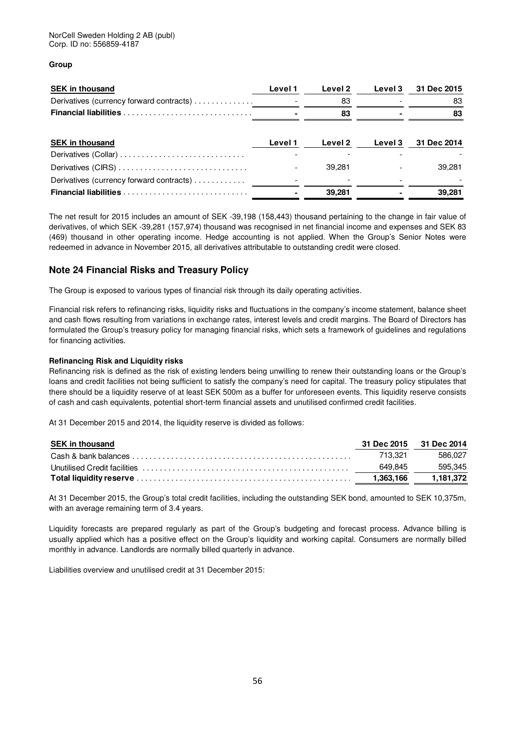### **Group**

| <b>SEK in thousand</b>                   | Level 1 | Level 2 | Level 3 | 31 Dec 2015 |
|------------------------------------------|---------|---------|---------|-------------|
| Derivatives (currency forward contracts) |         | 83      |         | 83          |
|                                          |         | 83      |         | 83          |
|                                          |         |         |         |             |
| <b>SEK in thousand</b>                   | Level 1 | Level 2 | Level 3 | 31 Dec 2014 |
| Derivatives (Collar)                     |         |         |         |             |
|                                          |         | 39.281  |         | 39.281      |
| Derivatives (currency forward contracts) |         |         |         |             |
|                                          |         | 39,281  |         | 39,281      |

The net result for 2015 includes an amount of SEK -39,198 (158,443) thousand pertaining to the change in fair value of derivatives, of which SEK -39,281 (157,974) thousand was recognised in net financial income and expenses and SEK 83 (469) thousand in other operating income. Hedge accounting is not applied. When the Group's Senior Notes were redeemed in advance in November 2015, all derivatives attributable to outstanding credit were closed.

### **Note 24 Financial Risks and Treasury Policy**

The Group is exposed to various types of financial risk through its daily operating activities.

Financial risk refers to refinancing risks, liquidity risks and fluctuations in the company's income statement, balance sheet and cash flows resulting from variations in exchange rates, interest levels and credit margins. The Board of Directors has formulated the Group's treasury policy for managing financial risks, which sets a framework of guidelines and regulations for financing activities.

### **Refinancing Risk and Liquidity risks**

Refinancing risk is defined as the risk of existing lenders being unwilling to renew their outstanding loans or the Group's loans and credit facilities not being sufficient to satisfy the company's need for capital. The treasury policy stipulates that there should be a liquidity reserve of at least SEK 500m as a buffer for unforeseen events. This liquidity reserve consists of cash and cash equivalents, potential short-term financial assets and unutilised confirmed credit facilities.

At 31 December 2015 and 2014, the liquidity reserve is divided as follows:

| <b>SEK in thousand</b> | 31 Dec 2015 31 Dec 2014 |           |
|------------------------|-------------------------|-----------|
|                        | 713.321                 | 586.027   |
|                        | 649.845                 | 595.345   |
|                        | 1.363.166               | 1.181.372 |

At 31 December 2015, the Group's total credit facilities, including the outstanding SEK bond, amounted to SEK 10,375m, with an average remaining term of 3.4 years.

Liquidity forecasts are prepared regularly as part of the Group's budgeting and forecast process. Advance billing is usually applied which has a positive effect on the Group's liquidity and working capital. Consumers are normally billed monthly in advance. Landlords are normally billed quarterly in advance.

Liabilities overview and unutilised credit at 31 December 2015: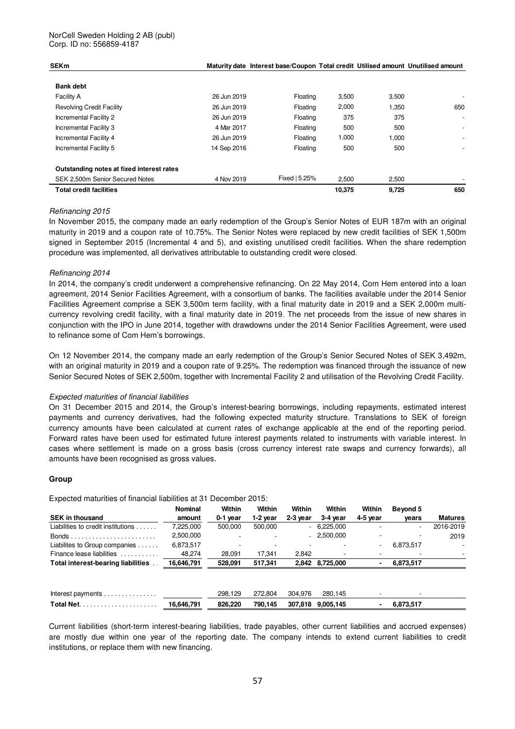### NorCell Sweden Holding 2 AB (publ) Corp. ID no: 556859-4187

| <b>SEKm</b>                               |             | Maturity date Interest base/Coupon Total credit Utilised amount Unutilised amount |        |       |                          |
|-------------------------------------------|-------------|-----------------------------------------------------------------------------------|--------|-------|--------------------------|
| <b>Bank debt</b>                          |             |                                                                                   |        |       |                          |
| <b>Facility A</b>                         | 26 Jun 2019 | Floating                                                                          | 3,500  | 3,500 |                          |
| <b>Revolving Credit Facility</b>          | 26 Jun 2019 | Floating                                                                          | 2,000  | 1,350 | 650                      |
| Incremental Facility 2                    | 26 Jun 2019 | Floating                                                                          | 375    | 375   | $\overline{\phantom{a}}$ |
| Incremental Facility 3                    | 4 Mar 2017  | Floating                                                                          | 500    | 500   | $\overline{\phantom{0}}$ |
| Incremental Facility 4                    | 26 Jun 2019 | Floating                                                                          | 1,000  | 1,000 | ۰.                       |
| Incremental Facility 5                    | 14 Sep 2016 | Floating                                                                          | 500    | 500   |                          |
| Outstanding notes at fixed interest rates |             |                                                                                   |        |       |                          |
| SEK 2,500m Senior Secured Notes           | 4 Nov 2019  | Fixed   5.25%                                                                     | 2.500  | 2,500 |                          |
| <b>Total credit facilities</b>            |             |                                                                                   | 10.375 | 9.725 | 650                      |

### Refinancing 2015

In November 2015, the company made an early redemption of the Group's Senior Notes of EUR 187m with an original maturity in 2019 and a coupon rate of 10.75%. The Senior Notes were replaced by new credit facilities of SEK 1,500m signed in September 2015 (Incremental 4 and 5), and existing unutilised credit facilities. When the share redemption procedure was implemented, all derivatives attributable to outstanding credit were closed.

### Refinancing 2014

In 2014, the company's credit underwent a comprehensive refinancing. On 22 May 2014, Com Hem entered into a loan agreement, 2014 Senior Facilities Agreement, with a consortium of banks. The facilities available under the 2014 Senior Facilities Agreement comprise a SEK 3,500m term facility, with a final maturity date in 2019 and a SEK 2,000m multicurrency revolving credit facility, with a final maturity date in 2019. The net proceeds from the issue of new shares in conjunction with the IPO in June 2014, together with drawdowns under the 2014 Senior Facilities Agreement, were used to refinance some of Com Hem's borrowings.

On 12 November 2014, the company made an early redemption of the Group's Senior Secured Notes of SEK 3,492m, with an original maturity in 2019 and a coupon rate of 9.25%. The redemption was financed through the issuance of new Senior Secured Notes of SEK 2,500m, together with Incremental Facility 2 and utilisation of the Revolving Credit Facility.

### Expected maturities of financial liabilities

On 31 December 2015 and 2014, the Group's interest-bearing borrowings, including repayments, estimated interest payments and currency derivatives, had the following expected maturity structure. Translations to SEK of foreign currency amounts have been calculated at current rates of exchange applicable at the end of the reporting period. Forward rates have been used for estimated future interest payments related to instruments with variable interest. In cases where settlement is made on a gross basis (cross currency interest rate swaps and currency forwards), all amounts have been recognised as gross values.

#### **Group**

Expected maturities of financial liabilities at 31 December 2015:

|                                               | <b>Nominal</b> | Within   | Within                   | Within     | Within          | Within                   | Beyond 5                 |                |
|-----------------------------------------------|----------------|----------|--------------------------|------------|-----------------|--------------------------|--------------------------|----------------|
| <b>SEK in thousand</b>                        | amount         | 0-1 year | $1-2$ year               | $2-3$ year | 3-4 year        | 4-5 year                 | vears                    | <b>Matures</b> |
| Liabilities to credit institutions $\ldots$ . | 7.225.000      | 500.000  | 500,000                  |            | $-6,225,000$    |                          | $\overline{\phantom{0}}$ | 2016-2019      |
|                                               | 2,500,000      |          | $\overline{\phantom{a}}$ |            | $-2,500,000$    |                          | $\overline{\phantom{a}}$ | 2019           |
| Liabilites to Group companies                 | 6,873,517      |          |                          |            |                 | $\overline{\phantom{a}}$ | 6,873,517                |                |
| Finance lease liabilities                     | 48,274         | 28.091   | 17.341                   | 2.842      |                 |                          |                          | $\sim$         |
| Total interest-bearing liabilities            | 16,646,791     | 528,091  | 517,341                  |            | 2,842 8,725,000 |                          | 6,873,517                |                |
|                                               |                |          |                          |            |                 |                          |                          |                |
| Interest payments                             |                | 298.129  | 272.804                  | 304.976    | 280.145         |                          |                          |                |
|                                               | 16.646.791     | 826,220  | 790.145                  | 307.818    | 9.005.145       | $\blacksquare$           | 6,873,517                |                |

Current liabilities (short-term interest-bearing liabilities, trade payables, other current liabilities and accrued expenses) are mostly due within one year of the reporting date. The company intends to extend current liabilities to credit institutions, or replace them with new financing.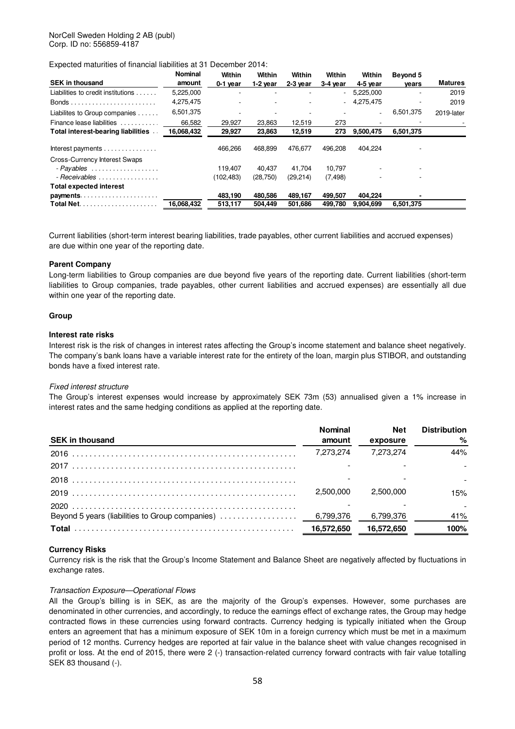Expected maturities of financial liabilities at 31 December 2014:

| <b>SEK in thousand</b>               | <b>Nominal</b><br>amount | Within<br>0-1 year       | Within<br>$1-2$ year | Within<br>2-3 year | Within<br>$3-4$ year | Within<br>4-5 year       | Beyond 5  | <b>Matures</b> |
|--------------------------------------|--------------------------|--------------------------|----------------------|--------------------|----------------------|--------------------------|-----------|----------------|
| Liabilities to credit institutions   | 5,225,000                | $\overline{\phantom{a}}$ | ۰                    |                    | $\sim$               | 5,225,000                | vears     | 2019           |
|                                      |                          |                          |                      |                    |                      |                          |           |                |
|                                      | 4,275,475                |                          |                      |                    |                      | $-4.275.475$             |           | 2019           |
| Liabilites to Group companies        | 6,501,375                |                          |                      |                    |                      | $\overline{\phantom{0}}$ | 6,501,375 | 2019-later     |
| Finance lease liabilities            | 66,582                   | 29,927                   | 23.863               | 12,519             | 273                  | $\overline{\phantom{a}}$ |           |                |
| Total interest-bearing liabilities   | 16,068,432               | 29,927                   | 23,863               | 12,519             | 273                  | 9,500,475                | 6,501,375 |                |
| Interest payments                    |                          | 466.266                  | 468.899              | 476.677            | 496.208              | 404.224                  |           |                |
| <b>Cross-Currency Interest Swaps</b> |                          |                          |                      |                    |                      |                          |           |                |
| - Payables                           |                          | 119.407                  | 40.437               | 41.704             | 10.797               |                          |           |                |
| - Receivables                        |                          | (102, 483)               | (28, 750)            | (29,214)           | (7, 498)             |                          |           |                |
| <b>Total expected interest</b>       |                          |                          |                      |                    |                      |                          |           |                |
| payments                             |                          | 483,190                  | 480.586              | 489,167            | 499.507              | 404,224                  |           |                |
|                                      | 16,068,432               | 513,117                  | 504.449              | 501,686            | 499.780              | 9.904.699                | 6,501,375 |                |

Current liabilities (short-term interest bearing liabilities, trade payables, other current liabilities and accrued expenses) are due within one year of the reporting date.

### **Parent Company**

Long-term liabilities to Group companies are due beyond five years of the reporting date. Current liabilities (short-term liabilities to Group companies, trade payables, other current liabilities and accrued expenses) are essentially all due within one year of the reporting date.

#### **Group**

### **Interest rate risks**

Interest risk is the risk of changes in interest rates affecting the Group's income statement and balance sheet negatively. The company's bank loans have a variable interest rate for the entirety of the loan, margin plus STIBOR, and outstanding bonds have a fixed interest rate.

### Fixed interest structure

The Group's interest expenses would increase by approximately SEK 73m (53) annualised given a 1% increase in interest rates and the same hedging conditions as applied at the reporting date.

| Nominal   | Net                     | <b>Distribution</b> |
|-----------|-------------------------|---------------------|
| amount    | exposure                |                     |
| 7.273.274 | 7.273.274               | 44%                 |
|           |                         |                     |
|           |                         |                     |
|           | 2.500.000               | 15%                 |
|           |                         |                     |
|           |                         | 41%                 |
|           | 16,572,650              | 100%                |
|           | 2.500.000<br>16,572,650 | 6,799,376           |

#### **Currency Risks**

Currency risk is the risk that the Group's Income Statement and Balance Sheet are negatively affected by fluctuations in exchange rates.

#### Transaction Exposure—Operational Flows

All the Group's billing is in SEK, as are the majority of the Group's expenses. However, some purchases are denominated in other currencies, and accordingly, to reduce the earnings effect of exchange rates, the Group may hedge contracted flows in these currencies using forward contracts. Currency hedging is typically initiated when the Group enters an agreement that has a minimum exposure of SEK 10m in a foreign currency which must be met in a maximum period of 12 months. Currency hedges are reported at fair value in the balance sheet with value changes recognised in profit or loss. At the end of 2015, there were 2 (-) transaction-related currency forward contracts with fair value totalling SEK 83 thousand (-).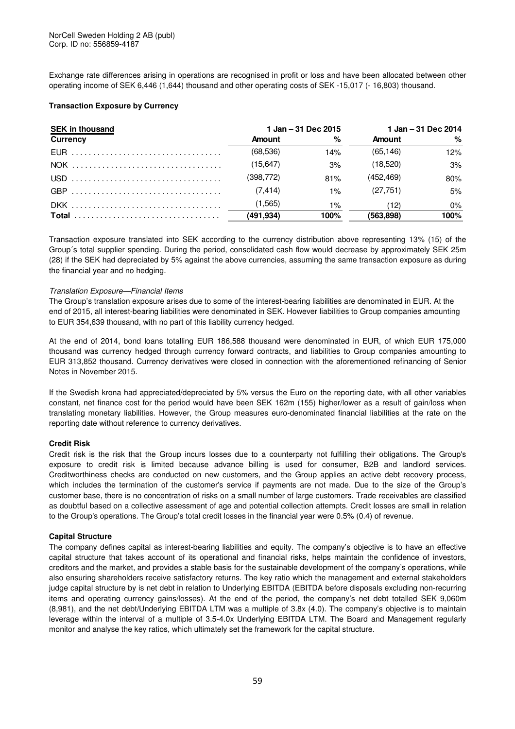Exchange rate differences arising in operations are recognised in profit or loss and have been allocated between other operating income of SEK 6,446 (1,644) thousand and other operating costs of SEK -15,017 (- 16,803) thousand.

### **Transaction Exposure by Currency**

| <b>SEK in thousand</b> |               | 1 Jan - 31 Dec 2015 | 1 Jan – 31 Dec 2014 |       |  |
|------------------------|---------------|---------------------|---------------------|-------|--|
| <b>Currency</b>        | <b>Amount</b> | %                   | Amount              | %     |  |
|                        | (68, 536)     | 14%                 | (65.146)            | 12%   |  |
|                        | (15, 647)     | 3%                  | (18.520)            | 3%    |  |
|                        | (398,772)     | 81%                 | (452, 469)          | 80%   |  |
|                        | (7.414)       | $1\%$               | (27.751)            | 5%    |  |
|                        | (1,565)       | 1%                  | (12)                | $0\%$ |  |
|                        | (491, 934)    | 100%                | (563.898)           | 100%  |  |

Transaction exposure translated into SEK according to the currency distribution above representing 13% (15) of the Group´s total supplier spending. During the period, consolidated cash flow would decrease by approximately SEK 25m (28) if the SEK had depreciated by 5% against the above currencies, assuming the same transaction exposure as during the financial year and no hedging.

### Translation Exposure—Financial Items

The Group's translation exposure arises due to some of the interest-bearing liabilities are denominated in EUR. At the end of 2015, all interest-bearing liabilities were denominated in SEK. However liabilities to Group companies amounting to EUR 354,639 thousand, with no part of this liability currency hedged.

At the end of 2014, bond loans totalling EUR 186,588 thousand were denominated in EUR, of which EUR 175,000 thousand was currency hedged through currency forward contracts, and liabilities to Group companies amounting to EUR 313,852 thousand. Currency derivatives were closed in connection with the aforementioned refinancing of Senior Notes in November 2015.

If the Swedish krona had appreciated/depreciated by 5% versus the Euro on the reporting date, with all other variables constant, net finance cost for the period would have been SEK 162m (155) higher/lower as a result of gain/loss when translating monetary liabilities. However, the Group measures euro-denominated financial liabilities at the rate on the reporting date without reference to currency derivatives.

### **Credit Risk**

Credit risk is the risk that the Group incurs losses due to a counterparty not fulfilling their obligations. The Group's exposure to credit risk is limited because advance billing is used for consumer, B2B and landlord services. Creditworthiness checks are conducted on new customers, and the Group applies an active debt recovery process, which includes the termination of the customer's service if payments are not made. Due to the size of the Group's customer base, there is no concentration of risks on a small number of large customers. Trade receivables are classified as doubtful based on a collective assessment of age and potential collection attempts. Credit losses are small in relation to the Group's operations. The Group's total credit losses in the financial year were 0.5% (0.4) of revenue.

### **Capital Structure**

The company defines capital as interest-bearing liabilities and equity. The company's objective is to have an effective capital structure that takes account of its operational and financial risks, helps maintain the confidence of investors, creditors and the market, and provides a stable basis for the sustainable development of the company's operations, while also ensuring shareholders receive satisfactory returns. The key ratio which the management and external stakeholders judge capital structure by is net debt in relation to Underlying EBITDA (EBITDA before disposals excluding non-recurring items and operating currency gains/losses). At the end of the period, the company's net debt totalled SEK 9,060m (8,981), and the net debt/Underlying EBITDA LTM was a multiple of 3.8x (4.0). The company's objective is to maintain leverage within the interval of a multiple of 3.5-4.0x Underlying EBITDA LTM. The Board and Management regularly monitor and analyse the key ratios, which ultimately set the framework for the capital structure.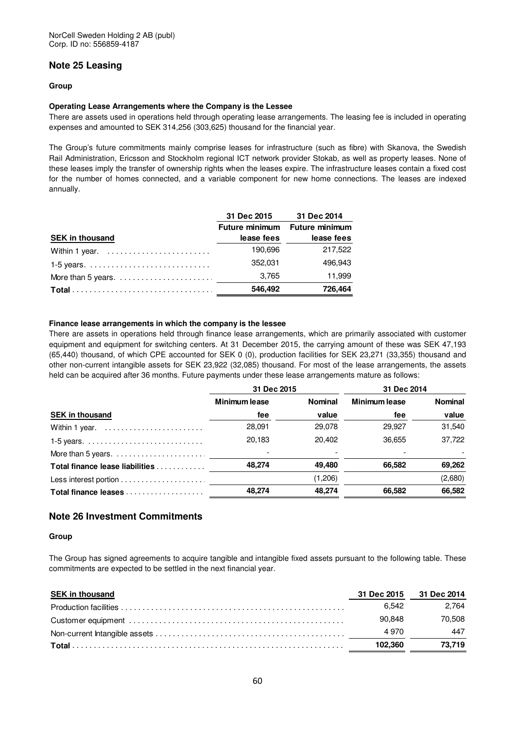### **Note 25 Leasing**

### **Group**

### **Operating Lease Arrangements where the Company is the Lessee**

There are assets used in operations held through operating lease arrangements. The leasing fee is included in operating expenses and amounted to SEK 314,256 (303,625) thousand for the financial year.

The Group's future commitments mainly comprise leases for infrastructure (such as fibre) with Skanova, the Swedish Rail Administration, Ericsson and Stockholm regional ICT network provider Stokab, as well as property leases. None of these leases imply the transfer of ownership rights when the leases expire. The infrastructure leases contain a fixed cost for the number of homes connected, and a variable component for new home connections. The leases are indexed annually.

|                                                                   | 31 Dec 2015 | 31 Dec 2014                   |
|-------------------------------------------------------------------|-------------|-------------------------------|
|                                                                   |             | Future minimum Future minimum |
| <b>SEK in thousand</b>                                            | lease fees  | lease fees                    |
| Within 1 year. $\ldots \ldots \ldots \ldots \ldots \ldots \ldots$ | 190.696     | 217.522                       |
|                                                                   | 352.031     | 496.943                       |
|                                                                   | 3.765       | 11.999                        |
|                                                                   | 546,492     | 726,464                       |

### **Finance lease arrangements in which the company is the lessee**

There are assets in operations held through finance lease arrangements, which are primarily associated with customer equipment and equipment for switching centers. At 31 December 2015, the carrying amount of these was SEK 47,193 (65,440) thousand, of which CPE accounted for SEK 0 (0), production facilities for SEK 23,271 (33,355) thousand and other non-current intangible assets for SEK 23,922 (32,085) thousand. For most of the lease arrangements, the assets held can be acquired after 36 months. Future payments under these lease arrangements mature as follows:

|                                                               | 31 Dec 2015   |                | 31 Dec 2014   |                |
|---------------------------------------------------------------|---------------|----------------|---------------|----------------|
|                                                               | Minimum lease | <b>Nominal</b> | Minimum lease | <b>Nominal</b> |
| <b>SEK in thousand</b>                                        | fee           | value          | fee           | value          |
| Within 1 year.                                                | 28,091        | 29,078         | 29,927        | 31,540         |
|                                                               | 20.183        | 20.402         | 36.655        | 37.722         |
| More than 5 years. $\dots\dots\dots\dots\dots\dots\dots\dots$ |               |                |               |                |
| Total finance lease liabilities                               | 48.274        | 49.480         | 66.582        | 69,262         |
|                                                               |               | (1,206)        |               | (2,680)        |
| Total finance leases                                          | 48,274        | 48.274         | 66,582        | 66,582         |

### **Note 26 Investment Commitments**

#### **Group**

The Group has signed agreements to acquire tangible and intangible fixed assets pursuant to the following table. These commitments are expected to be settled in the next financial year.

| <b>SEK in thousand</b> |         | 31 Dec 2015 31 Dec 2014 |
|------------------------|---------|-------------------------|
|                        | 6.542   | 2.764                   |
|                        | 90.848  | 70.508                  |
|                        | 4970    | 447                     |
|                        | 102.360 | 73.719                  |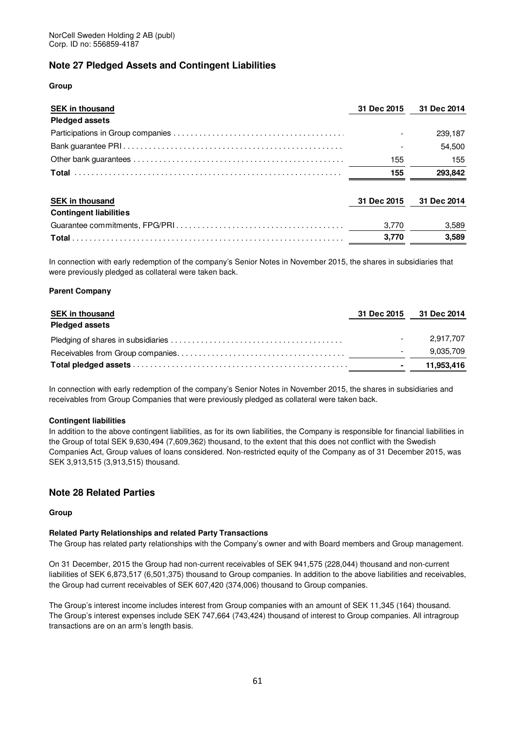### **Note 27 Pledged Assets and Contingent Liabilities**

### **Group**

| <b>SEK in thousand</b>        | 31 Dec 2015 | 31 Dec 2014 |
|-------------------------------|-------------|-------------|
| <b>Pledged assets</b>         |             |             |
|                               |             | 239,187     |
|                               |             | 54,500      |
|                               | 155         | 155         |
|                               | 155         | 293.842     |
| <b>SEK in thousand</b>        | 31 Dec 2015 | 31 Dec 2014 |
| <b>Contingent liabilities</b> |             |             |
|                               | 3.770       | 3,589       |
|                               | 3.770       | 3.589       |

In connection with early redemption of the company's Senior Notes in November 2015, the shares in subsidiaries that were previously pledged as collateral were taken back.

### **Parent Company**

| <b>SEK in thousand</b> | 31 Dec 2015 31 Dec 2014 |
|------------------------|-------------------------|
| <b>Pledged assets</b>  |                         |
|                        | 2.917.707               |
|                        | 9,035,709               |
|                        | 11.953,416              |

In connection with early redemption of the company's Senior Notes in November 2015, the shares in subsidiaries and receivables from Group Companies that were previously pledged as collateral were taken back.

#### **Contingent liabilities**

In addition to the above contingent liabilities, as for its own liabilities, the Company is responsible for financial liabilities in the Group of total SEK 9,630,494 (7,609,362) thousand, to the extent that this does not conflict with the Swedish Companies Act, Group values of loans considered. Non-restricted equity of the Company as of 31 December 2015, was SEK 3,913,515 (3,913,515) thousand.

### **Note 28 Related Parties**

#### **Group**

### **Related Party Relationships and related Party Transactions**

The Group has related party relationships with the Company's owner and with Board members and Group management.

On 31 December, 2015 the Group had non-current receivables of SEK 941,575 (228,044) thousand and non-current liabilities of SEK 6,873,517 (6,501,375) thousand to Group companies. In addition to the above liabilities and receivables, the Group had current receivables of SEK 607,420 (374,006) thousand to Group companies.

The Group's interest income includes interest from Group companies with an amount of SEK 11,345 (164) thousand. The Group's interest expenses include SEK 747,664 (743,424) thousand of interest to Group companies. All intragroup transactions are on an arm's length basis.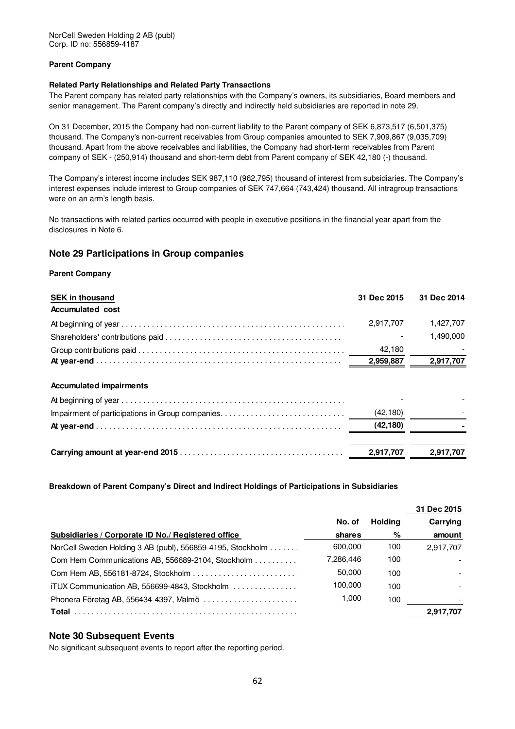NorCell Sweden Holding 2 AB (publ) Corp. ID no: 556859-4187

### **Parent Company**

### **Related Party Relationships and Related Party Transactions**

The Parent company has related party relationships with the Company's owners, its subsidiaries, Board members and senior management. The Parent company's directly and indirectly held subsidiaries are reported in note 29.

On 31 December, 2015 the Company had non-current liability to the Parent company of SEK 6,873,517 (6,501,375) thousand. The Company's non-current receivables from Group companies amounted to SEK 7,909,867 (9,035,709) thousand. Apart from the above receivables and liabilities, the Company had short-term receivables from Parent company of SEK - (250,914) thousand and short-term debt from Parent company of SEK 42,180 (-) thousand.

The Company's interest income includes SEK 987,110 (962,795) thousand of interest from subsidiaries. The Company's interest expenses include interest to Group companies of SEK 747,664 (743,424) thousand. All intragroup transactions were on an arm's length basis.

No transactions with related parties occurred with people in executive positions in the financial year apart from the disclosures in Note 6.

### **Note 29 Participations in Group companies**

#### **Parent Company**

| <b>SEK in thousand</b>         | 31 Dec 2015 | 31 Dec 2014 |
|--------------------------------|-------------|-------------|
| <b>Accumulated cost</b>        |             |             |
|                                | 2.917.707   | 1,427,707   |
|                                |             | 1.490.000   |
|                                | 42,180      |             |
|                                | 2,959,887   | 2,917,707   |
| <b>Accumulated impairments</b> |             |             |
|                                |             |             |
|                                | (42, 180)   |             |
|                                | (42, 180)   |             |
|                                | 2,917,707   | 2.917.707   |

**Breakdown of Parent Company's Direct and Indirect Holdings of Participations in Subsidiaries** 

|                                                            |           |         | 31 Dec 2015              |
|------------------------------------------------------------|-----------|---------|--------------------------|
|                                                            | No. of    | Holdina | Carrying                 |
| Subsidiaries / Corporate ID No./ Registered office         | shares    | %       | amount                   |
| NorCell Sweden Holding 3 AB (publ), 556859-4195, Stockholm | 600.000   | 100     | 2,917,707                |
| Com Hem Communications AB, 556689-2104, Stockholm          | 7,286,446 | 100     | $\overline{\phantom{a}}$ |
|                                                            | 50,000    | 100     |                          |
| iTUX Communication AB, 556699-4843, Stockholm              | 100.000   | 100     |                          |
| Phonera Företag AB, 556434-4397, Malmö                     | 1.000     | 100     |                          |
| Total                                                      |           |         | 2,917,707                |

### **Note 30 Subsequent Events**

No significant subsequent events to report after the reporting period.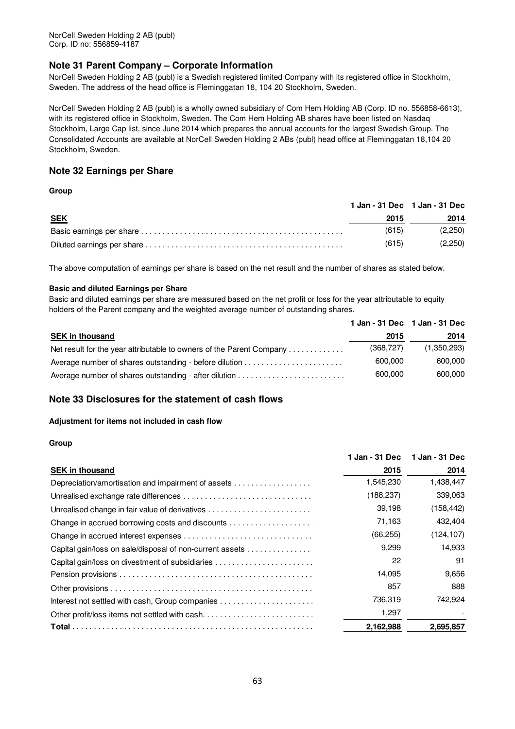### **Note 31 Parent Company – Corporate Information**

NorCell Sweden Holding 2 AB (publ) is a Swedish registered limited Company with its registered office in Stockholm, Sweden. The address of the head office is Fleminggatan 18, 104 20 Stockholm, Sweden.

NorCell Sweden Holding 2 AB (publ) is a wholly owned subsidiary of Com Hem Holding AB (Corp. ID no. 556858-6613), with its registered office in Stockholm, Sweden. The Com Hem Holding AB shares have been listed on Nasdaq Stockholm, Large Cap list, since June 2014 which prepares the annual accounts for the largest Swedish Group. The Consolidated Accounts are available at NorCell Sweden Holding 2 ABs (publ) head office at Fleminggatan 18,104 20 Stockholm, Sweden.

### **Note 32 Earnings per Share**

### **Group**

|            |       | 1 Jan - 31 Dec 1 Jan - 31 Dec |
|------------|-------|-------------------------------|
| <b>SEK</b> | 2015  | 2014                          |
|            | (615) | (2,250)                       |
|            | (615) | (2,250)                       |

The above computation of earnings per share is based on the net result and the number of shares as stated below.

### **Basic and diluted Earnings per Share**

Basic and diluted earnings per share are measured based on the net profit or loss for the year attributable to equity holders of the Parent company and the weighted average number of outstanding shares.

|                                                                      |           | 1 Jan - 31 Dec 1 Jan - 31 Dec |
|----------------------------------------------------------------------|-----------|-------------------------------|
| <b>SEK in thousand</b>                                               | 2015      | 2014                          |
| Net result for the year attributable to owners of the Parent Company | (368.727) | (1,350,293)                   |
|                                                                      | 600,000   | 600,000                       |
|                                                                      | 600,000   | 600,000                       |

### **Note 33 Disclosures for the statement of cash flows**

### **Adjustment for items not included in cash flow**

|                                                          | 1 Jan - 31 Dec | 1 Jan - 31 Dec |
|----------------------------------------------------------|----------------|----------------|
| <b>SEK in thousand</b>                                   | 2015           | 2014           |
| Depreciation/amortisation and impairment of assets       | 1,545,230      | 1,438,447      |
|                                                          | (188,237)      | 339,063        |
|                                                          | 39.198         | (158, 442)     |
| Change in accrued borrowing costs and discounts          | 71,163         | 432,404        |
|                                                          | (66, 255)      | (124, 107)     |
| Capital gain/loss on sale/disposal of non-current assets | 9,299          | 14,933         |
|                                                          | 22             | 91             |
|                                                          | 14,095         | 9,656          |
|                                                          | 857            | 888            |
|                                                          | 736.319        | 742.924        |
| Other profit/loss items not settled with cash            | 1,297          |                |
|                                                          | 2,162,988      | 2,695,857      |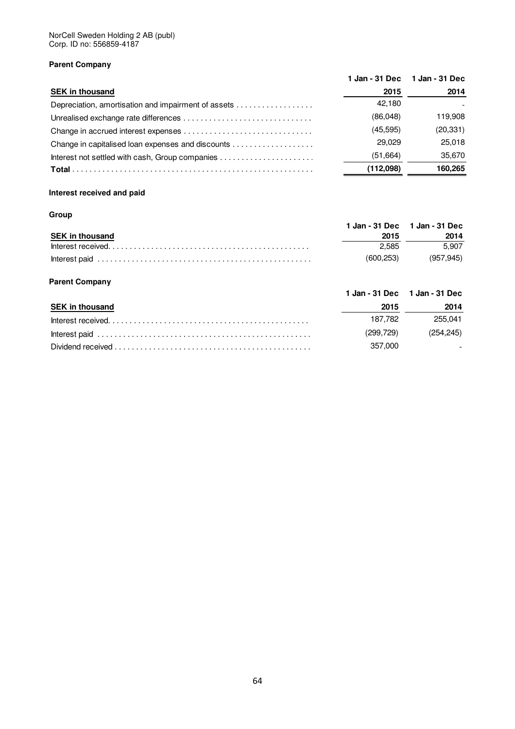### **Parent Company**

|                                                     |           | 1 Jan - 31 Dec 1 Jan - 31 Dec |
|-----------------------------------------------------|-----------|-------------------------------|
| <b>SEK in thousand</b>                              | 2015      | 2014                          |
| Depreciation, amortisation and impairment of assets | 42.180    |                               |
|                                                     | (86,048)  | 119.908                       |
|                                                     | (45, 595) | (20, 331)                     |
|                                                     | 29.029    | 25.018                        |
|                                                     | (51,664)  | 35.670                        |
|                                                     | (112,098) | 160.265                       |

### **Interest received and paid**

### **Group**

|                        |           | 1 Jan - 31 Dec 1 Jan - 31 Dec |
|------------------------|-----------|-------------------------------|
| <b>SEK in thousand</b> | 2015      | 2014                          |
|                        | 2.585     | 5.907                         |
|                        | (600.253) | (957.945)                     |

### **Parent Company**

|                                                                                                                                                     |            | 1 Jan - 31 Dec 1 Jan - 31 Dec |
|-----------------------------------------------------------------------------------------------------------------------------------------------------|------------|-------------------------------|
| <b>SEK in thousand</b>                                                                                                                              | 2015       | 2014                          |
|                                                                                                                                                     | 187.782    | 255.041                       |
|                                                                                                                                                     | (299, 729) | (254.245)                     |
| Dividend received $\ldots$ , $\ldots$ , $\ldots$ , $\ldots$ , $\ldots$ , $\ldots$ , $\ldots$ , $\ldots$ , $\ldots$ , $\ldots$ , $\ldots$ , $\ldots$ | 357.000    | $\overline{\phantom{a}}$      |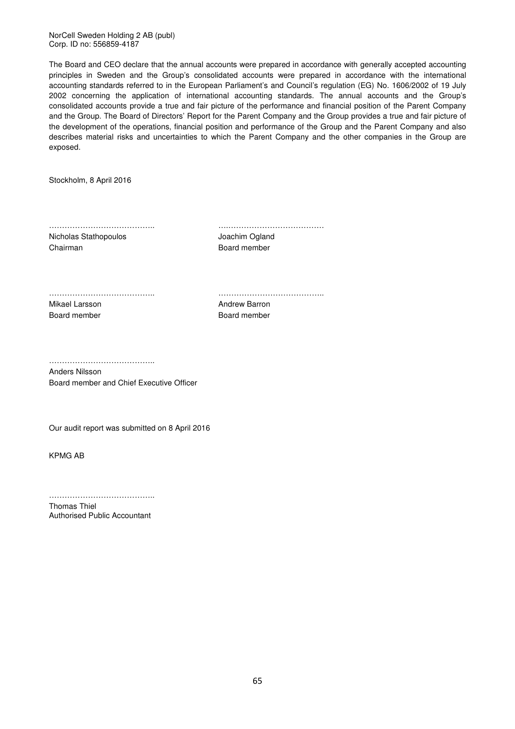NorCell Sweden Holding 2 AB (publ) Corp. ID no: 556859-4187

The Board and CEO declare that the annual accounts were prepared in accordance with generally accepted accounting principles in Sweden and the Group's consolidated accounts were prepared in accordance with the international accounting standards referred to in the European Parliament's and Council's regulation (EG) No. 1606/2002 of 19 July 2002 concerning the application of international accounting standards. The annual accounts and the Group's consolidated accounts provide a true and fair picture of the performance and financial position of the Parent Company and the Group. The Board of Directors' Report for the Parent Company and the Group provides a true and fair picture of the development of the operations, financial position and performance of the Group and the Parent Company and also describes material risks and uncertainties to which the Parent Company and the other companies in the Group are exposed.

Stockholm, 8 April 2016

………………………………….. ….………………………………. Nicholas Stathopoulos **Micholas Stathopoulos** Joachim Ogland Chairman Board member

………………………………….. ………………………………….. Mikael Larsson **Andrew Barron** 

Board member Board member

………………………………………

Anders Nilsson Board member and Chief Executive Officer

Our audit report was submitted on 8 April 2016

KPMG AB

………………………………………

Thomas Thiel Authorised Public Accountant